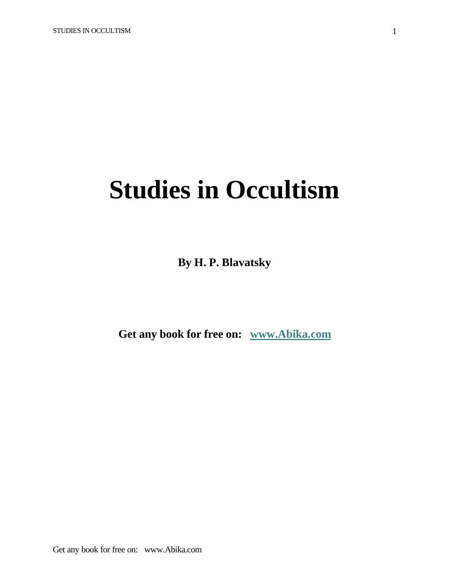# **Studies in Occultism**

**By H. P. Blavatsky**

**Get any book for free on: www.Abika.com**

1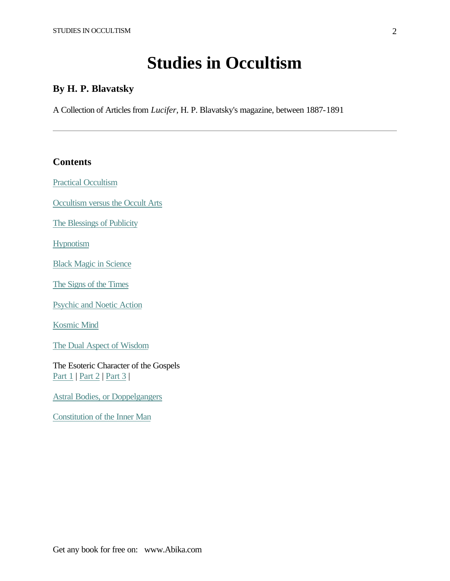## **Studies in Occultism**

#### **By H. P. Blavatsky**

A Collection of Articles from *Lucifer*, H. P. Blavatsky's magazine, between 1887-1891

#### **Contents**

Practical Occultism

Occultism versus the Occult Arts

The Blessings of Publicity

Hypnotism

Black Magic in Science

The Signs of the Times

Psychic and Noetic Action

Kosmic Mind

The Dual Aspect of Wisdom

The Esoteric Character of the Gospels Part 1 | Part 2 | Part 3 |

Astral Bodies, or Doppelgangers

Constitution of the Inner Man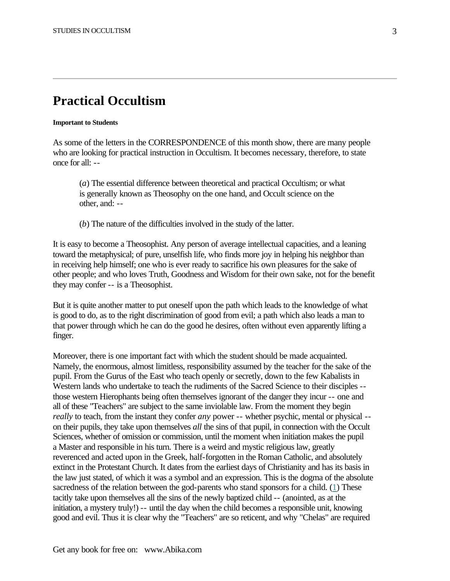## **Practical Occultism**

#### **Important to Students**

As some of the letters in the CORRESPONDENCE of this month show, there are many people who are looking for practical instruction in Occultism. It becomes necessary, therefore, to state once for all: --

(*a*) The essential difference between theoretical and practical Occultism; or what is generally known as Theosophy on the one hand, and Occult science on the other, and: --

(*b*) The nature of the difficulties involved in the study of the latter.

It is easy to become a Theosophist. Any person of average intellectual capacities, and a leaning toward the metaphysical; of pure, unselfish life, who finds more joy in helping his neighbor than in receiving help himself; one who is ever ready to sacrifice his own pleasures for the sake of other people; and who loves Truth, Goodness and Wisdom for their own sake, not for the benefit they may confer -- is a Theosophist.

But it is quite another matter to put oneself upon the path which leads to the knowledge of what is good to do, as to the right discrimination of good from evil; a path which also leads a man to that power through which he can do the good he desires, often without even apparently lifting a finger.

Moreover, there is one important fact with which the student should be made acquainted. Namely, the enormous, almost limitless, responsibility assumed by the teacher for the sake of the pupil. From the Gurus of the East who teach openly or secretly, down to the few Kabalists in Western lands who undertake to teach the rudiments of the Sacred Science to their disciples - those western Hierophants being often themselves ignorant of the danger they incur -- one and all of these "Teachers" are subject to the same inviolable law. From the moment they begin *really* to teach, from the instant they confer *any* power -- whether psychic, mental or physical - on their pupils, they take upon themselves *all* the sins of that pupil, in connection with the Occult Sciences, whether of omission or commission, until the moment when initiation makes the pupil a Master and responsible in his turn. There is a weird and mystic religious law, greatly reverenced and acted upon in the Greek, half-forgotten in the Roman Catholic, and absolutely extinct in the Protestant Church. It dates from the earliest days of Christianity and has its basis in the law just stated, of which it was a symbol and an expression. This is the dogma of the absolute sacredness of the relation between the god-parents who stand sponsors for a child. (1) These tacitly take upon themselves all the sins of the newly baptized child -- (anointed, as at the initiation, a mystery truly!) -- until the day when the child becomes a responsible unit, knowing good and evil. Thus it is clear why the "Teachers" are so reticent, and why "Chelas" are required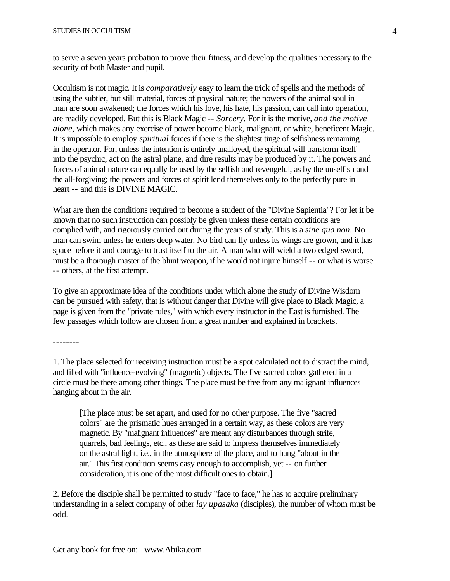to serve a seven years probation to prove their fitness, and develop the qualities necessary to the security of both Master and pupil.

Occultism is not magic. It is *comparatively* easy to learn the trick of spells and the methods of using the subtler, but still material, forces of physical nature; the powers of the animal soul in man are soon awakened; the forces which his love, his hate, his passion, can call into operation, are readily developed. But this is Black Magic -- *Sorcery*. For it is the motive, *and the motive alone*, which makes any exercise of power become black, malignant, or white, beneficent Magic. It is impossible to employ *spiritual* forces if there is the slightest tinge of selfishness remaining in the operator. For, unless the intention is entirely unalloyed, the spiritual will transform itself into the psychic, act on the astral plane, and dire results may be produced by it. The powers and forces of animal nature can equally be used by the selfish and revengeful, as by the unselfish and the all-forgiving; the powers and forces of spirit lend themselves only to the perfectly pure in heart -- and this is DIVINE MAGIC.

What are then the conditions required to become a student of the "Divine Sapientia"? For let it be known that no such instruction can possibly be given unless these certain conditions are complied with, and rigorously carried out during the years of study. This is a *sine qua non*. No man can swim unless he enters deep water. No bird can fly unless its wings are grown, and it has space before it and courage to trust itself to the air. A man who will wield a two edged sword, must be a thorough master of the blunt weapon, if he would not injure himself -- or what is worse -- others, at the first attempt.

To give an approximate idea of the conditions under which alone the study of Divine Wisdom can be pursued with safety, that is without danger that Divine will give place to Black Magic, a page is given from the "private rules," with which every instructor in the East is furnished. The few passages which follow are chosen from a great number and explained in brackets.

--------

1. The place selected for receiving instruction must be a spot calculated not to distract the mind, and filled with "influence-evolving" (magnetic) objects. The five sacred colors gathered in a circle must be there among other things. The place must be free from any malignant influences hanging about in the air.

[The place must be set apart, and used for no other purpose. The five "sacred colors" are the prismatic hues arranged in a certain way, as these colors are very magnetic. By "malignant influences" are meant any disturbances through strife, quarrels, bad feelings, etc., as these are said to impress themselves immediately on the astral light, i.e., in the atmosphere of the place, and to hang "about in the air." This first condition seems easy enough to accomplish, yet -- on further consideration, it is one of the most difficult ones to obtain.]

2. Before the disciple shall be permitted to study "face to face," he has to acquire preliminary understanding in a select company of other *lay upasaka* (disciples), the number of whom must be odd.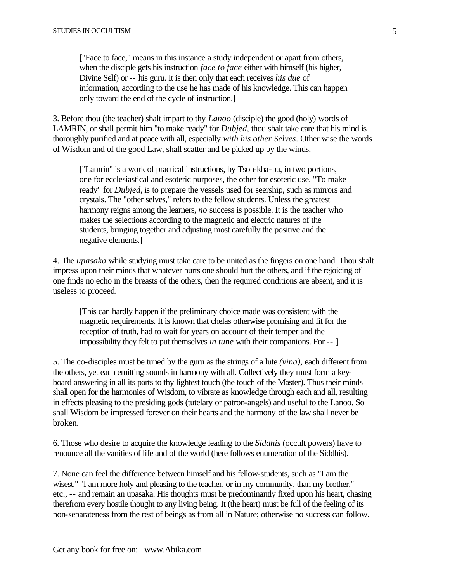["Face to face," means in this instance a study independent or apart from others, when the disciple gets his instruction *face to face* either with himself (his higher, Divine Self) or -- his guru. It is then only that each receives *his due* of information, according to the use he has made of his knowledge. This can happen only toward the end of the cycle of instruction.]

3. Before thou (the teacher) shalt impart to thy *Lanoo* (disciple) the good (holy) words of LAMRIN, or shall permit him "to make ready" for *Dubjed*, thou shalt take care that his mind is thoroughly purified and at peace with all, especially *with his other Selves*. Other wise the words of Wisdom and of the good Law, shall scatter and be picked up by the winds.

["Lamrin" is a work of practical instructions, by Tson-kha-pa, in two portions, one for ecclesiastical and esoteric purposes, the other for esoteric use. "To make ready" for *Dubjed*, is to prepare the vessels used for seership, such as mirrors and crystals. The "other selves," refers to the fellow students. Unless the greatest harmony reigns among the learners, *no* success is possible. It is the teacher who makes the selections according to the magnetic and electric natures of the students, bringing together and adjusting most carefully the positive and the negative elements.]

4. The *upasaka* while studying must take care to be united as the fingers on one hand. Thou shalt impress upon their minds that whatever hurts one should hurt the others, and if the rejoicing of one finds no echo in the breasts of the others, then the required conditions are absent, and it is useless to proceed.

[This can hardly happen if the preliminary choice made was consistent with the magnetic requirements. It is known that chelas otherwise promising and fit for the reception of truth, had to wait for years on account of their temper and the impossibility they felt to put themselves *in tune* with their companions. For -- ]

5. The co-disciples must be tuned by the guru as the strings of a lute *(vina),* each different from the others, yet each emitting sounds in harmony with all. Collectively they must form a keyboard answering in all its parts to thy lightest touch (the touch of the Master). Thus their minds shall open for the harmonies of Wisdom, to vibrate as knowledge through each and all, resulting in effects pleasing to the presiding gods (tutelary or patron-angels) and useful to the Lanoo. So shall Wisdom be impressed forever on their hearts and the harmony of the law shall never be broken.

6. Those who desire to acquire the knowledge leading to the *Siddhis* (occult powers) have to renounce all the vanities of life and of the world (here follows enumeration of the Siddhis).

7. None can feel the difference between himself and his fellow-students, such as "I am the wisest," "I am more holy and pleasing to the teacher, or in my community, than my brother," etc., -- and remain an upasaka. His thoughts must be predominantly fixed upon his heart, chasing therefrom every hostile thought to any living being. It (the heart) must be full of the feeling of its non-separateness from the rest of beings as from all in Nature; otherwise no success can follow.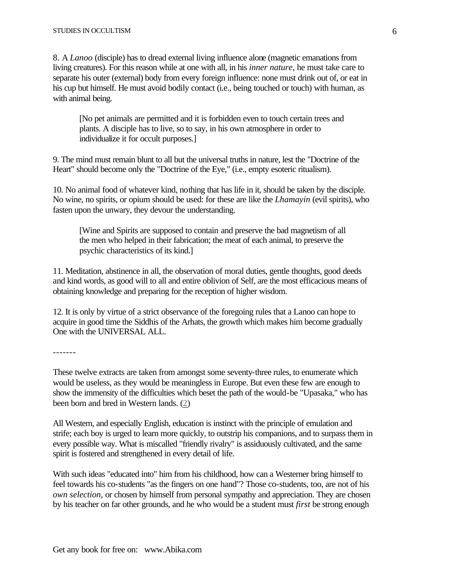8. A *Lanoo* (disciple) has to dread external living influence alone (magnetic emanations from living creatures). For this reason while at one with all, in his *inner nature*, he must take care to separate his outer (external) body from every foreign influence: none must drink out of, or eat in his cup but himself. He must avoid bodily contact (i.e., being touched or touch) with human, as with animal being.

[No pet animals are permitted and it is forbidden even to touch certain trees and plants. A disciple has to live, so to say, in his own atmosphere in order to individualize it for occult purposes.]

9. The mind must remain blunt to all but the universal truths in nature, lest the "Doctrine of the Heart" should become only the "Doctrine of the Eye," (i.e., empty esoteric ritualism).

10. No animal food of whatever kind, nothing that has life in it, should be taken by the disciple. No wine, no spirits, or opium should be used: for these are like the *Lhamayin* (evil spirits), who fasten upon the unwary, they devour the understanding.

[Wine and Spirits are supposed to contain and preserve the bad magnetism of all the men who helped in their fabrication; the meat of each animal, to preserve the psychic characteristics of its kind.]

11. Meditation, abstinence in all, the observation of moral duties, gentle thoughts, good deeds and kind words, as good will to all and entire oblivion of Self, are the most efficacious means of obtaining knowledge and preparing for the reception of higher wisdom.

12. It is only by virtue of a strict observance of the foregoing rules that a Lanoo can hope to acquire in good time the Siddhis of the Arhats, the growth which makes him become gradually One with the UNIVERSAL ALL.

-------

These twelve extracts are taken from amongst some seventy-three rules, to enumerate which would be useless, as they would be meaningless in Europe. But even these few are enough to show the immensity of the difficulties which beset the path of the would-be "Upasaka," who has been born and bred in Western lands. (2)

All Western, and especially English, education is instinct with the principle of emulation and strife; each boy is urged to learn more quickly, to outstrip his companions, and to surpass them in every possible way. What is miscalled "friendly rivalry" is assiduously cultivated, and the same spirit is fostered and strengthened in every detail of life.

With such ideas "educated into" him from his childhood, how can a Westerner bring himself to feel towards his co-students "as the fingers on one hand"? Those co-students, too, are not of his *own selection*, or chosen by himself from personal sympathy and appreciation. They are chosen by his teacher on far other grounds, and he who would be a student must *first* be strong enough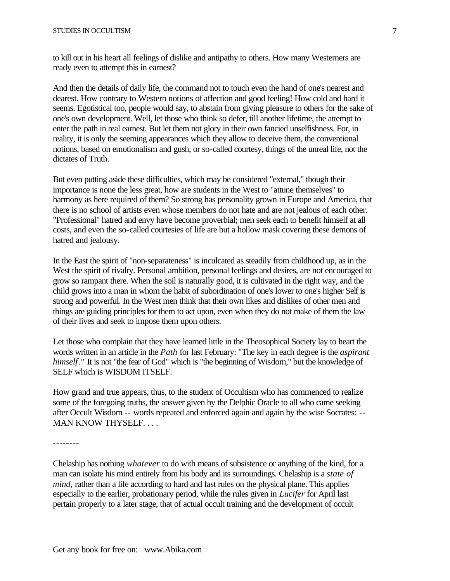to kill out in his heart all feelings of dislike and antipathy to others. How many Westerners are ready even to attempt this in earnest?

And then the details of daily life, the command not to touch even the hand of one's nearest and dearest. How contrary to Western notions of affection and good feeling! How cold and hard it seems. Egotistical too, people would say, to abstain from giving pleasure to others for the sake of one's own development. Well, let those who think so defer, till another lifetime, the attempt to enter the path in real earnest. But let them not glory in their own fancied unselfishness. For, in reality, it is only the seeming appearances which they allow to deceive them, the conventional notions, based on emotionalism and gush, or so-called courtesy, things of the unreal life, not the dictates of Truth.

But even putting aside these difficulties, which may be considered "external," though their importance is none the less great, how are students in the West to "attune themselves" to harmony as here required of them? So strong has personality grown in Europe and America, that there is no school of artists even whose members do not hate and are not jealous of each other. "Professional" hatred and envy have become proverbial; men seek each to benefit himself at all costs, and even the so-called courtesies of life are but a hollow mask covering these demons of hatred and jealousy.

In the East the spirit of "non-separateness" is inculcated as steadily from childhood up, as in the West the spirit of rivalry. Personal ambition, personal feelings and desires, are not encouraged to grow so rampant there. When the soil is naturally good, it is cultivated in the right way, and the child grows into a man in whom the habit of subordination of one's lower to one's higher Self is strong and powerful. In the West men think that their own likes and dislikes of other men and things are guiding principles for them to act upon, even when they do not make of them the law of their lives and seek to impose them upon others.

Let those who complain that they have learned little in the Theosophical Society lay to heart the words written in an article in the *Path* for last February: "The key in each degree is the *aspirant himself.*" It is not "the fear of God" which is "the beginning of Wisdom," but the knowledge of SELF which is WISDOM ITSELF.

How grand and true appears, thus, to the student of Occultism who has commenced to realize some of the foregoing truths, the answer given by the Delphic Oracle to all who came seeking after Occult Wisdom -- words repeated and enforced again and again by the wise Socrates: -- MAN KNOW THYSELF. . . .

Chelaship has nothing *whatever* to do with means of subsistence or anything of the kind, for a man can isolate his mind entirely from his body and its surroundings. Chelaship is a *state of mind*, rather than a life according to hard and fast rules on the physical plane. This applies especially to the earlier, probationary period, while the rules given in *Lucifer* for April last pertain properly to a later stage, that of actual occult training and the development of occult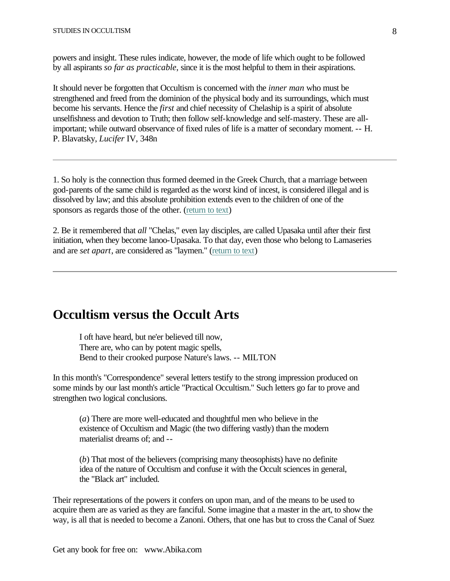powers and insight. These rules indicate, however, the mode of life which ought to be followed by all aspirants *so far as practicable*, since it is the most helpful to them in their aspirations.

It should never be forgotten that Occultism is concerned with the *inner man* who must be strengthened and freed from the dominion of the physical body and its surroundings, which must become his servants. Hence the *first* and chief necessity of Chelaship is a spirit of absolute unselfishness and devotion to Truth; then follow self-knowledge and self-mastery. These are allimportant; while outward observance of fixed rules of life is a matter of secondary moment. -- H. P. Blavatsky, *Lucifer* IV, 348n

1. So holy is the connection thus formed deemed in the Greek Church, that a marriage between god-parents of the same child is regarded as the worst kind of incest, is considered illegal and is dissolved by law; and this absolute prohibition extends even to the children of one of the sponsors as regards those of the other. (return to text)

2. Be it remembered that *all* "Chelas," even lay disciples, are called Upasaka until after their first initiation, when they become lanoo-Upasaka. To that day, even those who belong to Lamaseries and are *set apart*, are considered as "laymen." (return to text)

## **Occultism versus the Occult Arts**

I oft have heard, but ne'er believed till now, There are, who can by potent magic spells, Bend to their crooked purpose Nature's laws. -- MILTON

In this month's "Correspondence" several letters testify to the strong impression produced on some minds by our last month's article "Practical Occultism." Such letters go far to prove and strengthen two logical conclusions.

(*a*) There are more well-educated and thoughtful men who believe in the existence of Occultism and Magic (the two differing vastly) than the modern materialist dreams of; and --

(*b*) That most of the believers (comprising many theosophists) have no definite idea of the nature of Occultism and confuse it with the Occult sciences in general, the "Black art" included.

Their representations of the powers it confers on upon man, and of the means to be used to acquire them are as varied as they are fanciful. Some imagine that a master in the art, to show the way, is all that is needed to become a Zanoni. Others, that one has but to cross the Canal of Suez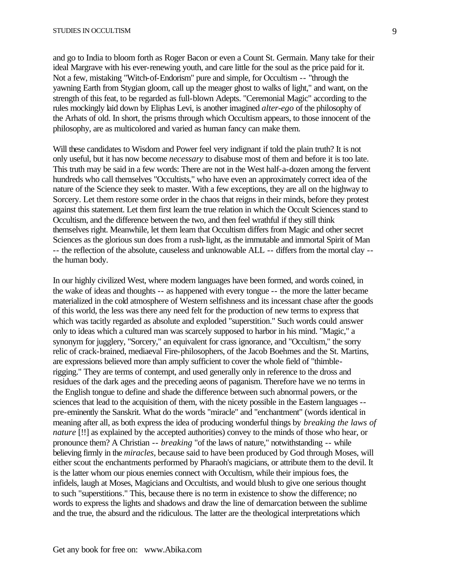and go to India to bloom forth as Roger Bacon or even a Count St. Germain. Many take for their ideal Margrave with his ever-renewing youth, and care little for the soul as the price paid for it. Not a few, mistaking "Witch-of-Endorism" pure and simple, for Occultism -- "through the yawning Earth from Stygian gloom, call up the meager ghost to walks of light," and want, on the strength of this feat, to be regarded as full-blown Adepts. "Ceremonial Magic" according to the rules mockingly laid down by Eliphas Levi, is another imagined *alter-ego* of the philosophy of the Arhats of old. In short, the prisms through which Occultism appears, to those innocent of the philosophy, are as multicolored and varied as human fancy can make them.

Will these candidates to Wisdom and Power feel very indignant if told the plain truth? It is not only useful, but it has now become *necessary* to disabuse most of them and before it is too late. This truth may be said in a few words: There are not in the West half-a-dozen among the fervent hundreds who call themselves "Occultists," who have even an approximately correct idea of the nature of the Science they seek to master. With a few exceptions, they are all on the highway to Sorcery. Let them restore some order in the chaos that reigns in their minds, before they protest against this statement. Let them first learn the true relation in which the Occult Sciences stand to Occultism, and the difference between the two, and then feel wrathful if they still think themselves right. Meanwhile, let them learn that Occultism differs from Magic and other secret Sciences as the glorious sun does from a rush-light, as the immutable and immortal Spirit of Man -- the reflection of the absolute, causeless and unknowable ALL -- differs from the mortal clay - the human body.

In our highly civilized West, where modern languages have been formed, and words coined, in the wake of ideas and thoughts -- as happened with every tongue -- the more the latter became materialized in the cold atmosphere of Western selfishness and its incessant chase after the goods of this world, the less was there any need felt for the production of new terms to express that which was tacitly regarded as absolute and exploded "superstition." Such words could answer only to ideas which a cultured man was scarcely supposed to harbor in his mind. "Magic," a synonym for jugglery, "Sorcery," an equivalent for crass ignorance, and "Occultism," the sorry relic of crack-brained, mediaeval Fire-philosophers, of the Jacob Boehmes and the St. Martins, are expressions believed more than amply sufficient to cover the whole field of "thimblerigging." They are terms of contempt, and used generally only in reference to the dross and residues of the dark ages and the preceding aeons of paganism. Therefore have we no terms in the English tongue to define and shade the difference between such abnormal powers, or the sciences that lead to the acquisition of them, with the nicety possible in the Eastern languages - pre-eminently the Sanskrit. What do the words "miracle" and "enchantment" (words identical in meaning after all, as both express the idea of producing wonderful things by *breaking the laws of nature* [!!] as explained by the accepted authorities) convey to the minds of those who hear, or pronounce them? A Christian -- *breaking* "of the laws of nature," notwithstanding -- while believing firmly in the *miracles*, because said to have been produced by God through Moses, will either scout the enchantments performed by Pharaoh's magicians, or attribute them to the devil. It is the latter whom our pious enemies connect with Occultism, while their impious foes, the infidels, laugh at Moses, Magicians and Occultists, and would blush to give one serious thought to such "superstitions." This, because there is no term in existence to show the difference; no words to express the lights and shadows and draw the line of demarcation between the sublime and the true, the absurd and the ridiculous. The latter are the theological interpretations which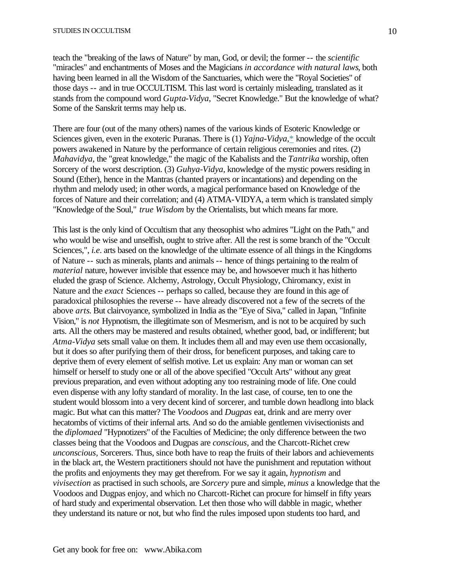teach the "breaking of the laws of Nature" by man, God, or devil; the former -- the *scientific* "miracles" and enchantments of Moses and the Magicians *in accordance with natural laws*, both having been learned in all the Wisdom of the Sanctuaries, which were the "Royal Societies" of those days -- and in true OCCULTISM. This last word is certainly misleading, translated as it stands from the compound word *Gupta-Vidya*, "Secret Knowledge." But the knowledge of what? Some of the Sanskrit terms may help us.

There are four (out of the many others) names of the various kinds of Esoteric Knowledge or Sciences given, even in the exoteric Puranas. There is (1) *Yajna-Vidya*,\* knowledge of the occult powers awakened in Nature by the performance of certain religious ceremonies and rites. (2) *Mahavidya*, the "great knowledge," the magic of the Kabalists and the *Tantrika* worship, often Sorcery of the worst description. (3) *Guhya-Vidya*, knowledge of the mystic powers residing in Sound (Ether), hence in the Mantras (chanted prayers or incantations) and depending on the rhythm and melody used; in other words, a magical performance based on Knowledge of the forces of Nature and their correlation; and (4) ATMA-VIDYA, a term which is translated simply "Knowledge of the Soul," *true Wisdom* by the Orientalists, but which means far more.

This last is the only kind of Occultism that any theosophist who admires "Light on the Path," and who would be wise and unselfish, ought to strive after. All the rest is some branch of the "Occult Sciences,", *i.e.* arts based on the knowledge of the ultimate essence of all things in the Kingdoms of Nature -- such as minerals, plants and animals -- hence of things pertaining to the realm of *material* nature, however invisible that essence may be, and howsoever much it has hitherto eluded the grasp of Science. Alchemy, Astrology, Occult Physiology, Chiromancy, exist in Nature and the *exact* Sciences -- perhaps so called, because they are found in this age of paradoxical philosophies the reverse -- have already discovered not a few of the secrets of the above *arts*. But clairvoyance, symbolized in India as the "Eye of Siva," called in Japan, "Infinite Vision," is *not* Hypnotism, the illegitimate son of Mesmerism, and is not to be acquired by such arts. All the others may be mastered and results obtained, whether good, bad, or indifferent; but *Atma-Vidya* sets small value on them. It includes them all and may even use them occasionally, but it does so after purifying them of their dross, for beneficent purposes, and taking care to deprive them of every element of selfish motive. Let us explain: Any man or woman can set himself or herself to study one or all of the above specified "Occult Arts" without any great previous preparation, and even without adopting any too restraining mode of life. One could even dispense with any lofty standard of morality. In the last case, of course, ten to one the student would blossom into a very decent kind of sorcerer, and tumble down headlong into black magic. But what can this matter? The *Voodoo*s and *Dugpas* eat, drink and are merry over hecatombs of victims of their infernal arts. And so do the amiable gentlemen vivisectionists and the *diplomaed* "Hypnotizers" of the Faculties of Medicine; the only difference between the two classes being that the Voodoos and Dugpas are *conscious*, and the Charcott-Richet crew *unconscious,* Sorcerers. Thus, since both have to reap the fruits of their labors and achievements in the black art, the Western practitioners should not have the punishment and reputation without the profits and enjoyments they may get therefrom. For we say it again, *hypnotism* and *vivisection* as practised in such schools, are *Sorcery* pure and simple, *minus* a knowledge that the Voodoos and Dugpas enjoy, and which no Charcott-Richet can procure for himself in fifty years of hard study and experimental observation. Let then those who will dabble in magic, whether they understand its nature or not, but who find the rules imposed upon students too hard, and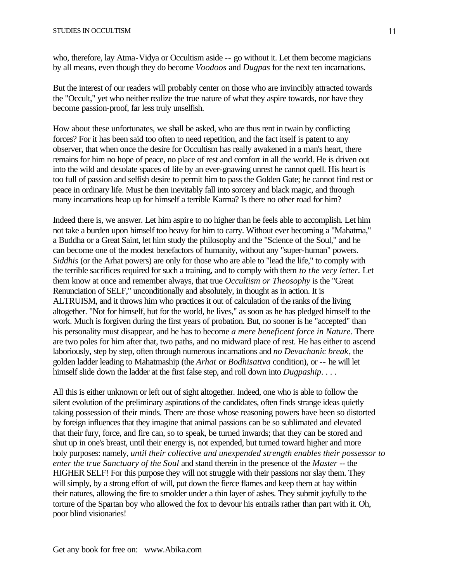who, therefore, lay Atma-Vidya or Occultism aside -- go without it. Let them become magicians by all means, even though they do become *Voodoos* and *Dugpas* for the next ten incarnations.

But the interest of our readers will probably center on those who are invincibly attracted towards the "Occult," yet who neither realize the true nature of what they aspire towards, nor have they become passion-proof, far less truly unselfish.

How about these unfortunates, we shall be asked, who are thus rent in twain by conflicting forces? For it has been said too often to need repetition, and the fact itself is patent to any observer, that when once the desire for Occultism has really awakened in a man's heart, there remains for him no hope of peace, no place of rest and comfort in all the world. He is driven out into the wild and desolate spaces of life by an ever-gnawing unrest he cannot quell. His heart is too full of passion and selfish desire to permit him to pass the Golden Gate; he cannot find rest or peace in ordinary life. Must he then inevitably fall into sorcery and black magic, and through many incarnations heap up for himself a terrible Karma? Is there no other road for him?

Indeed there is, we answer. Let him aspire to no higher than he feels able to accomplish. Let him not take a burden upon himself too heavy for him to carry. Without ever becoming a "Mahatma," a Buddha or a Great Saint, let him study the philosophy and the "Science of the Soul," and he can become one of the modest benefactors of humanity, without any "super-human" powers. *Siddhis* (or the Arhat powers) are only for those who are able to "lead the life," to comply with the terrible sacrifices required for such a training, and to comply with them *to the very letter.* Let them know at once and remember always, that true *Occultism or Theosophy* is the "Great Renunciation of SELF," unconditionally and absolutely, in thought as in action. It is ALTRUISM, and it throws him who practices it out of calculation of the ranks of the living altogether. "Not for himself, but for the world, he lives," as soon as he has pledged himself to the work. Much is forgiven during the first years of probation. But, no sooner is he "accepted" than his personality must disappear, and he has to become *a mere beneficent force in Nature*. There are two poles for him after that, two paths, and no midward place of rest. He has either to ascend laboriously, step by step, often through numerous incarnations and *no Devachanic break*, the golden ladder leading to Mahatmaship (the *Arhat* or *Bodhisattva* condition), or -- he will let himself slide down the ladder at the first false step, and roll down into *Dugpaship*. . . .

All this is either unknown or left out of sight altogether. Indeed, one who is able to follow the silent evolution of the preliminary aspirations of the candidates, often finds strange ideas quietly taking possession of their minds. There are those whose reasoning powers have been so distorted by foreign influences that they imagine that animal passions can be so sublimated and elevated that their fury, force, and fire can, so to speak, be turned inwards; that they can be stored and shut up in one's breast, until their energy is, not expended, but turned toward higher and more holy purposes: namely, *until their collective and unexpended strength enables their possessor to enter the true Sanctuary of the Soul* and stand therein in the presence of the *Master --* the HIGHER SELF! For this purpose they will not struggle with their passions nor slay them. They will simply, by a strong effort of will, put down the fierce flames and keep them at bay within their natures, allowing the fire to smolder under a thin layer of ashes. They submit joyfully to the torture of the Spartan boy who allowed the fox to devour his entrails rather than part with it. Oh, poor blind visionaries!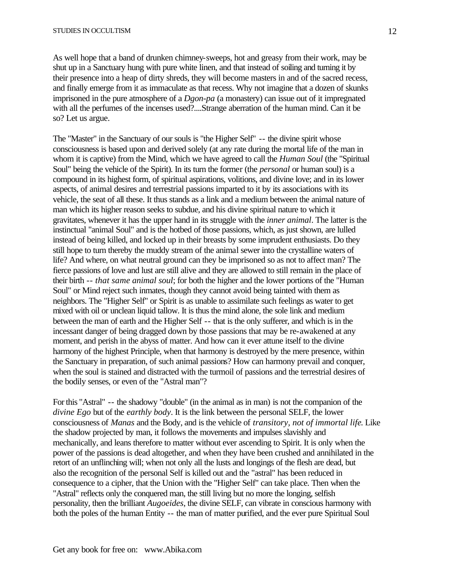As well hope that a band of drunken chimney-sweeps, hot and greasy from their work, may be shut up in a Sanctuary hung with pure white linen, and that instead of soiling and turning it by their presence into a heap of dirty shreds, they will become masters in and of the sacred recess, and finally emerge from it as immaculate as that recess. Why not imagine that a dozen of skunks imprisoned in the pure atmosphere of a *Dgon-pa* (a monastery) can issue out of it impregnated with all the perfumes of the incenses used?....Strange aberration of the human mind. Can it be so? Let us argue.

The "Master" in the Sanctuary of our souls is "the Higher Self" -- the divine spirit whose consciousness is based upon and derived solely (at any rate during the mortal life of the man in whom it is captive) from the Mind, which we have agreed to call the *Human Soul* (the "Spiritual Soul" being the vehicle of the Spirit). In its turn the former (the *personal* or human soul) is a compound in its highest form, of spiritual aspirations, volitions, and divine love; and in its lower aspects, of animal desires and terrestrial passions imparted to it by its associations with its vehicle, the seat of all these. It thus stands as a link and a medium between the animal nature of man which its higher reason seeks to subdue, and his divine spiritual nature to which it gravitates, whenever it has the upper hand in its struggle with the *inner animal*. The latter is the instinctual "animal Soul" and is the hotbed of those passions, which, as just shown, are lulled instead of being killed, and locked up in their breasts by some imprudent enthusiasts. Do they still hope to turn thereby the muddy stream of the animal sewer into the crystalline waters of life? And where, on what neutral ground can they be imprisoned so as not to affect man? The fierce passions of love and lust are still alive and they are allowed to still remain in the place of their birth -- *that same animal soul*; for both the higher and the lower portions of the "Human Soul" or Mind reject such inmates, though they cannot avoid being tainted with them as neighbors. The "Higher Self" or Spirit is as unable to assimilate such feelings as water to get mixed with oil or unclean liquid tallow. It is thus the mind alone, the sole link and medium between the man of earth and the Higher Self -- that is the only sufferer, and which is in the incessant danger of being dragged down by those passions that may be re-awakened at any moment, and perish in the abyss of matter. And how can it ever attune itself to the divine harmony of the highest Principle, when that harmony is destroyed by the mere presence, within the Sanctuary in preparation, of such animal passions? How can harmony prevail and conquer, when the soul is stained and distracted with the turmoil of passions and the terrestrial desires of the bodily senses, or even of the "Astral man"?

For this "Astral" -- the shadowy "double" (in the animal as in man) is not the companion of the *divine Ego* but of the *earthly body*. It is the link between the personal SELF, the lower consciousness of *Manas* and the Body, and is the vehicle of *transitory, not of immortal life*. Like the shadow projected by man, it follows the movements and impulses slavishly and mechanically, and leans therefore to matter without ever ascending to Spirit. It is only when the power of the passions is dead altogether, and when they have been crushed and annihilated in the retort of an unflinching will; when not only all the lusts and longings of the flesh are dead, but also the recognition of the personal Self is killed out and the "astral" has been reduced in consequence to a cipher, that the Union with the "Higher Self" can take place. Then when the "Astral" reflects only the conquered man, the still living but no more the longing, selfish personality, then the brilliant *Augoeides*, the divine SELF, can vibrate in conscious harmony with both the poles of the human Entity -- the man of matter purified, and the ever pure Spiritual Soul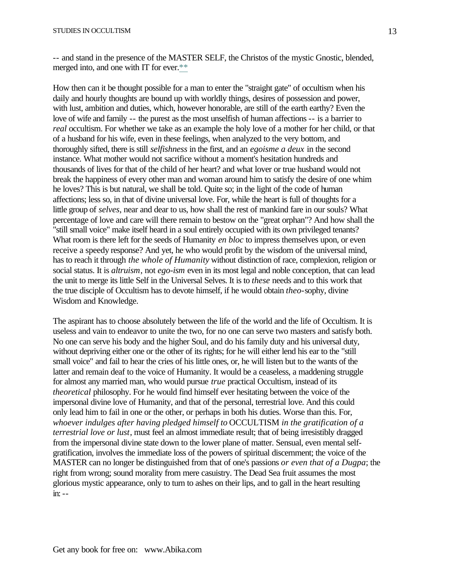-- and stand in the presence of the MASTER SELF, the Christos of the mystic Gnostic, blended, merged into, and one with IT for ever.\*\*

How then can it be thought possible for a man to enter the "straight gate" of occultism when his daily and hourly thoughts are bound up with worldly things, desires of possession and power, with lust, ambition and duties, which, however honorable, are still of the earth earthy? Even the love of wife and family -- the purest as the most unselfish of human affections -- is a barrier to *real* occultism. For whether we take as an example the holy love of a mother for her child, or that of a husband for his wife, even in these feelings, when analyzed to the very bottom, and thoroughly sifted, there is still *selfishness* in the first, and an *egoisme a deux* in the second instance. What mother would not sacrifice without a moment's hesitation hundreds and thousands of lives for that of the child of her heart? and what lover or true husband would not break the happiness of every other man and woman around him to satisfy the desire of one whim he loves? This is but natural, we shall be told. Quite so; in the light of the code of human affections; less so, in that of divine universal love. For, while the heart is full of thoughts for a little group of *selves*, near and dear to us, how shall the rest of mankind fare in our souls? What percentage of love and care will there remain to bestow on the "great orphan"? And how shall the "still small voice" make itself heard in a soul entirely occupied with its own privileged tenants? What room is there left for the seeds of Humanity *en bloc* to impress themselves upon, or even receive a speedy response? And yet, he who would profit by the wisdom of the universal mind, has to reach it through *the whole of Humanity* without distinction of race, complexion, religion or social status. It is *altruism*, not *ego-ism* even in its most legal and noble conception, that can lead the unit to merge its little Self in the Universal Selves. It is to *these* needs and to this work that the true disciple of Occultism has to devote himself, if he would obtain *theo*-sophy, divine Wisdom and Knowledge.

The aspirant has to choose absolutely between the life of the world and the life of Occultism. It is useless and vain to endeavor to unite the two, for no one can serve two masters and satisfy both. No one can serve his body and the higher Soul, and do his family duty and his universal duty, without depriving either one or the other of its rights; for he will either lend his ear to the "still small voice" and fail to hear the cries of his little ones, or, he will listen but to the wants of the latter and remain deaf to the voice of Humanity. It would be a ceaseless, a maddening struggle for almost any married man, who would pursue *true* practical Occultism, instead of its *theoretical* philosophy. For he would find himself ever hesitating between the voice of the impersonal divine love of Humanity, and that of the personal, terrestrial love. And this could only lead him to fail in one or the other, or perhaps in both his duties. Worse than this. For, *whoever indulges after having pledged himself to* OCCULTISM *in the gratification of a terrestrial love or lust*, must feel an almost immediate result; that of being irresistibly dragged from the impersonal divine state down to the lower plane of matter. Sensual, even mental selfgratification, involves the immediate loss of the powers of spiritual discernment; the voice of the MASTER can no longer be distinguished from that of one's passions *or even that of a Dugpa*; the right from wrong; sound morality from mere casuistry. The Dead Sea fruit assumes the most glorious mystic appearance, only to turn to ashes on their lips, and to gall in the heart resulting in: --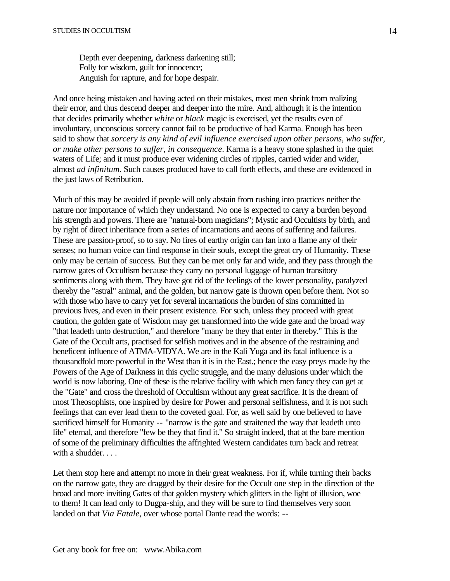Depth ever deepening, darkness darkening still; Folly for wisdom, guilt for innocence; Anguish for rapture, and for hope despair.

And once being mistaken and having acted on their mistakes, most men shrink from realizing their error, and thus descend deeper and deeper into the mire. And, although it is the intention that decides primarily whether *white* or *black* magic is exercised, yet the results even of involuntary, unconscious sorcery cannot fail to be productive of bad Karma. Enough has been said to show that *sorcery is any kind of evil influence exercised upon other persons, who suffer, or make other persons to suffer, in consequence*. Karma is a heavy stone splashed in the quiet waters of Life; and it must produce ever widening circles of ripples, carried wider and wider, almost *ad infinitum*. Such causes produced have to call forth effects, and these are evidenced in the just laws of Retribution.

Much of this may be avoided if people will only abstain from rushing into practices neither the nature nor importance of which they understand. No one is expected to carry a burden beyond his strength and powers. There are "natural-born magicians"; Mystic and Occultists by birth, and by right of direct inheritance from a series of incarnations and aeons of suffering and failures. These are passion-proof, so to say. No fires of earthy origin can fan into a flame any of their senses; no human voice can find response in their souls, except the great cry of Humanity. These only may be certain of success. But they can be met only far and wide, and they pass through the narrow gates of Occultism because they carry no personal luggage of human transitory sentiments along with them. They have got rid of the feelings of the lower personality, paralyzed thereby the "astral" animal, and the golden, but narrow gate is thrown open before them. Not so with those who have to carry yet for several incarnations the burden of sins committed in previous lives, and even in their present existence. For such, unless they proceed with great caution, the golden gate of Wisdom may get transformed into the wide gate and the broad way "that leadeth unto destruction," and therefore "many be they that enter in thereby." This is the Gate of the Occult arts, practised for selfish motives and in the absence of the restraining and beneficent influence of ATMA-VIDYA. We are in the Kali Yuga and its fatal influence is a thousandfold more powerful in the West than it is in the East.; hence the easy preys made by the Powers of the Age of Darkness in this cyclic struggle, and the many delusions under which the world is now laboring. One of these is the relative facility with which men fancy they can get at the "Gate" and cross the threshold of Occultism without any great sacrifice. It is the dream of most Theosophists, one inspired by desire for Power and personal selfishness, and it is not such feelings that can ever lead them to the coveted goal. For, as well said by one believed to have sacrificed himself for Humanity -- "narrow is the gate and straitened the way that leadeth unto life" eternal, and therefore "few be they that find it." So straight indeed, that at the bare mention of some of the preliminary difficulties the affrighted Western candidates turn back and retreat with a shudder. . . .

Let them stop here and attempt no more in their great weakness. For if, while turning their backs on the narrow gate, they are dragged by their desire for the Occult one step in the direction of the broad and more inviting Gates of that golden mystery which glitters in the light of illusion, woe to them! It can lead only to Dugpa-ship, and they will be sure to find themselves very soon landed on that *Via Fatale*, over whose portal Dante read the words: --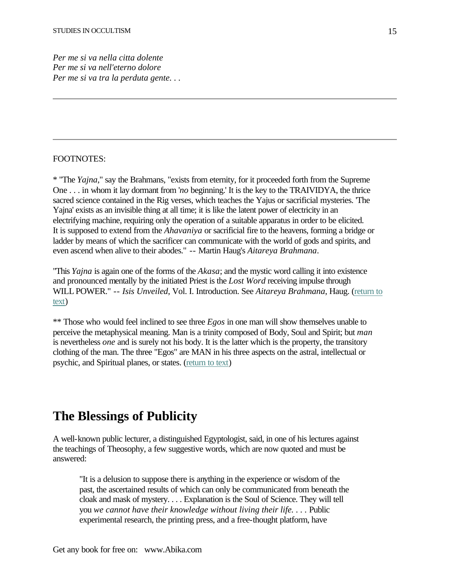*Per me si va nella citta dolente Per me si va nell'eterno dolore Per me si va tra la perduta gente. . .*

#### FOOTNOTES:

\* "The *Yajna*," say the Brahmans, "exists from eternity, for it proceeded forth from the Supreme One . . . in whom it lay dormant from '*no* beginning.' It is the key to the TRAIVIDYA, the thrice sacred science contained in the Rig verses, which teaches the Yajus or sacrificial mysteries. 'The Yajna' exists as an invisible thing at all time; it is like the latent power of electricity in an electrifying machine, requiring only the operation of a suitable apparatus in order to be elicited. It is supposed to extend from the *Ahavaniya* or sacrificial fire to the heavens, forming a bridge or ladder by means of which the sacrificer can communicate with the world of gods and spirits, and even ascend when alive to their abodes." -- Martin Haug's *Aitareya Brahmana*.

"This *Yajna* is again one of the forms of the *Akasa*; and the mystic word calling it into existence and pronounced mentally by the initiated Priest is the *Lost Word* receiving impulse through WILL POWER." -- *Isis Unveiled*, Vol. I. Introduction. See *Aitareya Brahmana*, Haug. (return to text)

\*\* Those who would feel inclined to see three *Egos* in one man will show themselves unable to perceive the metaphysical meaning. Man is a trinity composed of Body, Soul and Spirit; but *man* is nevertheless *one* and is surely not his body. It is the latter which is the property, the transitory clothing of the man. The three "Egos" are MAN in his three aspects on the astral, intellectual or psychic, and Spiritual planes, or states. (return to text)

### **The Blessings of Publicity**

A well-known public lecturer, a distinguished Egyptologist, said, in one of his lectures against the teachings of Theosophy, a few suggestive words, which are now quoted and must be answered:

"It is a delusion to suppose there is anything in the experience or wisdom of the past, the ascertained results of which can only be communicated from beneath the cloak and mask of mystery. . . . Explanation is the Soul of Science. They will tell you *we cannot have their knowledge without living their life. . . .* Public experimental research, the printing press, and a free-thought platform, have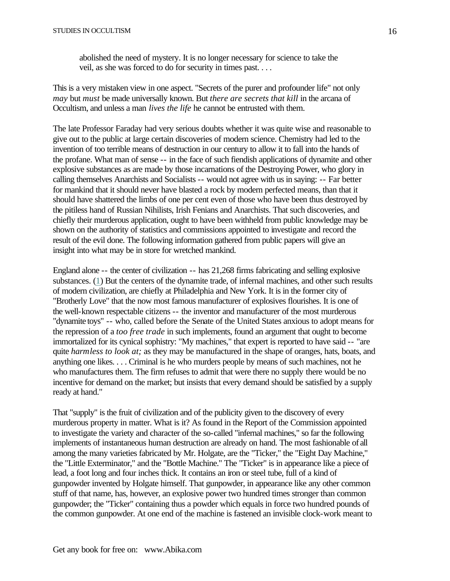abolished the need of mystery. It is no longer necessary for science to take the veil, as she was forced to do for security in times past. . . .

This is a very mistaken view in one aspect. "Secrets of the purer and profounder life" not only *may* but *must* be made universally known. But *there are secrets that kill* in the arcana of Occultism, and unless a man *lives the life* he cannot be entrusted with them.

The late Professor Faraday had very serious doubts whether it was quite wise and reasonable to give out to the public at large certain discoveries of modern science. Chemistry had led to the invention of too terrible means of destruction in our century to allow it to fall into the hands of the profane. What man of sense -- in the face of such fiendish applications of dynamite and other explosive substances as are made by those incarnations of the Destroying Power, who glory in calling themselves Anarchists and Socialists -- would not agree with us in saying: -- Far better for mankind that it should never have blasted a rock by modern perfected means, than that it should have shattered the limbs of one per cent even of those who have been thus destroyed by the pitiless hand of Russian Nihilists, Irish Fenians and Anarchists. That such discoveries, and chiefly their murderous application, ought to have been withheld from public knowledge may be shown on the authority of statistics and commissions appointed to investigate and record the result of the evil done. The following information gathered from public papers will give an insight into what may be in store for wretched mankind.

England alone -- the center of civilization -- has 21,268 firms fabricating and selling explosive substances. (1) But the centers of the dynamite trade, of infernal machines, and other such results of modern civilization, are chiefly at Philadelphia and New York. It is in the former city of "Brotherly Love" that the now most famous manufacturer of explosives flourishes. It is one of the well-known respectable citizens -- the inventor and manufacturer of the most murderous "dynamite toys" -- who, called before the Senate of the United States anxious to adopt means for the repression of a *too free trade* in such implements, found an argument that ought to become immortalized for its cynical sophistry: "My machines," that expert is reported to have said -- "are quite *harmless to look at;* as they may be manufactured in the shape of oranges, hats, boats, and anything one likes. . . . Criminal is he who murders people by means of such machines, not he who manufactures them. The firm refuses to admit that were there no supply there would be no incentive for demand on the market; but insists that every demand should be satisfied by a supply ready at hand."

That "supply" is the fruit of civilization and of the publicity given to the discovery of every murderous property in matter. What is it? As found in the Report of the Commission appointed to investigate the variety and character of the so-called "infernal machines," so far the following implements of instantaneous human destruction are already on hand. The most fashionable of all among the many varieties fabricated by Mr. Holgate, are the "Ticker," the "Eight Day Machine," the "Little Exterminator," and the "Bottle Machine." The "Ticker" is in appearance like a piece of lead, a foot long and four inches thick. It contains an iron or steel tube, full of a kind of gunpowder invented by Holgate himself. That gunpowder, in appearance like any other common stuff of that name, has, however, an explosive power two hundred times stronger than common gunpowder; the "Ticker" containing thus a powder which equals in force two hundred pounds of the common gunpowder. At one end of the machine is fastened an invisible clock-work meant to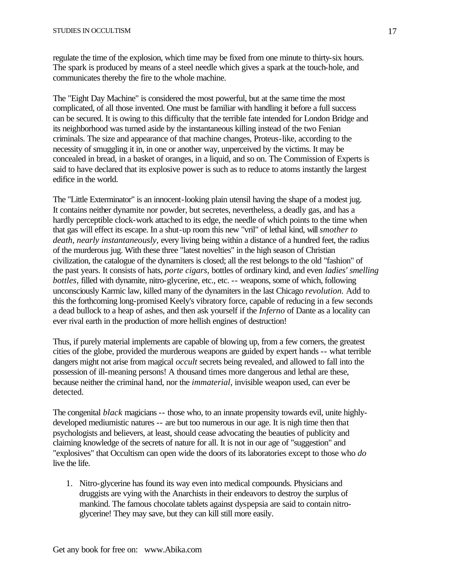regulate the time of the explosion, which time may be fixed from one minute to thirty-six hours. The spark is produced by means of a steel needle which gives a spark at the touch-hole, and communicates thereby the fire to the whole machine.

The "Eight Day Machine" is considered the most powerful, but at the same time the most complicated, of all those invented. One must be familiar with handling it before a full success can be secured. It is owing to this difficulty that the terrible fate intended for London Bridge and its neighborhood was turned aside by the instantaneous killing instead of the two Fenian criminals. The size and appearance of that machine changes, Proteus-like, according to the necessity of smuggling it in, in one or another way, unperceived by the victims. It may be concealed in bread, in a basket of oranges, in a liquid, and so on. The Commission of Experts is said to have declared that its explosive power is such as to reduce to atoms instantly the largest edifice in the world.

The "Little Exterminator" is an innocent-looking plain utensil having the shape of a modest jug. It contains neither dynamite nor powder, but secretes, nevertheless, a deadly gas, and has a hardly perceptible clock-work attached to its edge, the needle of which points to the time when that gas will effect its escape. In a shut-up room this new "vril" of lethal kind, will *smother to death, nearly instantaneously,* every living being within a distance of a hundred feet, the radius of the murderous jug. With these three "latest novelties" in the high season of Christian civilization, the catalogue of the dynamiters is closed; all the rest belongs to the old "fashion" of the past years. It consists of hats, *porte cigars,* bottles of ordinary kind, and even *ladies' smelling bottles,* filled with dynamite, nitro-glycerine, etc., etc. -- weapons, some of which, following unconsciously Karmic law, killed many of the dynamiters in the last Chicago *revolution.* Add to this the forthcoming long-promised Keely's vibratory force, capable of reducing in a few seconds a dead bullock to a heap of ashes, and then ask yourself if the *Inferno* of Dante as a locality can ever rival earth in the production of more hellish engines of destruction!

Thus, if purely material implements are capable of blowing up, from a few corners, the greatest cities of the globe, provided the murderous weapons are guided by expert hands -- what terrible dangers might not arise from magical *occult* secrets being revealed, and allowed to fall into the possession of ill-meaning persons! A thousand times more dangerous and lethal are these, because neither the criminal hand, nor the *immaterial,* invisible weapon used, can ever be detected.

The congenital *black* magicians -- those who, to an innate propensity towards evil, unite highlydeveloped mediumistic natures -- are but too numerous in our age. It is nigh time then that psychologists and believers, at least, should cease advocating the beauties of publicity and claiming knowledge of the secrets of nature for all. It is not in our age of "suggestion" and "explosives" that Occultism can open wide the doors of its laboratories except to those who *do*  live the life.

1. Nitro-glycerine has found its way even into medical compounds. Physicians and druggists are vying with the Anarchists in their endeavors to destroy the surplus of mankind. The famous chocolate tablets against dyspepsia are said to contain nitroglycerine! They may save, but they can kill still more easily.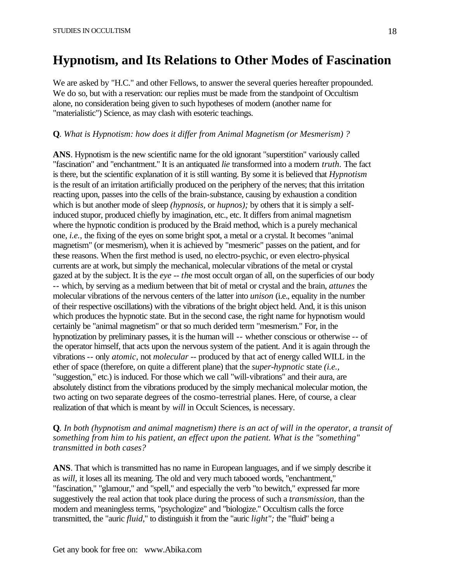## **Hypnotism, and Its Relations to Other Modes of Fascination**

We are asked by "H.C." and other Fellows, to answer the several queries hereafter propounded. We do so, but with a reservation: our replies must be made from the standpoint of Occultism alone, no consideration being given to such hypotheses of modern (another name for "materialistic") Science, as may clash with esoteric teachings.

#### **Q***. What is Hypnotism: how does it differ from Animal Magnetism (or Mesmerism) ?*

**ANS**. Hypnotism is the new scientific name for the old ignorant "superstition" variously called "fascination" and "enchantment." It is an antiquated *lie* transformed into a modern *truth.* The fact is there, but the scientific explanation of it is still wanting. By some it is believed that *Hypnotism*  is the result of an irritation artificially produced on the periphery of the nerves; that this irritation reacting upon, passes into the cells of the brain-substance, causing by exhaustion a condition which is but another mode of sleep *(hypnosis, or hupnos)*; by others that it is simply a selfinduced stupor, produced chiefly by imagination, etc., etc. It differs from animal magnetism where the hypnotic condition is produced by the Braid method, which is a purely mechanical one, *i.e.,* the fixing of the eyes on some bright spot, a metal or a crystal. It becomes "animal magnetism" (or mesmerism), when it is achieved by "mesmeric" passes on the patient, and for these reasons. When the first method is used, no electro-psychic, or even electro-physical currents are at work, but simply the mechanical, molecular vibrations of the metal or crystal gazed at by the subject. It is the *eye -- th*e most occult organ of all, on the superficies of our body -- which, by serving as a medium between that bit of metal or crystal and the brain, *attunes* the molecular vibrations of the nervous centers of the latter into *unison* (i.e., equality in the number of their respective oscillations) with the vibrations of the bright object held. And, it is this unison which produces the hypnotic state. But in the second case, the right name for hypnotism would certainly be "animal magnetism" or that so much derided term "mesmerism." For, in the hypnotization by preliminary passes, it is the human will -- whether conscious or otherwise -- of the operator himself, that acts upon the nervous system of the patient. And it is again through the vibrations -- only *atomic,* not *molecular --* produced by that act of energy called WILL in the ether of space (therefore, on quite a different plane) that the *super-hypnotic* state *(i.e.,*  "suggestion," etc.) is induced. For those which we call "will-vibrations" and their aura, are absolutely distinct from the vibrations produced by the simply mechanical molecular motion, the two acting on two separate degrees of the cosmo-terrestrial planes. Here, of course, a clear realization of that which is meant by *will* in Occult Sciences, is necessary.

#### **Q***. In both (hypnotism and animal magnetism) there is an act of will in the operator, a transit of something from him to his patient, an effect upon the patient. What is the "something" transmitted in both cases?*

**ANS**. That which is transmitted has no name in European languages, and if we simply describe it as *will,* it loses all its meaning. The old and very much tabooed words, "enchantment," "fascination," "glamour," and "spell," and especially the verb "to bewitch," expressed far more suggestively the real action that took place during the process of such a *transmission,* than the modern and meaningless terms, "psychologize" and "biologize." Occultism calls the force transmitted, the "auric *fluid*," to distinguish it from the "auric *light";* the "fluid" being a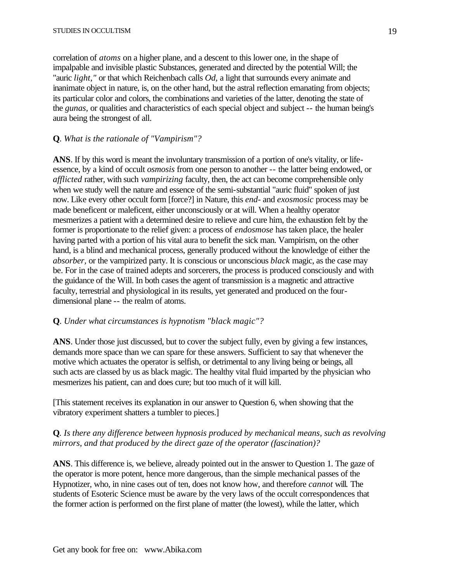correlation of *atoms* on a higher plane, and a descent to this lower one, in the shape of impalpable and invisible plastic Substances, generated and directed by the potential Will; the "auric *light,"* or that which Reichenbach calls *Od,* a light that surrounds every animate and inanimate object in nature, is, on the other hand, but the astral reflection emanating from objects; its particular color and colors, the combinations and varieties of the latter, denoting the state of the *gunas,* or qualities and characteristics of each special object and subject -- the human being's aura being the strongest of all.

#### **Q**. *What is the rationale of "Vampirism"?*

**ANS**. If by this word is meant the involuntary transmission of a portion of one's vitality, or lifeessence, by a kind of occult *osmosis* from one person to another -- the latter being endowed, or *afflicted* rather, with such *vampirizing* faculty, then, the act can become comprehensible only when we study well the nature and essence of the semi-substantial "auric fluid" spoken of just now. Like every other occult form [force?] in Nature, this *end-* and *exosmosic* process may be made beneficent or maleficent, either unconsciously or at will. When a healthy operator mesmerizes a patient with a determined desire to relieve and cure him, the exhaustion felt by the former is proportionate to the relief given: a process of *endosmose* has taken place, the healer having parted with a portion of his vital aura to benefit the sick man. Vampirism, on the other hand, is a blind and mechanical process, generally produced without the knowledge of either the *absorber,* or the vampirized party. It is conscious or unconscious *black* magic, as the case may be. For in the case of trained adepts and sorcerers, the process is produced consciously and with the guidance of the Will. In both cases the agent of transmission is a magnetic and attractive faculty, terrestrial and physiological in its results, yet generated and produced on the fourdimensional plane -- the realm of atoms.

#### **Q**. *Under what circumstances is hypnotism "black magic"?*

**ANS**. Under those just discussed, but to cover the subject fully, even by giving a few instances, demands more space than we can spare for these answers. Sufficient to say that whenever the motive which actuates the operator is selfish, or detrimental to any living being or beings, all such acts are classed by us as black magic. The healthy vital fluid imparted by the physician who mesmerizes his patient, can and does cure; but too much of it will kill.

[This statement receives its explanation in our answer to Question 6, when showing that the vibratory experiment shatters a tumbler to pieces.]

#### **Q***. Is there any difference between hypnosis produced by mechanical means, such as revolving mirrors, and that produced by the direct gaze of the operator (fascination)?*

**ANS**. This difference is, we believe, already pointed out in the answer to Question 1. The gaze of the operator is more potent, hence more dangerous, than the simple mechanical passes of the Hypnotizer, who, in nine cases out of ten, does not know how, and therefore *cannot* will*.* The students of Esoteric Science must be aware by the very laws of the occult correspondences that the former action is performed on the first plane of matter (the lowest), while the latter, which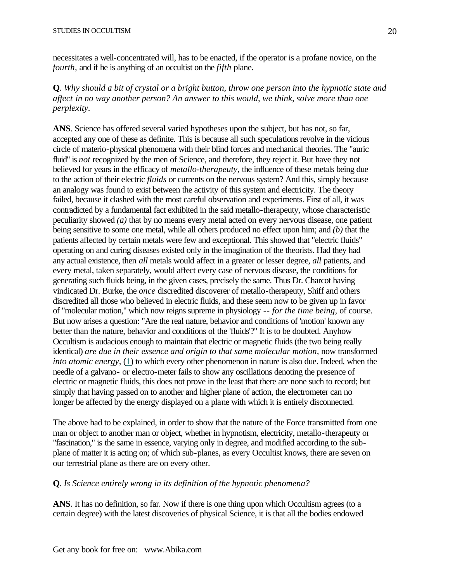necessitates a well-concentrated will, has to be enacted, if the operator is a profane novice, on the *fourth,* and if he is anything of an occultist on the *fifth* plane.

**Q***. Why should a bit of crystal or a bright button, throw one person into the hypnotic state and affect in no way another person? An answer to this would, we think, solve more than one perplexity.*

**ANS**. Science has offered several varied hypotheses upon the subject, but has not, so far, accepted any one of these as definite. This is because all such speculations revolve in the vicious circle of materio-physical phenomena with their blind forces and mechanical theories. The "auric fluid" is *not* recognized by the men of Science, and therefore, they reject it. But have they not believed for years in the efficacy of *metallo-therapeuty,* the influence of these metals being due to the action of their electric *fluids* or currents on the nervous system? And this, simply because an analogy was found to exist between the activity of this system and electricity. The theory failed, because it clashed with the most careful observation and experiments. First of all, it was contradicted by a fundamental fact exhibited in the said metallo-therapeuty, whose characteristic peculiarity showed *(a)* that by no means every metal acted on every nervous disease, one patient being sensitive to some one metal, while all others produced no effect upon him; and *(b)* that the patients affected by certain metals were few and exceptional. This showed that "electric fluids" operating on and curing diseases existed only in the imagination of the theorists. Had they had any actual existence, then *all* metals would affect in a greater or lesser degree, *all* patients, and every metal, taken separately, would affect every case of nervous disease, the conditions for generating such fluids being, in the given cases, precisely the same. Thus Dr. Charcot having vindicated Dr. Burke, the *once* discredited discoverer of metallo-therapeuty, Shiff and others discredited all those who believed in electric fluids, and these seem now to be given up in favor of "molecular motion," which now reigns supreme in physiology -- *for the time being,* of course. But now arises a question: "Are the real nature, behavior and conditions of 'motion' known any better than the nature, behavior and conditions of the 'fluids'?" It is to be doubted. Anyhow Occultism is audacious enough to maintain that electric or magnetic fluids (the two being really identical) are due in their essence and origin to that same molecular motion, now transformed *into atomic energy*, (1) to which every other phenomenon in nature is also due. Indeed, when the needle of a galvano- or electro-meter fails to show any oscillations denoting the presence of electric or magnetic fluids, this does not prove in the least that there are none such to record; but simply that having passed on to another and higher plane of action, the electrometer can no longer be affected by the energy displayed on a plane with which it is entirely disconnected.

The above had to be explained, in order to show that the nature of the Force transmitted from one man or object to another man or object, whether in hypnotism, electricity, metallo-therapeuty or "fascination," is the same in essence, varying only in degree, and modified according to the subplane of matter it is acting on; of which sub-planes, as every Occultist knows, there are seven on our terrestrial plane as there are on every other.

#### **Q***. Is Science entirely wrong in its definition of the hypnotic phenomena?*

**ANS**. It has no definition, so far. Now if there is one thing upon which Occultism agrees (to a certain degree) with the latest discoveries of physical Science, it is that all the bodies endowed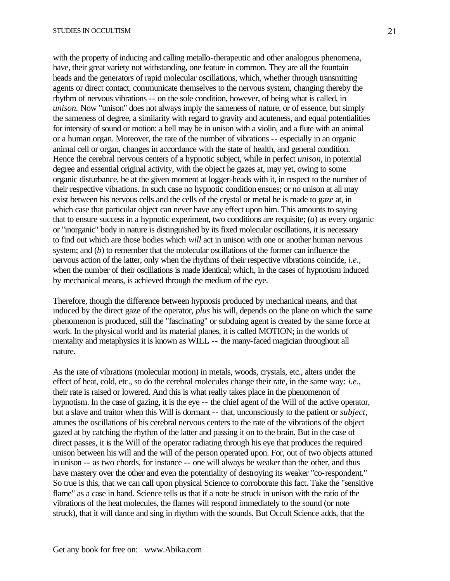with the property of inducing and calling metallo-therapeutic and other analogous phenomena, have, their great variety not withstanding, one feature in common. They are all the fountain heads and the generators of rapid molecular oscillations, which, whether through transmitting agents or direct contact, communicate themselves to the nervous system, changing thereby the rhythm of nervous vibrations -- on the sole condition, however, of being what is called, in *unison.* Now "unison" does not always imply the sameness of nature, or of essence, but simply the sameness of degree, a similarity with regard to gravity and acuteness, and equal potentialities for intensity of sound or motion: a bell may be in unison with a violin, and a flute with an animal or a human organ. Moreover, the rate of the number of vibrations -- especially in an organic animal cell or organ, changes in accordance with the state of health, and general condition. Hence the cerebral nervous centers of a hypnotic subject, while in perfect *unison*, in potential degree and essential original activity, with the object he gazes at, may yet, owing to some organic disturbance, be at the given moment at logger-heads with it, in respect to the number of their respective vibrations. In such case no hypnotic condition ensues; or no unison at all may exist between his nervous cells and the cells of the crystal or metal he is made to gaze at, in which case that particular object can never have any effect upon him. This amounts to saying that to ensure success in a hypnotic experiment, two conditions are requisite; (*a*) as every organic or "inorganic" body in nature is distinguished by its fixed molecular oscillations, it is necessary to find out which are those bodies which *will* act in unison with one or another human nervous system; and (*b*) to remember that the molecular oscillations of the former can influence the nervous action of the latter, only when the rhythms of their respective vibrations coincide, *i.e.,*  when the number of their oscillations is made identical; which, in the cases of hypnotism induced by mechanical means, is achieved through the medium of the eye.

Therefore, though the difference between hypnosis produced by mechanical means, and that induced by the direct gaze of the operator, *plus* his will, depends on the plane on which the same phenomenon is produced, still the "fascinating" or subduing agent is created by the same force at work. In the physical world and its material planes, it is called MOTION; in the worlds of mentality and metaphysics it is known as WILL -- the many-faced magician throughout all nature.

As the rate of vibrations (molecular motion) in metals, woods, crystals, etc., alters under the effect of heat, cold, etc., so do the cerebral molecules change their rate, in the same way: *i.e.,*  their rate is raised or lowered. And this is what really takes place in the phenomenon of hypnotism. In the case of gazing, it is the eye -- the chief agent of the Will of the active operator, but a slave and traitor when this Will is dormant -- that, unconsciously to the patient or *subject,*  attunes the oscillations of his cerebral nervous centers to the rate of the vibrations of the object gazed at by catching the rhythm of the latter and passing it on to the brain. But in the case of direct passes, it is the Will of the operator radiating through his eye that produces the required unison between his will and the will of the person operated upon. For, out of two objects attuned in unison -- as two chords, for instance -- one will always be weaker than the other, and thus have mastery over the other and even the potentiality of destroying its weaker "co-respondent." So true is this, that we can call upon physical Science to corroborate this fact. Take the "sensitive flame" as a case in hand. Science tells us that if a note be struck in unison with the ratio of the vibrations of the heat molecules, the flames will respond immediately to the sound (or note struck), that it will dance and sing in rhythm with the sounds. But Occult Science adds, that the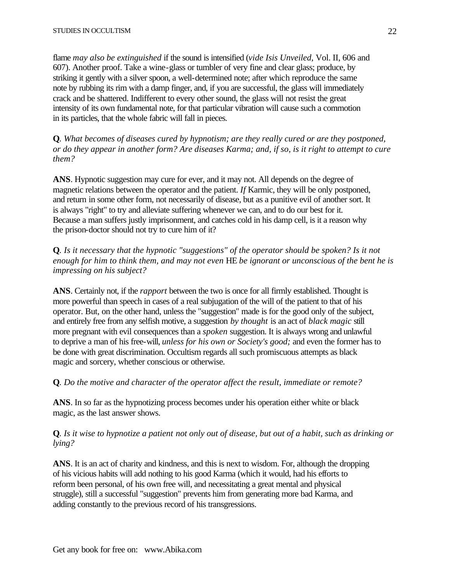flame *may also be extinguished* if the sound is intensified (*vide Isis Unveiled,* Vol. II, 606 and 607). Another proof. Take a wine-glass or tumbler of very fine and clear glass; produce, by striking it gently with a silver spoon, a well-determined note; after which reproduce the same note by rubbing its rim with a damp finger, and, if you are successful, the glass will immediately crack and be shattered. Indifferent to every other sound, the glass will not resist the great intensity of its own fundamental note, for that particular vibration will cause such a commotion in its particles, that the whole fabric will fall in pieces.

**Q***. What becomes of diseases cured by hypnotism; are they really cured or are they postponed, or do they appear in another form? Are diseases Karma; and, if so, is it right to attempt to cure them?*

**ANS**. Hypnotic suggestion may cure for ever, and it may not. All depends on the degree of magnetic relations between the operator and the patient. *If* Karmic, they will be only postponed, and return in some other form, not necessarily of disease, but as a punitive evil of another sort. It is always "right" to try and alleviate suffering whenever we can, and to do our best for it. Because a man suffers justly imprisonment, and catches cold in his damp cell, is it a reason why the prison-doctor should not try to cure him of it?

**Q***. Is it necessary that the hypnotic "suggestions" of the operator should be spoken? Is it not enough for him to think them, and may not even* HE *be ignorant or unconscious of the bent he is impressing on his subject?*

**ANS**. Certainly not, if the *rapport* between the two is once for all firmly established. Thought is more powerful than speech in cases of a real subjugation of the will of the patient to that of his operator. But, on the other hand, unless the "suggestion" made is for the good only of the subject, and entirely free from any selfish motive, a suggestion *by thought* is an act of *black magic* still more pregnant with evil consequences than a *spoken* suggestion. It is always wrong and unlawful to deprive a man of his free-will, *unless for his own or Society's good;* and even the former has to be done with great discrimination. Occultism regards all such promiscuous attempts as black magic and sorcery, whether conscious or otherwise.

**Q***. Do the motive and character of the operator affect the result, immediate or remote?*

**ANS**. In so far as the hypnotizing process becomes under his operation either white or black magic, as the last answer shows.

**Q***. Is it wise to hypnotize a patient not only out of disease, but out of a habit, such as drinking or lying?*

**ANS**. It is an act of charity and kindness, and this is next to wisdom. For, although the dropping of his vicious habits will add nothing to his good Karma (which it would, had his efforts to reform been personal, of his own free will, and necessitating a great mental and physical struggle), still a successful "suggestion" prevents him from generating more bad Karma, and adding constantly to the previous record of his transgressions.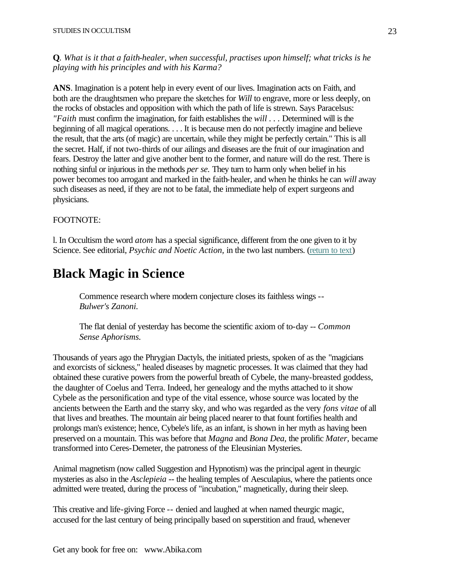**Q***. What is it that a faith-healer, when successful, practises upon himself; what tricks is he playing with his principles and with his Karma?*

**ANS**. Imagination is a potent help in every event of our lives. Imagination acts on Faith, and both are the draughtsmen who prepare the sketches for *Will* to engrave, more or less deeply, on the rocks of obstacles and opposition with which the path of life is strewn. Says Paracelsus: *"Faith* must confirm the imagination, for faith establishes the *will . . .* Determined will is the beginning of all magical operations. . . . It is because men do not perfectly imagine and believe the result, that the arts (of magic) are uncertain, while they might be perfectly certain." This is all the secret. Half, if not two-thirds of our ailings and diseases are the fruit of our imagination and fears. Destroy the latter and give another bent to the former, and nature will do the rest. There is nothing sinful or injurious in the methods *per se.* They turn to harm only when belief in his power becomes too arrogant and marked in the faith-healer, and when he thinks he can *will* away such diseases as need, if they are not to be fatal, the immediate help of expert surgeons and physicians.

#### FOOTNOTE:

l. In Occultism the word *atom* has a special significance, different from the one given to it by Science. See editorial, *Psychic and Noetic Action*, in the two last numbers. (return to text)

## **Black Magic in Science**

Commence research where modern conjecture closes its faithless wings -- *Bulwer's Zanoni.* 

The flat denial of yesterday has become the scientific axiom of to-day *-- Common Sense Aphorisms.* 

Thousands of years ago the Phrygian Dactyls, the initiated priests, spoken of as the "magicians and exorcists of sickness," healed diseases by magnetic processes. It was claimed that they had obtained these curative powers from the powerful breath of Cybele, the many-breasted goddess, the daughter of Coelus and Terra. Indeed, her genealogy and the myths attached to it show Cybele as the personification and type of the vital essence, whose source was located by the ancients between the Earth and the starry sky, and who was regarded as the very *fons vitae* of all that lives and breathes. The mountain air being placed nearer to that fount fortifies health and prolongs man's existence; hence, Cybele's life, as an infant, is shown in her myth as having been preserved on a mountain. This was before that *Magna* and *Bona Dea,* the prolific *Mater,* became transformed into Ceres-Demeter, the patroness of the Eleusinian Mysteries.

Animal magnetism (now called Suggestion and Hypnotism) was the principal agent in theurgic mysteries as also in the *Asclepieia --* the healing temples of Aesculapius, where the patients once admitted were treated, during the process of "incubation," magnetically, during their sleep.

This creative and life-giving Force -- denied and laughed at when named theurgic magic, accused for the last century of being principally based on superstition and fraud, whenever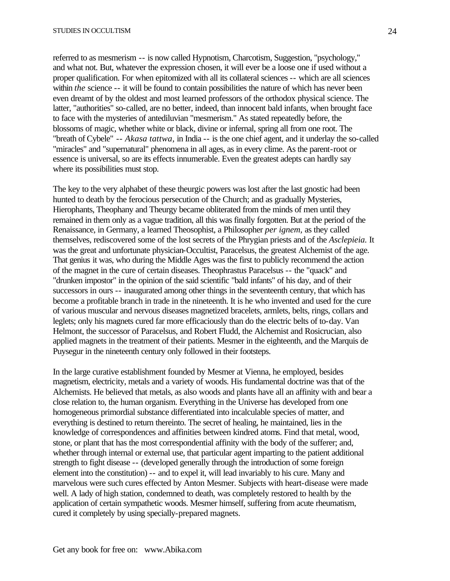referred to as mesmerism -- is now called Hypnotism, Charcotism, Suggestion, "psychology," and what not. But, whatever the expression chosen, it will ever be a loose one if used without a proper qualification. For when epitomized with all its collateral sciences -- which are all sciences within *the* science -- it will be found to contain possibilities the nature of which has never been even dreamt of by the oldest and most learned professors of the orthodox physical science. The latter, "authorities" so-called, are no better, indeed, than innocent bald infants, when brought face to face with the mysteries of antediluvian "mesmerism." As stated repeatedly before, the blossoms of magic, whether white or black, divine or infernal, spring all from one root. The "breath of Cybele" -- *Akasa tattwa,* in India -- is the one chief agent, and it underlay the so-called "miracles" and "supernatural" phenomena in all ages, as in every clime. As the parent-root or essence is universal, so are its effects innumerable. Even the greatest adepts can hardly say where its possibilities must stop.

The key to the very alphabet of these theurgic powers was lost after the last gnostic had been hunted to death by the ferocious persecution of the Church; and as gradually Mysteries, Hierophants, Theophany and Theurgy became obliterated from the minds of men until they remained in them only as a vague tradition, all this was finally forgotten. But at the period of the Renaissance, in Germany, a learned Theosophist, a Philosopher *per ignem,* as they called themselves, rediscovered some of the lost secrets of the Phrygian priests and of the *Asclepieia.* It was the great and unfortunate physician-Occultist, Paracelsus, the greatest Alchemist of the age. That genius it was, who during the Middle Ages was the first to publicly recommend the action of the magnet in the cure of certain diseases. Theophrastus Paracelsus -- the "quack" and "drunken impostor" in the opinion of the said scientific "bald infants" of his day, and of their successors in ours -- inaugurated among other things in the seventeenth century, that which has become a profitable branch in trade in the nineteenth. It is he who invented and used for the cure of various muscular and nervous diseases magnetized bracelets, armlets, belts, rings, collars and leglets; only his magnets cured far more efficaciously than do the electric belts of to-day. Van Helmont, the successor of Paracelsus, and Robert Fludd, the Alchemist and Rosicrucian, also applied magnets in the treatment of their patients. Mesmer in the eighteenth, and the Marquis de Puysegur in the nineteenth century only followed in their footsteps.

In the large curative establishment founded by Mesmer at Vienna, he employed, besides magnetism, electricity, metals and a variety of woods. His fundamental doctrine was that of the Alchemists. He believed that metals, as also woods and plants have all an affinity with and bear a close relation to, the human organism. Everything in the Universe has developed from one homogeneous primordial substance differentiated into incalculable species of matter, and everything is destined to return thereinto. The secret of healing, he maintained, lies in the knowledge of correspondences and affinities between kindred atoms. Find that metal, wood, stone, or plant that has the most correspondential affinity with the body of the sufferer; and, whether through internal or external use, that particular agent imparting to the patient additional strength to fight disease -- (developed generally through the introduction of some foreign element into the constitution) -- and to expel it, will lead invariably to his cure. Many and marvelous were such cures effected by Anton Mesmer. Subjects with heart-disease were made well. A lady of high station, condemned to death, was completely restored to health by the application of certain sympathetic woods. Mesmer himself, suffering from acute rheumatism, cured it completely by using specially-prepared magnets.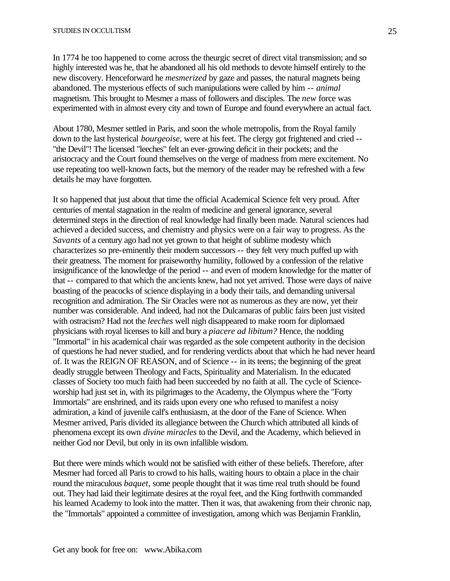In 1774 he too happened to come across the theurgic secret of direct vital transmission; and so highly interested was he, that he abandoned all his old methods to devote himself entirely to the new discovery. Henceforward he *mesmerized* by gaze and passes, the natural magnets being abandoned. The mysterious effects of such manipulations were called by him -- *animal* magnetism. This brought to Mesmer a mass of followers and disciples. The *new* force was experimented with in almost every city and town of Europe and found everywhere an actual fact.

About 1780, Mesmer settled in Paris, and soon the whole metropolis, from the Royal family down to the last hysterical *bourgeoise,* were at his feet. The clergy got frightened and cried -- "the Devil"! The licensed "leeches" felt an ever-growing deficit in their pockets; and the aristocracy and the Court found themselves on the verge of madness from mere excitement. No use repeating too well-known facts, but the memory of the reader may be refreshed with a few details he may have forgotten.

It so happened that just about that time the official Academical Science felt very proud. After centuries of mental stagnation in the realm of medicine and general ignorance, several determined steps in the direction of real knowledge had finally been made. Natural sciences had achieved a decided success, and chemistry and physics were on a fair way to progress. As the *Savants* of a century ago had not yet grown to that height of sublime modesty which characterizes so pre-eminently their modern successors -- they felt very much puffed up with their greatness. The moment for praiseworthy humility, followed by a confession of the relative insignificance of the knowledge of the period -- and even of modern knowledge for the matter of that -- compared to that which the ancients knew, had not yet arrived. Those were days of naive boasting of the peacocks of science displaying in a body their tails, and demanding universal recognition and admiration. The Sir Oracles were not as numerous as they are now, yet their number was considerable. And indeed, had not the Dulcamaras of public fairs been just visited with ostracism? Had not the *leeches* well nigh disappeared to make room for diplomaed physicians with royal licenses to kill and bury a *piacere ad libitum?* Hence, the nodding "Immortal" in his academical chair was regarded as the sole competent authority in the decision of questions he had never studied, and for rendering verdicts about that which he had never heard of. It was the REIGN OF REASON, and of Science -- in its teens; the beginning of the great deadly struggle between Theology and Facts, Spirituality and Materialism. In the educated classes of Society too much faith had been succeeded by no faith at all. The cycle of Scienceworship had just set in, with its pilgrimages to the Academy, the Olympus where the "Forty Immortals" are enshrined, and its raids upon every one who refused to manifest a noisy admiration, a kind of juvenile calf's enthusiasm, at the door of the Fane of Science. When Mesmer arrived, Paris divided its allegiance between the Church which attributed all kinds of phenomena except its own *divine miracles* to the Devil, and the Academy, which believed in neither God nor Devil, but only in its own infallible wisdom.

But there were minds which would not be satisfied with either of these beliefs. Therefore, after Mesmer had forced all Paris to crowd to his halls, waiting hours to obtain a place in the chair round the miraculous *baquet,* some people thought that it was time real truth should be found out. They had laid their legitimate desires at the royal feet, and the King forthwith commanded his learned Academy to look into the matter. Then it was, that awakening from their chronic nap, the "Immortals" appointed a committee of investigation, among which was Benjamin Franklin,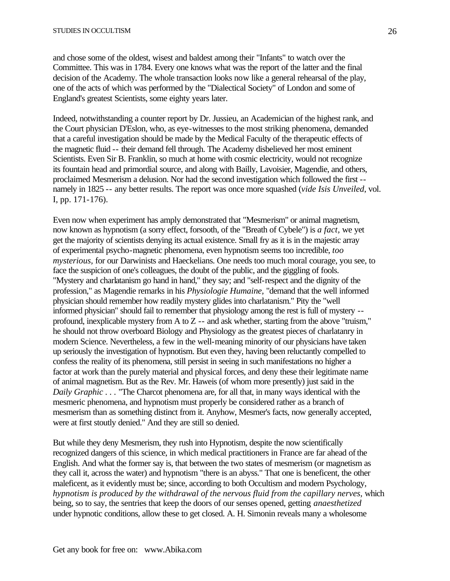and chose some of the oldest, wisest and baldest among their "Infants" to watch over the Committee. This was in 1784. Every one knows what was the report of the latter and the final decision of the Academy. The whole transaction looks now like a general rehearsal of the play, one of the acts of which was performed by the "Dialectical Society" of London and some of England's greatest Scientists, some eighty years later.

Indeed, notwithstanding a counter report by Dr. Jussieu, an Academician of the highest rank, and the Court physician D'Eslon, who, as eye-witnesses to the most striking phenomena, demanded that a careful investigation should be made by the Medical Faculty of the therapeutic effects of the magnetic fluid -- their demand fell through. The Academy disbelieved her most eminent Scientists. Even Sir B. Franklin, so much at home with cosmic electricity, would not recognize its fountain head and primordial source, and along with Bailly, Lavoisier, Magendie, and others, proclaimed Mesmerism a delusion. Nor had the second investigation which followed the first - namely in 1825 -- any better results. The report was once more squashed (*vide Isis Unveiled*, vol. I, pp. 171-176).

Even now when experiment has amply demonstrated that "Mesmerism" or animal magnetism, now known as hypnotism (a sorry effect, forsooth, of the "Breath of Cybele") is *a fact,* we yet get the majority of scientists denying its actual existence. Small fry as it is in the majestic array of experimental psycho-magnetic phenomena, even hypnotism seems too incredible, *too mysterious,* for our Darwinists and Haeckelians. One needs too much moral courage, you see, to face the suspicion of one's colleagues, the doubt of the public, and the giggling of fools. "Mystery and charlatanism go hand in hand," they say; and "self-respect and the dignity of the profession," as Magendie remarks in his *Physiologie Humaine,* "demand that the well informed physician should remember how readily mystery glides into charlatanism." Pity the "well informed physician" should fail to remember that physiology among the rest is full of mystery - profound, inexplicable mystery from A to  $Z$  -- and ask whether, starting from the above "truism," he should not throw overboard Biology and Physiology as the greatest pieces of charlatanry in modern Science. Nevertheless, a few in the well-meaning minority of our physicians have taken up seriously the investigation of hypnotism. But even they, having been reluctantly compelled to confess the reality of its phenomena, still persist in seeing in such manifestations no higher a factor at work than the purely material and physical forces, and deny these their legitimate name of animal magnetism. But as the Rev. Mr. Haweis (of whom more presently) just said in the *Daily Graphic* . . . "The Charcot phenomena are, for all that, in many ways identical with the mesmeric phenomena, and hypnotism must properly be considered rather as a branch of mesmerism than as something distinct from it. Anyhow, Mesmer's facts, now generally accepted, were at first stoutly denied." And they are still so denied.

But while they deny Mesmerism, they rush into Hypnotism, despite the now scientifically recognized dangers of this science, in which medical practitioners in France are far ahead of the English. And what the former say is, that between the two states of mesmerism (or magnetism as they call it, across the water) and hypnotism "there is an abyss." That one is beneficent, the other maleficent, as it evidently must be; since, according to both Occultism and modern Psychology, *hypnotism is produced by the withdrawal of the nervous fluid from the capillary nerves,* which being, so to say, the sentries that keep the doors of our senses opened, getting *anaesthetized*  under hypnotic conditions, allow these to get closed. A. H. Simonin reveals many a wholesome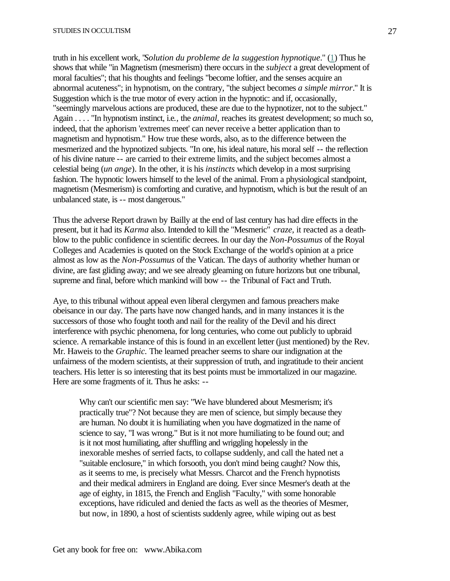truth in his excellent work, "*Solution du probleme de la suggestion hypnotique*." (1) Thus he shows that while "in Magnetism (mesmerism) there occurs in the *subject* a great development of moral faculties"; that his thoughts and feelings "become loftier, and the senses acquire an abnormal acuteness"; in hypnotism, on the contrary, "the subject becomes *a simple mirror*." It is Suggestion which is the true motor of every action in the hypnotic: and if, occasionally, "seemingly marvelous actions are produced, these are due to the hypnotizer, not to the subject." Again . . . . "In hypnotism instinct, i.e*.,* the *animal,* reaches its greatest development; so much so, indeed, that the aphorism 'extremes meet' can never receive a better application than to magnetism and hypnotism." How true these words, also, as to the difference between the mesmerized and the hypnotized subjects. "In one, his ideal nature, his moral self -- the reflection of his divine nature -- are carried to their extreme limits, and the subject becomes almost a celestial being (*un ange*). In the other, it is his *instincts* which develop in a most surprising fashion. The hypnotic lowers himself to the level of the animal. From a physiological standpoint, magnetism (Mesmerism) is comforting and curative, and hypnotism, which is but the result of an unbalanced state, is -- most dangerous."

Thus the adverse Report drawn by Bailly at the end of last century has had dire effects in the present, but it had its *Karma* also. Intended to kill the "Mesmeric" *craze,* it reacted as a deathblow to the public confidence in scientific decrees. In our day the *Non-Possumus* of the Royal Colleges and Academies is quoted on the Stock Exchange of the world's opinion at a price almost as low as the *Non-Possumus* of the Vatican. The days of authority whether human or divine, are fast gliding away; and we see already gleaming on future horizons but one tribunal, supreme and final, before which mankind will bow -- the Tribunal of Fact and Truth.

Aye, to this tribunal without appeal even liberal clergymen and famous preachers make obeisance in our day. The parts have now changed hands, and in many instances it is the successors of those who fought tooth and nail for the reality of the Devil and his direct interference with psychic phenomena, for long centuries, who come out publicly to upbraid science. A remarkable instance of this is found in an excellent letter (just mentioned) by the Rev. Mr. Haweis to the *Graphic.* The learned preacher seems to share our indignation at the unfairness of the modern scientists, at their suppression of truth, and ingratitude to their ancient teachers. His letter is so interesting that its best points must be immortalized in our magazine. Here are some fragments of it. Thus he asks: --

Why can't our scientific men say: "We have blundered about Mesmerism; it's practically true"? Not because they are men of science, but simply because they are human. No doubt it is humiliating when you have dogmatized in the name of science to say, "I was wrong." But is it not more humiliating to be found out; and is it not most humiliating, after shuffling and wriggling hopelessly in the inexorable meshes of serried facts, to collapse suddenly, and call the hated net a "suitable enclosure," in which forsooth, you don't mind being caught? Now this, as it seems to me, is precisely what Messrs. Charcot and the French hypnotists and their medical admirers in England are doing. Ever since Mesmer's death at the age of eighty, in 1815, the French and English "Faculty," with some honorable exceptions, have ridiculed and denied the facts as well as the theories of Mesmer, but now, in 1890, a host of scientists suddenly agree, while wiping out as best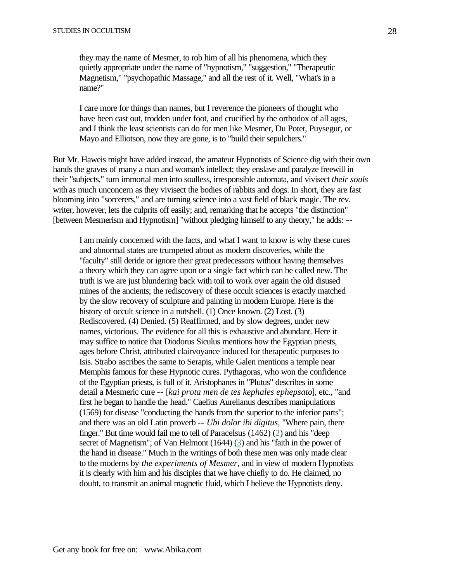they may the name of Mesmer, to rob him of all his phenomena, which they quietly appropriate under the name of "hypnotism," "suggestion," "Therapeutic Magnetism," "psychopathic Massage," and all the rest of it. Well, "What's in a name?"

I care more for things than names, but I reverence the pioneers of thought who have been cast out, trodden under foot, and crucified by the orthodox of all ages, and I think the least scientists can do for men like Mesmer, Du Potet, Puysegur, or Mayo and Elliotson, now they are gone, is to "build their sepulchers."

But Mr. Haweis might have added instead, the amateur Hypnotists of Science dig with their own hands the graves of many a man and woman's intellect; they enslave and paralyze freewill in their "subjects," turn immortal men into soulless, irresponsible automata, and vivisect *their souls*  with as much unconcern as they vivisect the bodies of rabbits and dogs. In short, they are fast blooming into "sorcerers," and are turning science into a vast field of black magic. The rev. writer, however, lets the culprits off easily; and, remarking that he accepts "the distinction" [between Mesmerism and Hypnotism] "without pledging himself to any theory," he adds: --

I am mainly concerned with the facts, and what I want to know is why these cures and abnormal states are trumpeted about as modern discoveries, while the "faculty" still deride or ignore their great predecessors without having themselves a theory which they can agree upon or a single fact which can be called new. The truth is we are just blundering back with toil to work over again the old disused mines of the ancients; the rediscovery of these occult sciences is exactly matched by the slow recovery of sculpture and painting in modern Europe. Here is the history of occult science in a nutshell. (1) Once known. (2) Lost. (3) Rediscovered. (4) Denied. (5) Reaffirmed, and by slow degrees, under new names, victorious. The evidence for all this is exhaustive and abundant. Here it may suffice to notice that Diodorus Siculus mentions how the Egyptian priests, ages before Christ, attributed clairvoyance induced for therapeutic purposes to Isis. Strabo ascribes the same to Serapis, while Galen mentions a temple near Memphis famous for these Hypnotic cures. Pythagoras, who won the confidence of the Egyptian priests, is full of it. Aristophanes in "Plutus" describes in some detail a Mesmeric cure -- [*kai prota men de tes kephales ephepsato*], etc., "and first he began to handle the head." Caelius Aurelianus describes manipulations (1569) for disease "conducting the hands from the superior to the inferior parts"; and there was an old Latin proverb -- *Ubi dolor ibi digitus,* "Where pain, there finger." But time would fail me to tell of Paracelsus (1462) (2) and his "deep secret of Magnetism"; of Van Helmont (1644) (3) and his "faith in the power of the hand in disease." Much in the writings of both these men was only made clear to the moderns by *the experiments of Mesmer,* and in view of modern Hypnotists it is clearly with him and his disciples that we have chiefly to do. He claimed, no doubt, to transmit an animal magnetic fluid, which I believe the Hypnotists deny.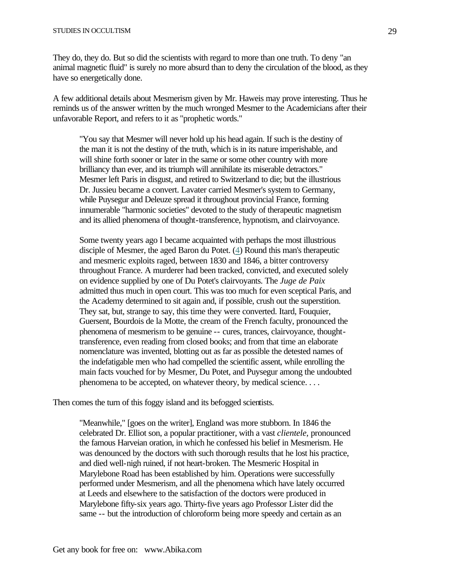They do, they do. But so did the scientists with regard to more than one truth. To deny "an animal magnetic fluid" is surely no more absurd than to deny the circulation of the blood, as they have so energetically done.

A few additional details about Mesmerism given by Mr. Haweis may prove interesting. Thus he reminds us of the answer written by the much wronged Mesmer to the Academicians after their unfavorable Report, and refers to it as "prophetic words."

"You say that Mesmer will never hold up his head again. If such is the destiny of the man it is not the destiny of the truth, which is in its nature imperishable, and will shine forth sooner or later in the same or some other country with more brilliancy than ever, and its triumph will annihilate its miserable detractors." Mesmer left Paris in disgust, and retired to Switzerland to die; but the illustrious Dr. Jussieu became a convert. Lavater carried Mesmer's system to Germany, while Puysegur and Deleuze spread it throughout provincial France, forming innumerable "harmonic societies" devoted to the study of therapeutic magnetism and its allied phenomena of thought-transference, hypnotism, and clairvoyance.

Some twenty years ago I became acquainted with perhaps the most illustrious disciple of Mesmer, the aged Baron du Potet. (4) Round this man's therapeutic and mesmeric exploits raged, between 1830 and 1846, a bitter controversy throughout France. A murderer had been tracked, convicted, and executed solely on evidence supplied by one of Du Potet's clairvoyants. The *Juge de Paix* admitted thus much in open court. This was too much for even sceptical Paris, and the Academy determined to sit again and, if possible, crush out the superstition. They sat, but, strange to say, this time they were converted. Itard, Fouquier, Guersent, Bourdois de la Motte, the cream of the French faculty, pronounced the phenomena of mesmerism to be genuine -- cures, trances, clairvoyance, thoughttransference, even reading from closed books; and from that time an elaborate nomenclature was invented, blotting out as far as possible the detested names of the indefatigable men who had compelled the scientific assent, while enrolling the main facts vouched for by Mesmer, Du Potet, and Puysegur among the undoubted phenomena to be accepted, on whatever theory, by medical science. . . .

Then comes the turn of this foggy island and its befogged scientists.

"Meanwhile," [goes on the writer], England was more stubborn. In 1846 the celebrated Dr. Elliot son, a popular practitioner, with a vast *clientele,* pronounced the famous Harveian oration, in which he confessed his belief in Mesmerism. He was denounced by the doctors with such thorough results that he lost his practice, and died well-nigh ruined, if not heart-broken. The Mesmeric Hospital in Marylebone Road has been established by him. Operations were successfully performed under Mesmerism, and all the phenomena which have lately occurred at Leeds and elsewhere to the satisfaction of the doctors were produced in Marylebone fifty-six years ago. Thirty-five years ago Professor Lister did the same -- but the introduction of chloroform being more speedy and certain as an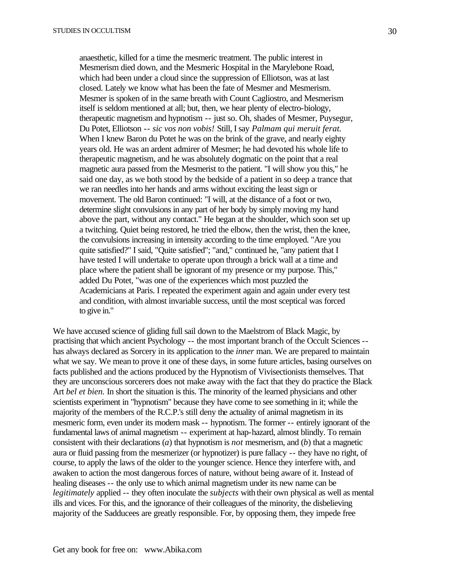anaesthetic, killed for a time the mesmeric treatment. The public interest in Mesmerism died down, and the Mesmeric Hospital in the Marylebone Road, which had been under a cloud since the suppression of Elliotson, was at last closed. Lately we know what has been the fate of Mesmer and Mesmerism. Mesmer is spoken of in the same breath with Count Cagliostro, and Mesmerism itself is seldom mentioned at all; but, then, we hear plenty of electro-biology, therapeutic magnetism and hypnotism -- just so. Oh, shades of Mesmer, Puysegur, Du Potet, Elliotson -- *sic vos non vobis!* Still, I say *Palmam qui meruit ferat.*  When I knew Baron du Potet he was on the brink of the grave, and nearly eighty years old. He was an ardent admirer of Mesmer; he had devoted his whole life to therapeutic magnetism, and he was absolutely dogmatic on the point that a real magnetic aura passed from the Mesmerist to the patient. "I will show you this," he said one day, as we both stood by the bedside of a patient in so deep a trance that we ran needles into her hands and arms without exciting the least sign or movement. The old Baron continued: "I will, at the distance of a foot or two, determine slight convulsions in any part of her body by simply moving my hand above the part, without any contact." He began at the shoulder, which soon set up a twitching. Quiet being restored, he tried the elbow, then the wrist, then the knee, the convulsions increasing in intensity according to the time employed. "Are you quite satisfied?" I said, "Quite satisfied"; "and," continued he, "any patient that I have tested I will undertake to operate upon through a brick wall at a time and place where the patient shall be ignorant of my presence or my purpose. This," added Du Potet, "was one of the experiences which most puzzled the Academicians at Paris. I repeated the experiment again and again under every test and condition, with almost invariable success, until the most sceptical was forced to give in."

We have accused science of gliding full sail down to the Maelstrom of Black Magic, by practising that which ancient Psychology -- the most important branch of the Occult Sciences - has always declared as Sorcery in its application to the *inner* man. We are prepared to maintain what we say. We mean to prove it one of these days, in some future articles, basing ourselves on facts published and the actions produced by the Hypnotism of Vivisectionists themselves. That they are unconscious sorcerers does not make away with the fact that they do practice the Black Art *bel et bien.* In short the situation is this. The minority of the learned physicians and other scientists experiment in "hypnotism" because they have come to see something in it; while the majority of the members of the R.C.P.'s still deny the actuality of animal magnetism in its mesmeric form, even under its modern mask -- hypnotism. The former -- entirely ignorant of the fundamental laws of animal magnetism -- experiment at hap-hazard, almost blindly. To remain consistent with their declarations (*a*) that hypnotism is *not* mesmerism, and (*b*) that a magnetic aura or fluid passing from the mesmerizer (or hypnotizer) is pure fallacy -- they have no right, of course, to apply the laws of the older to the younger science. Hence they interfere with, and awaken to action the most dangerous forces of nature, without being aware of it. Instead of healing diseases -- the only use to which animal magnetism under its new name can be *legitimately* applied -- they often inoculate the *subjects* with their own physical as well as mental ills and vices. For this, and the ignorance of their colleagues of the minority, the disbelieving majority of the Sadducees are greatly responsible. For, by opposing them, they impede free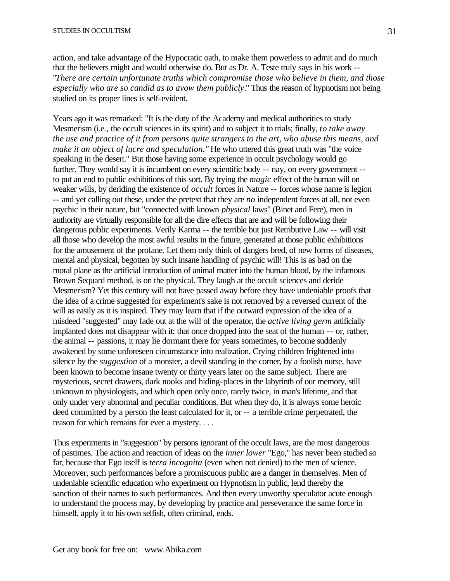action, and take advantage of the Hypocratic oath, to make them powerless to admit and do much that the believers might and would otherwise do. But as Dr. A. Teste truly says in his work -- "*There are certain unfortunate truths which compromise those who believe in them, and those especially who are so candid as to avow them publicly*." Thus the reason of hypnotism not being studied on its proper lines is self-evident.

Years ago it was remarked: "It is the duty of the Academy and medical authorities to study Mesmerism (i.e*.,* the occult sciences in its spirit) and to subject it to trials; finally, *to take away the use and practice of it from persons quite strangers to the art, who abuse this means, and make it an object of lucre and speculation.* "He who uttered this great truth was "the voice speaking in the desert." But those having some experience in occult psychology would go further. They would say it is incumbent on every scientific body -- nay, on every government - to put an end to public exhibitions of this sort. By trying the *magic* effect of the human will on weaker wills, by deriding the existence of *occult* forces in Nature -- forces whose name is legion -- and yet calling out these, under the pretext that they are *no* independent forces at all, not even psychic in their nature, but "connected with known *physical* laws" (Binet and Fere), men in authority are virtually responsible for all the dire effects that are and will be following their dangerous public experiments. Verily Karma -- the terrible but just Retributive Law -- will visit all those who develop the most awful results in the future, generated at those public exhibitions for the amusement of the profane. Let them only think of dangers bred, of new forms of diseases, mental and physical, begotten by such insane handling of psychic will! This is as bad on the moral plane as the artificial introduction of animal matter into the human blood, by the infamous Brown Sequard method, is on the physical. They laugh at the occult sciences and deride Mesmerism? Yet this century will not have passed away before they have undeniable proofs that the idea of a crime suggested for experiment's sake is not removed by a reversed current of the will as easily as it is inspired. They may learn that if the outward expression of the idea of a misdeed "suggested" may fade out at the will of the operator, the *active living germ* artificially implanted does not disappear with it; that once dropped into the seat of the human -- or, rather, the animal -- passions, it may lie dormant there for years sometimes, to become suddenly awakened by some unforeseen circumstance into realization. Crying children frightened into silence by the *suggestion* of a monster, a devil standing in the corner, by a foolish nurse, have been known to become insane twenty or thirty years later on the same subject. There are mysterious, secret drawers, dark nooks and hiding-places in the labyrinth of our memory, still unknown to physiologists, and which open only once, rarely twice, in man's lifetime, and that only under very abnormal and peculiar conditions. But when they do, it is always some heroic deed committed by a person the least calculated for it, or -- a terrible crime perpetrated, the reason for which remains for ever a mystery. . . .

Thus experiments in "suggestion" by persons ignorant of the occult laws, are the most dangerous of pastimes. The action and reaction of ideas on the *inner lower* "Ego," has never been studied so far, because that Ego itself is *terra incognita* (even when not denied) to the men of science. Moreover, such performances before a promiscuous public are a danger in themselves. Men of undeniable scientific education who experiment on Hypnotism in public, lend thereby the sanction of their names to such performances. And then every unworthy speculator acute enough to understand the process may, by developing by practice and perseverance the same force in himself, apply it to his own selfish, often criminal, ends.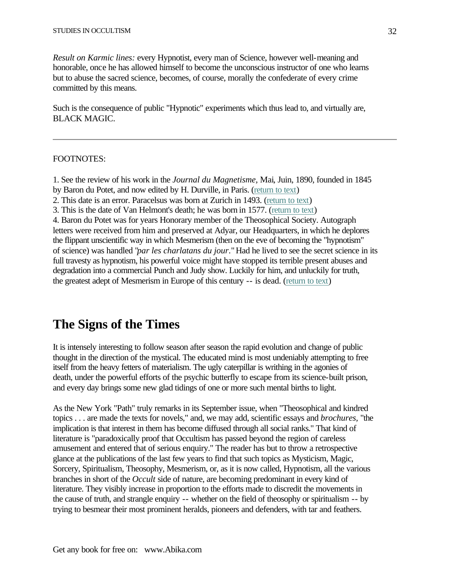*Result on Karmic lines:* every Hypnotist, every man of Science, however well-meaning and honorable, once he has allowed himself to become the unconscious instructor of one who learns but to abuse the sacred science, becomes, of course, morally the confederate of every crime committed by this means.

Such is the consequence of public "Hypnotic" experiments which thus lead to, and virtually are, BLACK MAGIC.

#### FOOTNOTES:

1. See the review of his work in the *Journal du Magnetisme,* Mai*,* Juin, 1890, founded in 1845 by Baron du Potet, and now edited by H. Durville, in Paris. (return to text)

2. This date is an error. Paracelsus was born at Zurich in 1493. (return to text)

3. This is the date of Van Helmont's death; he was born in 1577. (return to text)

4. Baron du Potet was for years Honorary member of the Theosophical Society. Autograph letters were received from him and preserved at Adyar, our Headquarters, in which he deplores the flippant unscientific way in which Mesmerism (then on the eve of becoming the "hypnotism" of science) was handled "*par les charlatans du jour*."Had he lived to see the secret science in its full travesty as hypnotism, his powerful voice might have stopped its terrible present abuses and degradation into a commercial Punch and Judy show. Luckily for him, and unluckily for truth, the greatest adept of Mesmerism in Europe of this century -- is dead. (return to text)

## **The Signs of the Times**

It is intensely interesting to follow season after season the rapid evolution and change of public thought in the direction of the mystical. The educated mind is most undeniably attempting to free itself from the heavy fetters of materialism. The ugly caterpillar is writhing in the agonies of death, under the powerful efforts of the psychic butterfly to escape from its science-built prison, and every day brings some new glad tidings of one or more such mental births to light.

As the New York "Path" truly remarks in its September issue, when "Theosophical and kindred topics . . . are made the texts for novels," and, we may add, scientific essays and *brochures,* "the implication is that interest in them has become diffused through all social ranks." That kind of literature is "paradoxically proof that Occultism has passed beyond the region of careless amusement and entered that of serious enquiry." The reader has but to throw a retrospective glance at the publications of the last few years to find that such topics as Mysticism, Magic, Sorcery, Spiritualism, Theosophy, Mesmerism, or, as it is now called, Hypnotism, all the various branches in short of the *Occult* side of nature, are becoming predominant in every kind of literature. They visibly increase in proportion to the efforts made to discredit the movements in the cause of truth, and strangle enquiry -- whether on the field of theosophy or spiritualism -- by trying to besmear their most prominent heralds, pioneers and defenders, with tar and feathers.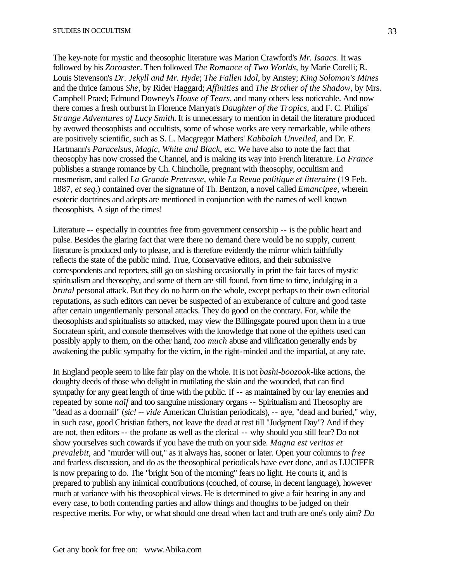The key-note for mystic and theosophic literature was Marion Crawford's *Mr. Isaacs.* It was followed by his *Zoroaster*. Then followed *The Romance of Two Worlds,* by Marie Corelli; R. Louis Stevenson's *Dr. Jekyll and Mr. Hyde*; *The Fallen Idol*, by Anstey; *King Solomon's Mines*  and the thrice famous *She*, by Rider Haggard; *Affinities* and *The Brother of the Shadow,* by Mrs. Campbell Praed; Edmund Downey's *House of Tears*, and many others less noticeable. And now there comes a fresh outburst in Florence Marryat's *Daughter of the Tropics*, and F. C. Philips' *Strange Adventures of Lucy Smith*. It is unnecessary to mention in detail the literature produced by avowed theosophists and occultists, some of whose works are very remarkable, while others are positively scientific, such as S. L. Macgregor Mathers' *Kabbalah Unveiled*, and Dr. F. Hartmann's *Paracelsus*, *Magic, White and Black,* etc. We have also to note the fact that theosophy has now crossed the Channel, and is making its way into French literature. *La France*  publishes a strange romance by Ch. Chincholle, pregnant with theosophy, occultism and mesmerism, and called *La Grande Pretresse,* while *La Revue politique et litteraire* (19 Feb. 1887, *et seq*.) contained over the signature of Th. Bentzon, a novel called *Emancipee,* wherein esoteric doctrines and adepts are mentioned in conjunction with the names of well known theosophists. A sign of the times!

Literature -- especially in countries free from government censorship -- is the public heart and pulse. Besides the glaring fact that were there no demand there would be no supply, current literature is produced only to please, and is therefore evidently the mirror which faithfully reflects the state of the public mind. True, Conservative editors, and their submissive correspondents and reporters, still go on slashing occasionally in print the fair faces of mystic spiritualism and theosophy, and some of them are still found, from time to time, indulging in a *brutal* personal attack. But they do no harm on the whole, except perhaps to their own editorial reputations, as such editors can never be suspected of an exuberance of culture and good taste after certain ungentlemanly personal attacks. They do good on the contrary. For, while the theosophists and spiritualists so attacked, may view the Billingsgate poured upon them in a true Socratean spirit, and console themselves with the knowledge that none of the epithets used can possibly apply to them, on the other hand, *too much* abuse and vilification generally ends by awakening the public sympathy for the victim, in the right-minded and the impartial, at any rate.

In England people seem to like fair play on the whole. It is not *bashi-boozook-*like actions, the doughty deeds of those who delight in mutilating the slain and the wounded, that can find sympathy for any great length of time with the public. If -- as maintained by our lay enemies and repeated by some *naïf* and too sanguine missionary organs -- Spiritualism and Theosophy are "dead as a doornail" (*sic! -- vide* American Christian periodicals), -- aye, "dead and buried," why, in such case, good Christian fathers, not leave the dead at rest till "Judgment Day"? And if they are not, then editors -- the profane as well as the clerical -- why should you still fear? Do not show yourselves such cowards if you have the truth on your side. *Magna est veritas et prevalebit,* and "murder will out," as it always has, sooner or later. Open your columns to *free*  and fearless discussion, and do as the theosophical periodicals have ever done, and as LUCIFER is now preparing to do. The "bright Son of the morning" fears no light. He courts it, and is prepared to publish any inimical contributions (couched, of course, in decent language), however much at variance with his theosophical views. He is determined to give a fair hearing in any and every case, to both contending parties and allow things and thoughts to be judged on their respective merits. For why, or what should one dread when fact and truth are one's only aim? *Du*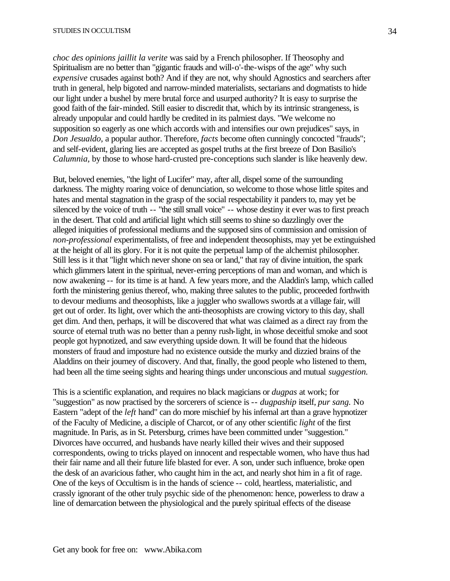*choc des opinions jaillit la verite* was said by a French philosopher. If Theosophy and Spiritualism are no better than "gigantic frauds and will-o'-the-wisps of the age" why such *expensive* crusades against both? And if they are not, why should Agnostics and searchers after truth in general, help bigoted and narrow-minded materialists, sectarians and dogmatists to hide our light under a bushel by mere brutal force and usurped authority? It is easy to surprise the good faith of the fair-minded. Still easier to discredit that, which by its intrinsic strangeness, is already unpopular and could hardly be credited in its palmiest days. "We welcome no supposition so eagerly as one which accords with and intensifies our own prejudices" says, in *Don Jesualdo,* a popular author. Therefore, *facts* become often cunningly concocted "frauds"; and self-evident, glaring lies are accepted as gospel truths at the first breeze of Don Basilio's *Calumnia,* by those to whose hard-crusted pre-conceptions such slander is like heavenly dew.

But, beloved enemies, "the light of Lucifer" may, after all, dispel some of the surrounding darkness. The mighty roaring voice of denunciation, so welcome to those whose little spites and hates and mental stagnation in the grasp of the social respectability it panders to, may yet be silenced by the voice of truth -- "the still small voice" -- whose destiny it ever was to first preach in the desert. That cold and artificial light which still seems to shine so dazzlingly over the alleged iniquities of professional mediums and the supposed sins of commission and omission of *non-professional* experimentalists, of free and independent theosophists, may yet be extinguished at the height of all its glory. For it is not quite the perpetual lamp of the alchemist philosopher. Still less is it that "light which never shone on sea or land," that ray of divine intuition, the spark which glimmers latent in the spiritual, never-erring perceptions of man and woman, and which is now awakening -- for its time is at hand. A few years more, and the Aladdin's lamp, which called forth the ministering genius thereof, who, making three salutes to the public, proceeded forthwith to devour mediums and theosophists, like a juggler who swallows swords at a village fair, will get out of order. Its light, over which the anti-theosophists are crowing victory to this day, shall get dim. And then, perhaps, it will be discovered that what was claimed as a direct ray from the source of eternal truth was no better than a penny rush-light, in whose deceitful smoke and soot people got hypnotized, and saw everything upside down. It will be found that the hideous monsters of fraud and imposture had no existence outside the murky and dizzied brains of the Aladdins on their journey of discovery. And that, finally, the good people who listened to them, had been all the time seeing sights and hearing things under unconscious and mutual *suggestion.* 

This is a scientific explanation, and requires no black magicians or *dugpas* at work; for "suggestion" as now practised by the sorcerers of science is -- *dugpaship* itself, *pur sang.* No Eastern "adept of the *left* hand" can do more mischief by his infernal art than a grave hypnotizer of the Faculty of Medicine, a disciple of Charcot, or of any other scientific *light* of the first magnitude. In Paris, as in St. Petersburg, crimes have been committed under "suggestion." Divorces have occurred, and husbands have nearly killed their wives and their supposed correspondents, owing to tricks played on innocent and respectable women, who have thus had their fair name and all their future life blasted for ever. A son, under such influence, broke open the desk of an avaricious father, who caught him in the act, and nearly shot him in a fit of rage. One of the keys of Occultism is in the hands of science -- cold, heartless, materialistic, and crassly ignorant of the other truly psychic side of the phenomenon: hence, powerless to draw a line of demarcation between the physiological and the purely spiritual effects of the disease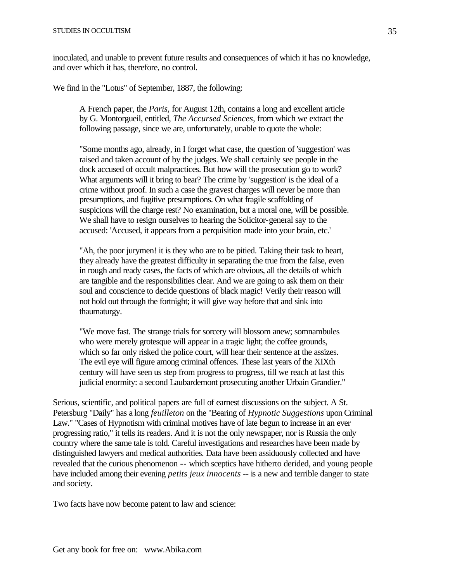inoculated, and unable to prevent future results and consequences of which it has no knowledge, and over which it has, therefore, no control.

We find in the "Lotus" of September, 1887, the following:

A French paper, the *Paris,* for August 12th, contains a long and excellent article by G. Montorgueil, entitled, *The Accursed Sciences,* from which we extract the following passage, since we are, unfortunately, unable to quote the whole:

"Some months ago, already, in I forget what case, the question of 'suggestion' was raised and taken account of by the judges. We shall certainly see people in the dock accused of occult malpractices. But how will the prosecution go to work? What arguments will it bring to bear? The crime by 'suggestion' is the ideal of a crime without proof. In such a case the gravest charges will never be more than presumptions, and fugitive presumptions. On what fragile scaffolding of suspicions will the charge rest? No examination, but a moral one, will be possible. We shall have to resign ourselves to hearing the Solicitor-general say to the accused: 'Accused, it appears from a perquisition made into your brain, etc.'

"Ah, the poor jurymen! it is they who are to be pitied. Taking their task to heart, they already have the greatest difficulty in separating the true from the false, even in rough and ready cases, the facts of which are obvious, all the details of which are tangible and the responsibilities clear. And we are going to ask them on their soul and conscience to decide questions of black magic! Verily their reason will not hold out through the fortnight; it will give way before that and sink into thaumaturgy.

"We move fast. The strange trials for sorcery will blossom anew; somnambules who were merely grotesque will appear in a tragic light; the coffee grounds, which so far only risked the police court, will hear their sentence at the assizes. The evil eye will figure among criminal offences. These last years of the XIXth century will have seen us step from progress to progress, till we reach at last this judicial enormity: a second Laubardemont prosecuting another Urbain Grandier."

Serious, scientific, and political papers are full of earnest discussions on the subject. A St. Petersburg "Daily" has a long *feuilleton* on the "Bearing of *Hypnotic Suggestions* upon Criminal Law." "Cases of Hypnotism with criminal motives have of late begun to increase in an ever progressing ratio," it tells its readers. And it is not the only newspaper, nor is Russia the only country where the same tale is told. Careful investigations and researches have been made by distinguished lawyers and medical authorities. Data have been assiduously collected and have revealed that the curious phenomenon -- which sceptics have hitherto derided, and young people have included among their evening *petits jeux innocents --* is a new and terrible danger to state and society.

Two facts have now become patent to law and science: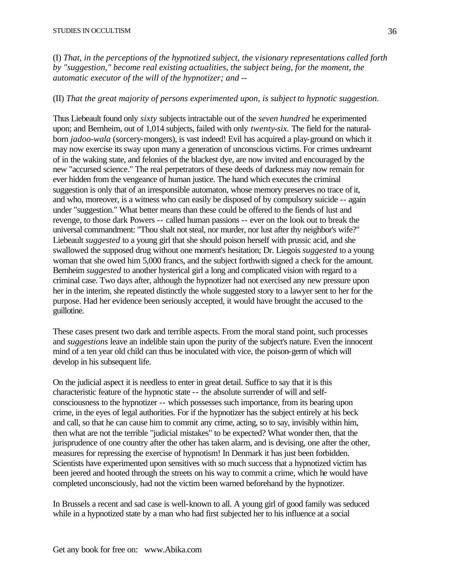(I) *That, in the perceptions of the hypnotized subject, the visionary representations called forth by "suggestion," become real existing actualities, the subject being, for the moment, the automatic executor of the will of the hypnotizer; and --*

#### (II) *That the great majority of persons experimented upon, is subject to hypnotic suggestion.*

Thus Liebeault found only *sixty* subjects intractable out of the *seven hundred* he experimented upon; and Bernheim, out of 1,014 subjects, failed with only *twenty-six.* The field for the naturalborn *jadoo-wala* (sorcery-mongers), is vast indeed! Evil has acquired a play-ground on which it may now exercise its sway upon many a generation of unconscious victims. For crimes undreamt of in the waking state, and felonies of the blackest dye, are now invited and encouraged by the new "accursed science." The real perpetrators of these deeds of darkness may now remain for ever hidden from the vengeance of human justice. The hand which executes the criminal suggestion is only that of an irresponsible automaton, whose memory preserves no trace of it, and who, moreover, is a witness who can easily be disposed of by compulsory suicide -- again under "suggestion." What better means than these could be offered to the fiends of lust and revenge, to those dark Powers -- called human passions -- ever on the look out to break the universal commandment: "Thou shalt not steal, nor murder, nor lust after thy neighbor's wife?" Liebeault *suggested* to a young girl that she should poison herself with prussic acid, and she swallowed the supposed drug without one moment's hesitation; Dr. Liegois *suggested* to a young woman that she owed him 5,000 francs, and the subject forthwith signed a check for the amount. Bernheim *suggested* to another hysterical girl a long and complicated vision with regard to a criminal case. Two days after, although the hypnotizer had not exercised any new pressure upon her in the interim, she repeated distinctly the whole suggested story to a lawyer sent to her for the purpose. Had her evidence been seriously accepted, it would have brought the accused to the guillotine.

These cases present two dark and terrible aspects. From the moral stand point, such processes and *suggestions* leave an indelible stain upon the purity of the subject's nature. Even the innocent mind of a ten year old child can thus be inoculated with vice, the poison-germ of which will develop in his subsequent life.

On the judicial aspect it is needless to enter in great detail. Suffice to say that it is this characteristic feature of the hypnotic state -- the absolute surrender of will and selfconsciousness to the hypnotizer -- which possesses such importance, from its bearing upon crime, in the eyes of legal authorities. For if the hypnotizer has the subject entirely at his beck and call, so that he can cause him to commit any crime, acting, so to say, invisibly within him, then what are not the terrible "judicial mistakes" to be expected? What wonder then, that the jurisprudence of one country after the other has taken alarm, and is devising, one after the other, measures for repressing the exercise of hypnotism! In Denmark it has just been forbidden. Scientists have experimented upon sensitives with so much success that a hypnotized victim has been jeered and hooted through the streets on his way to commit a crime, which he would have completed unconsciously, had not the victim been warned beforehand by the hypnotizer.

In Brussels a recent and sad case is well-known to all. A young girl of good family was seduced while in a hypnotized state by a man who had first subjected her to his influence at a social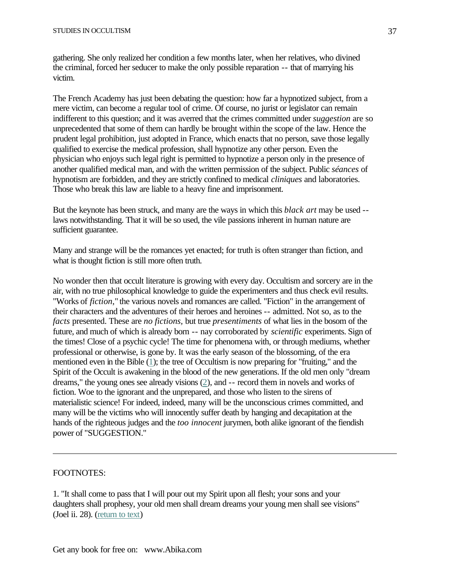gathering. She only realized her condition a few months later, when her relatives, who divined the criminal, forced her seducer to make the only possible reparation -- that of marrying his victim.

The French Academy has just been debating the question: how far a hypnotized subject, from a mere victim, can become a regular tool of crime. Of course, no jurist or legislator can remain indifferent to this question; and it was averred that the crimes committed under *suggestion* are so unprecedented that some of them can hardly be brought within the scope of the law. Hence the prudent legal prohibition, just adopted in France, which enacts that no person, save those legally qualified to exercise the medical profession, shall hypnotize any other person. Even the physician who enjoys such legal right is permitted to hypnotize a person only in the presence of another qualified medical man, and with the written permission of the subject. Public *séances* of hypnotism are forbidden, and they are strictly confined to medical *cliniques* and laboratories. Those who break this law are liable to a heavy fine and imprisonment.

But the keynote has been struck, and many are the ways in which this *black art* may be used - laws notwithstanding. That it will be so used, the vile passions inherent in human nature are sufficient guarantee.

Many and strange will be the romances yet enacted; for truth is often stranger than fiction, and what is thought fiction is still more often truth.

No wonder then that occult literature is growing with every day. Occultism and sorcery are in the air, with no true philosophical knowledge to guide the experimenters and thus check evil results. "Works of *fiction*," the various novels and romances are called. "Fiction" in the arrangement of their characters and the adventures of their heroes and heroines -- admitted. Not so, as to the *facts* presented. These are *no fictions,* but true *presentiments* of what lies in the bosom of the future, and much of which is already born -- nay corroborated by *scientific* experiments. Sign of the times! Close of a psychic cycle! The time for phenomena with, or through mediums, whether professional or otherwise, is gone by. It was the early season of the blossoming, of the era mentioned even in the Bible (1); the tree of Occultism is now preparing for "fruiting," and the Spirit of the Occult is awakening in the blood of the new generations. If the old men only "dream dreams," the young ones see already visions (2), and -- record them in novels and works of fiction. Woe to the ignorant and the unprepared, and those who listen to the sirens of materialistic science! For indeed, indeed, many will be the unconscious crimes committed, and many will be the victims who will innocently suffer death by hanging and decapitation at the hands of the righteous judges and the *too innocent* jurymen, both alike ignorant of the fiendish power of "SUGGESTION."

### FOOTNOTES:

1. "It shall come to pass that I will pour out my Spirit upon all flesh; your sons and your daughters shall prophesy, your old men shall dream dreams your young men shall see visions" (Joel ii. 28). (return to text)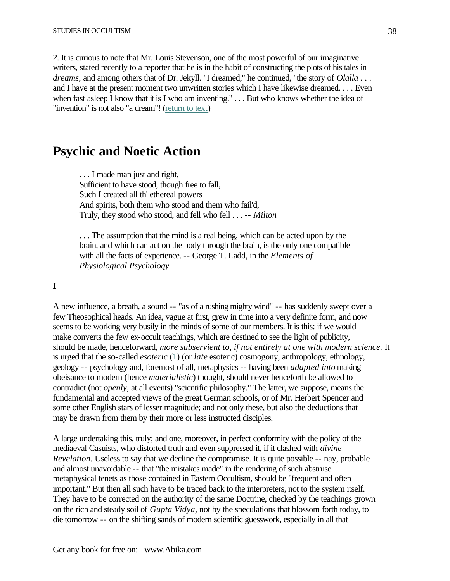2. It is curious to note that Mr. Louis Stevenson, one of the most powerful of our imaginative writers, stated recently to a reporter that he is in the habit of constructing the plots of his tales in *dreams,* and among others that of Dr. Jekyll. "I dreamed," he continued, "the story of *Olalla* . . . and I have at the present moment two unwritten stories which I have likewise dreamed. . . . Even when fast asleep I know that it is I who am inventing." . . . But who knows whether the idea of "invention" is not also "a dream"! (return to text)

### **Psychic and Noetic Action**

. . . I made man just and right, Sufficient to have stood, though free to fall, Such I created all th' ethereal powers And spirits, both them who stood and them who fail'd, Truly, they stood who stood, and fell who fell . . . -- *Milton*

. . . The assumption that the mind is a real being, which can be acted upon by the brain, and which can act on the body through the brain, is the only one compatible with all the facts of experience. -- George T. Ladd, in the *Elements of Physiological Psychology*

#### **I**

A new influence, a breath, a sound -- "as of a rushing mighty wind" -- has suddenly swept over a few Theosophical heads. An idea, vague at first, grew in time into a very definite form, and now seems to be working very busily in the minds of some of our members. It is this: if we would make converts the few ex-occult teachings, which are destined to see the light of publicity, should be made, henceforward, *more subservient to, if not entirely at one with modern science.* It is urged that the so-called *esoteric* (1) (or *late* esoteric) cosmogony, anthropology, ethnology, geology -- psychology and, foremost of all, metaphysics -- having been *adapted into* making obeisance to modern (hence *materialistic*) thought, should never henceforth be allowed to contradict (not *openly,* at all events) "scientific philosophy." The latter, we suppose, means the fundamental and accepted views of the great German schools, or of Mr. Herbert Spencer and some other English stars of lesser magnitude; and not only these, but also the deductions that may be drawn from them by their more or less instructed disciples.

A large undertaking this, truly; and one, moreover, in perfect conformity with the policy of the mediaeval Casuists, who distorted truth and even suppressed it, if it clashed with *divine Revelation.* Useless to say that we decline the compromise. It is quite possible -- nay, probable and almost unavoidable -- that "the mistakes made" in the rendering of such abstruse metaphysical tenets as those contained in Eastern Occultism, should be "frequent and often important." But then all such have to be traced back to the interpreters, not to the system itself. They have to be corrected on the authority of the same Doctrine, checked by the teachings grown on the rich and steady soil of *Gupta Vidya,* not by the speculations that blossom forth today, to die tomorrow -- on the shifting sands of modern scientific guesswork, especially in all that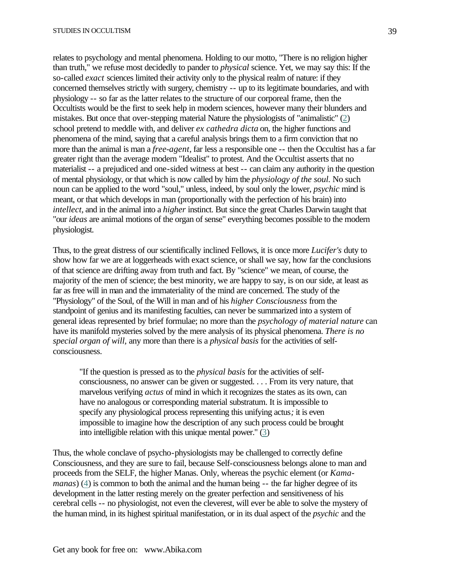relates to psychology and mental phenomena. Holding to our motto, "There is no religion higher than truth," we refuse most decidedly to pander to *physical* science. Yet, we may say this: If the so-called *exact* sciences limited their activity only to the physical realm of nature: if they concerned themselves strictly with surgery, chemistry -- up to its legitimate boundaries, and with physiology -- so far as the latter relates to the structure of our corporeal frame, then the Occultists would be the first to seek help in modern sciences, however many their blunders and mistakes. But once that over-stepping material Nature the physiologists of "animalistic" (2) school pretend to meddle with, and deliver *ex cathedra dicta* on, the higher functions and phenomena of the mind, saying that a careful analysis brings them to a firm conviction that no more than the animal is man a *free-agent,* far less a responsible one -- then the Occultist has a far greater right than the average modern "Idealist" to protest. And the Occultist asserts that no materialist -- a prejudiced and one-sided witness at best -- can claim any authority in the question of mental physiology, or that which is now called by him the *physiology of the soul.* No such noun can be applied to the word "soul," unless, indeed, by soul only the lower, *psychic* mind is meant, or that which develops in man (proportionally with the perfection of his brain) into *intellect,* and in the animal into a *higher* instinct. But since the great Charles Darwin taught that "our *ideas* are animal motions of the organ of sense" everything becomes possible to the modern physiologist.

Thus, to the great distress of our scientifically inclined Fellows, it is once more *Lucifer's* duty to show how far we are at loggerheads with exact science, or shall we say, how far the conclusions of that science are drifting away from truth and fact. By "science" we mean, of course, the majority of the men of science; the best minority, we are happy to say, is on our side, at least as far as free will in man and the immateriality of the mind are concerned. The study of the "Physiology" of the Soul, of the Will in man and of his *higher Consciousness* from the standpoint of genius and its manifesting faculties, can never be summarized into a system of general ideas represented by brief formulae; no more than the *psychology of material nature* can have its manifold mysteries solved by the mere analysis of its physical phenomena. *There is no special organ of will,* any more than there is a *physical basis* for the activities of selfconsciousness.

"If the question is pressed as to the *physical basis* for the activities of selfconsciousness, no answer can be given or suggested. . . . From its very nature, that marvelous verifying *actus* of mind in which it recognizes the states as its own, can have no analogous or corresponding material substratum. It is impossible to specify any physiological process representing this unifying actus*;* it is even impossible to imagine how the description of any such process could be brought into intelligible relation with this unique mental power." (3)

Thus, the whole conclave of psycho-physiologists may be challenged to correctly define Consciousness, and they are sure to fail, because Self-consciousness belongs alone to man and proceeds from the SELF, the higher Manas. Only, whereas the psychic element (or *Kamamanas*) (4) is common to both the animal and the human being -- the far higher degree of its development in the latter resting merely on the greater perfection and sensitiveness of his cerebral cells -- no physiologist, not even the cleverest, will ever be able to solve the mystery of the human mind, in its highest spiritual manifestation, or in its dual aspect of the *psychic* and the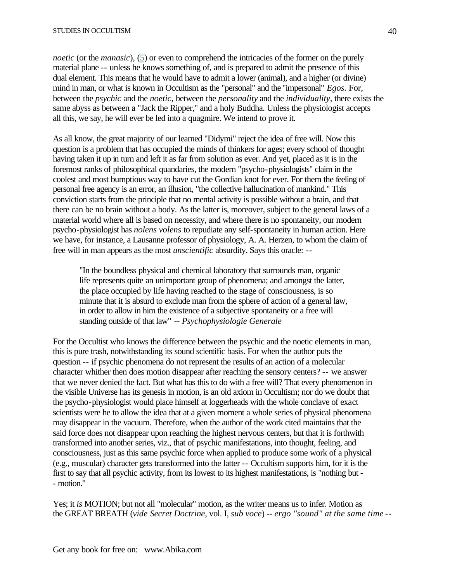*noetic* (or the *manasic*), (5) or even to comprehend the intricacies of the former on the purely material plane -- unless he knows something of, and is prepared to admit the presence of this dual element. This means that he would have to admit a lower (animal), and a higher (or divine) mind in man, or what is known in Occultism as the "personal" and the "impersonal" *Egos.* For, between the *psychic* and the *noetic,* between the *personality* and the *individuality,* there exists the same abyss as between a "Jack the Ripper," and a holy Buddha. Unless the physiologist accepts all this, we say, he will ever be led into a quagmire. We intend to prove it.

As all know, the great majority of our learned "Didymi" reject the idea of free will. Now this question is a problem that has occupied the minds of thinkers for ages; every school of thought having taken it up in turn and left it as far from solution as ever. And yet, placed as it is in the foremost ranks of philosophical quandaries, the modern "psycho-physiologists" claim in the coolest and most bumptious way to have cut the Gordian knot for ever. For them the feeling of personal free agency is an error, an illusion, "the collective hallucination of mankind." This conviction starts from the principle that no mental activity is possible without a brain, and that there can be no brain without a body. As the latter is, moreover, subject to the general laws of a material world where all is based on necessity, and where there is no spontaneity, our modern psycho-physiologist has *nolens volens* to repudiate any self-spontaneity in human action. Here we have, for instance, a Lausanne professor of physiology, A. A. Herzen, to whom the claim of free will in man appears as the most *unscientific* absurdity. Says this oracle: --

"In the boundless physical and chemical laboratory that surrounds man, organic life represents quite an unimportant group of phenomena; and amongst the latter, the place occupied by life having reached to the stage of consciousness, is so minute that it is absurd to exclude man from the sphere of action of a general law, in order to allow in him the existence of a subjective spontaneity or a free will standing outside of that law" *-- Psychophysiologie Generale*

For the Occultist who knows the difference between the psychic and the noetic elements in man, this is pure trash, notwithstanding its sound scientific basis. For when the author puts the question -- if psychic phenomena do not represent the results of an action of a molecular character whither then does motion disappear after reaching the sensory centers? -- we answer that we never denied the fact. But what has this to do with a free will? That every phenomenon in the visible Universe has its genesis in motion, is an old axiom in Occultism; nor do we doubt that the psycho-physiologist would place himself at loggerheads with the whole conclave of exact scientists were he to allow the idea that at a given moment a whole series of physical phenomena may disappear in the vacuum. Therefore, when the author of the work cited maintains that the said force does not disappear upon reaching the highest nervous centers, but that it is forthwith transformed into another series, viz., that of psychic manifestations, into thought, feeling, and consciousness, just as this same psychic force when applied to produce some work of a physical (e.g., muscular) character gets transformed into the latter -- Occultism supports him, for it is the first to say that all psychic activity, from its lowest to its highest manifestations, is "nothing but - - motion."

Yes; it *is* MOTION; but not all "molecular" motion, as the writer means us to infer. Motion as the GREAT BREATH (*vide Secret Doctrine*, vol. I, *sub voce*) *-- ergo "sound" at the same time* --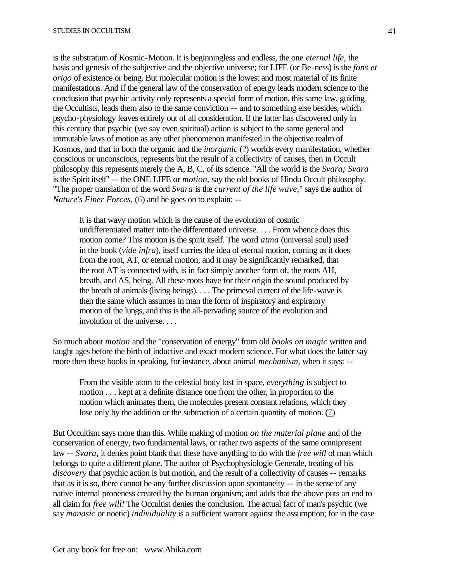is the substratum of Kosmic-Motion. It is beginningless and endless, the one *eternal life,* the basis and genesis of the subjective and the objective universe; for LIFE (or Be-ness) is the *fons et origo* of existence or being. But molecular motion is the lowest and most material of its finite manifestations. And if the general law of the conservation of energy leads modern science to the conclusion that psychic activity only represents a special form of motion, this same law, guiding the Occultists, leads them also to the same conviction -- and to something else besides, which psycho-physiology leaves entirely out of all consideration. If the latter has discovered only in this century that psychic (we say even spiritual) action is subject to the same general and immutable laws of motion as any other phenomenon manifested in the objective realm of Kosmos, and that in both the organic and the *inorganic* (?) worlds every manifestation, whether conscious or unconscious, represents but the result of a collectivity of causes, then in Occult philosophy this represents merely the A, B, C, of its science. "All the world is the *Svara; Svara* is the Spirit itself" -- the ONE LIFE or *motion,* say the old books of Hindu Occult philosophy. "The proper translation of the word *Svara* is the *current of the life wave,*" says the author of *Nature's Finer Forces*, (6) and he goes on to explain: --

It is that wavy motion which is the cause of the evolution of cosmic undifferentiated matter into the differentiated universe. . . . From whence does this motion come? This motion is the spirit itself. The word *atma* (universal soul) used in the book (*vide infra*), itself carries the idea of eternal motion, coming as it does from the root, AT, or eternal motion; and it may be significantly remarked, that the root AT is connected with, is in fact simply another form of, the roots AH, breath, and AS, being. All these roots have for their origin the sound produced by the breath of animals (living beings). . . . The primeval current of the life-wave is then the same which assumes in man the form of inspiratory and expiratory motion of the lungs, and this is the all-pervading source of the evolution and involution of the universe. . . .

So much about *motion* and the "conservation of energy" from old *books on magic* written and taught ages before the birth of inductive and exact modern science. For what does the latter say more then these books in speaking, for instance, about animal *mechanism,* when it says: --

From the visible atom to the celestial body lost in space, *everything* is subject to motion . . . kept at a definite distance one from the other, in proportion to the motion which animates them, the molecules present constant relations, which they lose only by the addition or the subtraction of a certain quantity of motion. (7)

But Occultism says more than this. While making of motion *on the material plane* and of the conservation of energy, two fundamental laws, or rather two aspects of the same omnipresent law -- *Svara,* it denies point blank that these have anything to do with the *free will* of man which belongs to quite a different plane. The author of Psychophysiologie Generale, treating of his *discovery* that psychic action is but motion, and the result of a collectivity of causes -- remarks that as it is so, there cannot be any further discussion upon spontaneity -- in the sense of any native internal proneness created by the human organism; and adds that the above puts an end to all claim for *free will!* The Occultist denies the conclusion. The actual fact of man's psychic (we say *manasic* or noetic) *individuality* is a sufficient warrant against the assumption; for in the case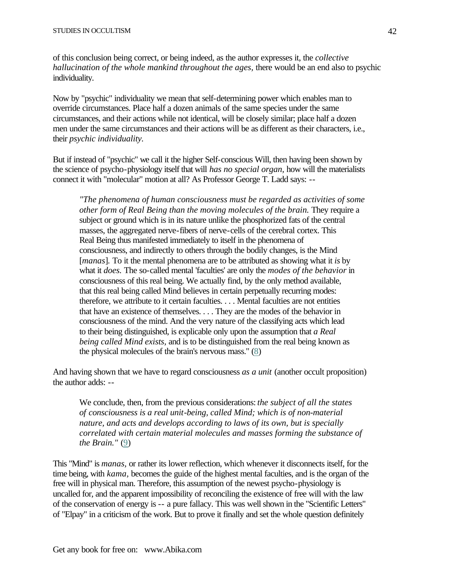of this conclusion being correct, or being indeed, as the author expresses it, the *collective hallucination of the whole mankind throughout the ages,* there would be an end also to psychic individuality.

Now by "psychic" individuality we mean that self-determining power which enables man to override circumstances. Place half a dozen animals of the same species under the same circumstances, and their actions while not identical, will be closely similar; place half a dozen men under the same circumstances and their actions will be as different as their characters, i.e., their *psychic individuality.*

But if instead of "psychic" we call it the higher Self-conscious Will, then having been shown by the science of psycho-physiology itself that will *has no special organ,* how will the materialists connect it with "molecular" motion at all? As Professor George T. Ladd says: --

*"The phenomena of human consciousness must be regarded as activities of some other form of Real Being than the moving molecules of the brain.* They require a subject or ground which is in its nature unlike the phosphorized fats of the central masses, the aggregated nerve-fibers of nerve-cells of the cerebral cortex. This Real Being thus manifested immediately to itself in the phenomena of consciousness, and indirectly to others through the bodily changes, is the Mind [*manas*]*.* To it the mental phenomena are to be attributed as showing what it *is* by what it *does.* The so-called mental 'faculties' are only the *modes of the behavior* in consciousness of this real being. We actually find, by the only method available, that this real being called Mind believes in certain perpetually recurring modes: therefore, we attribute to it certain faculties. . . . Mental faculties are not entities that have an existence of themselves. . . . They are the modes of the behavior in consciousness of the mind. And the very nature of the classifying acts which lead to their being distinguished, is explicable only upon the assumption that *a Real being called Mind exists,* and is to be distinguished from the real being known as the physical molecules of the brain's nervous mass." (8)

And having shown that we have to regard consciousness *as a unit* (another occult proposition) the author adds: --

We conclude, then, from the previous considerations: *the subject of all the states of consciousness is a real unit-being, called Mind; which is of non-material nature, and acts and develops according to laws of its own, but is specially correlated with certain material molecules and masses forming the substance of the Brain."* (9)

This "Mind" is *manas,* or rather its lower reflection, which whenever it disconnects itself, for the time being, with *kama,* becomes the guide of the highest mental faculties, and is the organ of the free will in physical man. Therefore, this assumption of the newest psycho-physiology is uncalled for, and the apparent impossibility of reconciling the existence of free will with the law of the conservation of energy is -- a pure fallacy. This was well shown in the "Scientific Letters" of "Elpay" in a criticism of the work. But to prove it finally and set the whole question definitely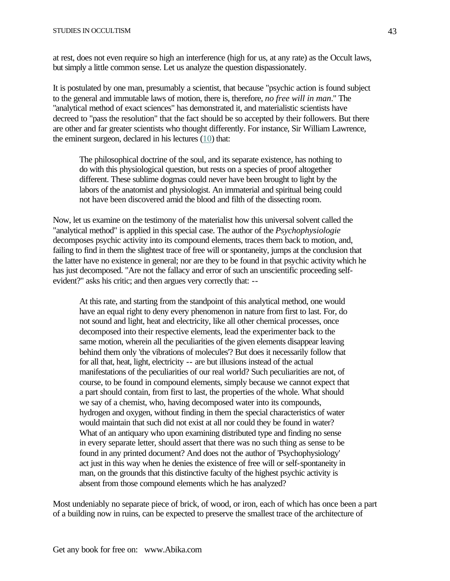at rest, does not even require so high an interference (high for us, at any rate) as the Occult laws, but simply a little common sense. Let us analyze the question dispassionately.

It is postulated by one man, presumably a scientist, that because "psychic action is found subject to the general and immutable laws of motion, there is, therefore, *no free will in man*." The "analytical method of exact sciences" has demonstrated it, and materialistic scientists have decreed to "pass the resolution" that the fact should be so accepted by their followers. But there are other and far greater scientists who thought differently. For instance, Sir William Lawrence, the eminent surgeon, declared in his lectures (10) that:

The philosophical doctrine of the soul, and its separate existence, has nothing to do with this physiological question, but rests on a species of proof altogether different. These sublime dogmas could never have been brought to light by the labors of the anatomist and physiologist. An immaterial and spiritual being could not have been discovered amid the blood and filth of the dissecting room.

Now, let us examine on the testimony of the materialist how this universal solvent called the "analytical method" is applied in this special case. The author of the *Psychophysiologie* decomposes psychic activity into its compound elements, traces them back to motion, and, failing to find in them the slightest trace of free will or spontaneity, jumps at the conclusion that the latter have no existence in general; nor are they to be found in that psychic activity which he has just decomposed. "Are not the fallacy and error of such an unscientific proceeding selfevident?" asks his critic; and then argues very correctly that: --

At this rate, and starting from the standpoint of this analytical method, one would have an equal right to deny every phenomenon in nature from first to last. For, do not sound and light, heat and electricity, like all other chemical processes, once decomposed into their respective elements, lead the experimenter back to the same motion, wherein all the peculiarities of the given elements disappear leaving behind them only 'the vibrations of molecules'? But does it necessarily follow that for all that, heat, light, electricity -- are but illusions instead of the actual manifestations of the peculiarities of our real world? Such peculiarities are not, of course, to be found in compound elements, simply because we cannot expect that a part should contain, from first to last, the properties of the whole. What should we say of a chemist, who, having decomposed water into its compounds, hydrogen and oxygen, without finding in them the special characteristics of water would maintain that such did not exist at all nor could they be found in water? What of an antiquary who upon examining distributed type and finding no sense in every separate letter, should assert that there was no such thing as sense to be found in any printed document? And does not the author of 'Psychophysiology' act just in this way when he denies the existence of free will or self-spontaneity in man, on the grounds that this distinctive faculty of the highest psychic activity is absent from those compound elements which he has analyzed?

Most undeniably no separate piece of brick, of wood, or iron, each of which has once been a part of a building now in ruins, can be expected to preserve the smallest trace of the architecture of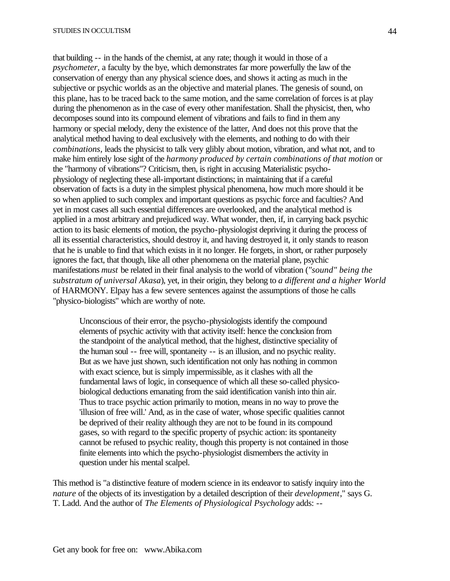that building -- in the hands of the chemist, at any rate; though it would in those of a *psychometer,* a faculty by the bye, which demonstrates far more powerfully the law of the conservation of energy than any physical science does, and shows it acting as much in the subjective or psychic worlds as an the objective and material planes. The genesis of sound, on this plane, has to be traced back to the same motion, and the same correlation of forces is at play during the phenomenon as in the case of every other manifestation. Shall the physicist, then, who decomposes sound into its compound element of vibrations and fails to find in them any harmony or special melody, deny the existence of the latter, And does not this prove that the analytical method having to deal exclusively with the elements, and nothing to do with their *combinations,* leads the physicist to talk very glibly about motion, vibration, and what not, and to make him entirely lose sight of the *harmony produced by certain combinations of that motion* or the "harmony of vibrations"? Criticism, then, is right in accusing Materialistic psychophysiology of neglecting these all-important distinctions; in maintaining that if a careful observation of facts is a duty in the simplest physical phenomena, how much more should it be so when applied to such complex and important questions as psychic force and faculties? And yet in most cases all such essential differences are overlooked, and the analytical method is applied in a most arbitrary and prejudiced way. What wonder, then, if, in carrying back psychic action to its basic elements of motion, the psycho-physiologist depriving it during the process of all its essential characteristics, should destroy it, and having destroyed it, it only stands to reason that he is unable to find that which exists in it no longer. He forgets, in short, or rather purposely ignores the fact, that though, like all other phenomena on the material plane, psychic manifestations *must* be related in their final analysis to the world of vibration (*"sound" being the substratum of universal Akasa*), yet, in their origin, they belong to *a different and a higher World*  of HARMONY. Elpay has a few severe sentences against the assumptions of those he calls "physico-biologists" which are worthy of note.

Unconscious of their error, the psycho-physiologists identify the compound elements of psychic activity with that activity itself: hence the conclusion from the standpoint of the analytical method, that the highest, distinctive speciality of the human soul -- free will, spontaneity -- is an illusion, and no psychic reality. But as we have just shown, such identification not only has nothing in common with exact science, but is simply impermissible, as it clashes with all the fundamental laws of logic, in consequence of which all these so-called physicobiological deductions emanating from the said identification vanish into thin air. Thus to trace psychic action primarily to motion, means in no way to prove the 'illusion of free will.' And, as in the case of water, whose specific qualities cannot be deprived of their reality although they are not to be found in its compound gases, so with regard to the specific property of psychic action: its spontaneity cannot be refused to psychic reality, though this property is not contained in those finite elements into which the psycho-physiologist dismembers the activity in question under his mental scalpel.

This method is "a distinctive feature of modern science in its endeavor to satisfy inquiry into the *nature* of the objects of its investigation by a detailed description of their *development*," says G. T. Ladd. And the author of *The Elements of Physiological Psychology* adds: --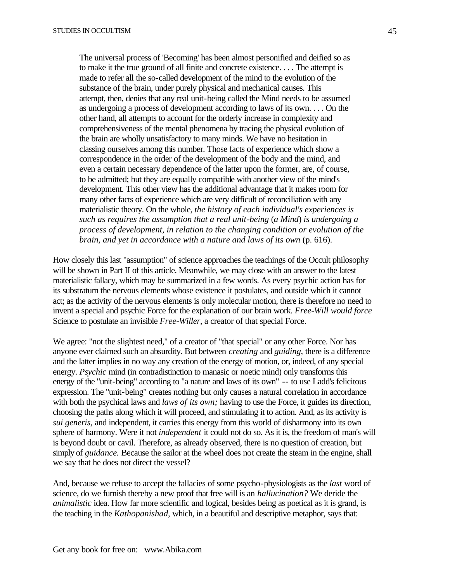The universal process of 'Becoming' has been almost personified and deified so as to make it the true ground of all finite and concrete existence. . . . The attempt is made to refer all the so-called development of the mind to the evolution of the substance of the brain, under purely physical and mechanical causes. This attempt, then, denies that any real unit-being called the Mind needs to be assumed as undergoing a process of development according to laws of its own. . . . On the other hand, all attempts to account for the orderly increase in complexity and comprehensiveness of the mental phenomena by tracing the physical evolution of the brain are wholly unsatisfactory to many minds. We have no hesitation in classing ourselves among this number. Those facts of experience which show a correspondence in the order of the development of the body and the mind, and even a certain necessary dependence of the latter upon the former, are, of course, to be admitted; but they are equally compatible with another view of the mind's development. This other view has the additional advantage that it makes room for many other facts of experience which are very difficult of reconciliation with any materialistic theory. On the whole, *the history of each individual's experiences is such as requires the assumption that a real unit-being* (*a Mind*) *is undergoing a process of development, in relation to the changing condition or evolution of the brain, and yet in accordance with a nature and laws of its own* (p. 616).

How closely this last "assumption" of science approaches the teachings of the Occult philosophy will be shown in Part II of this article. Meanwhile, we may close with an answer to the latest materialistic fallacy, which may be summarized in a few words. As every psychic action has for its substratum the nervous elements whose existence it postulates, and outside which it cannot act; as the activity of the nervous elements is only molecular motion, there is therefore no need to invent a special and psychic Force for the explanation of our brain work. *Free-Will would force* Science to postulate an invisible *Free-Willer,* a creator of that special Force.

We agree: "not the slightest need," of a creator of "that special" or any other Force. Nor has anyone ever claimed such an absurdity. But between *creating* and *guiding,* there is a difference and the latter implies in no way any creation of the energy of motion, or, indeed, of any special energy. *Psychic* mind (in contradistinction to manasic or noetic mind) only transforms this energy of the "unit-being" according to "a nature and laws of its own" -- to use Ladd's felicitous expression. The "unit-being" creates nothing but only causes a natural correlation in accordance with both the psychical laws and *laws of its own;* having to use the Force, it guides its direction, choosing the paths along which it will proceed, and stimulating it to action. And, as its activity is *sui generis,* and independent, it carries this energy from this world of disharmony into its own sphere of harmony. Were it not *independent* it could not do so. As it is, the freedom of man's will is beyond doubt or cavil. Therefore, as already observed, there is no question of creation, but simply of *guidance*. Because the sailor at the wheel does not create the steam in the engine, shall we say that he does not direct the vessel?

And, because we refuse to accept the fallacies of some psycho-physiologists as the *last* word of science, do we furnish thereby a new proof that free will is an *hallucination?* We deride the *animalistic* idea. How far more scientific and logical, besides being as poetical as it is grand, is the teaching in the *Kathopanishad,* which, in a beautiful and descriptive metaphor, says that: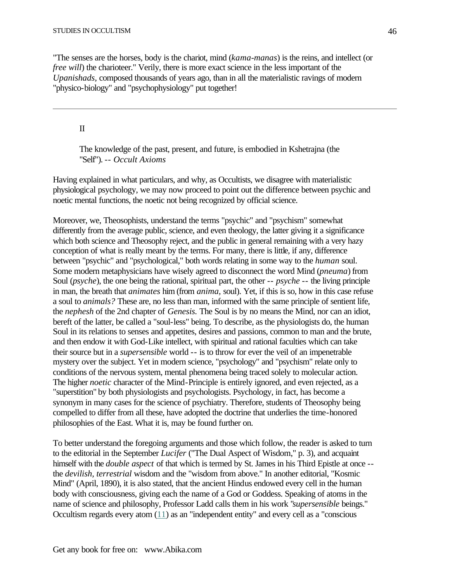"The senses are the horses, body is the chariot, mind (*kama-manas*) is the reins, and intellect (or *free will*) the charioteer." Verily, there is more exact science in the less important of the *Upanishads,* composed thousands of years ago, than in all the materialistic ravings of modern "physico-biology" and "psychophysiology" put together!

### II

The knowledge of the past, present, and future, is embodied in Kshetrajna (the "Self"). -- *Occult Axioms*

Having explained in what particulars, and why, as Occultists, we disagree with materialistic physiological psychology, we may now proceed to point out the difference between psychic and noetic mental functions, the noetic not being recognized by official science.

Moreover, we, Theosophists, understand the terms "psychic" and "psychism" somewhat differently from the average public, science, and even theology, the latter giving it a significance which both science and Theosophy reject, and the public in general remaining with a very hazy conception of what is really meant by the terms. For many, there is little, if any, difference between "psychic" and "psychological," both words relating in some way to the *human* soul. Some modern metaphysicians have wisely agreed to disconnect the word Mind (*pneuma*) from Soul (*psyche*), the one being the rational, spiritual part, the other -- *psyche* -- the living principle in man, the breath that *animates* him (from *anima,* soul). Yet, if this is so, how in this case refuse a soul to *animals?* These are, no less than man, informed with the same principle of sentient life, the *nephesh* of the 2nd chapter of *Genesis.* The Soul is by no means the Mind, nor can an idiot, bereft of the latter, be called a "soul-less" being. To describe, as the physiologists do, the human Soul in its relations to senses and appetites, desires and passions, common to man and the brute, and then endow it with God-Like intellect, with spiritual and rational faculties which can take their source but in a *supersensible* world -- is to throw for ever the veil of an impenetrable mystery over the subject. Yet in modern science, "psychology" and "psychism" relate only to conditions of the nervous system, mental phenomena being traced solely to molecular action. The higher *noetic* character of the Mind-Principle is entirely ignored, and even rejected, as a "superstition" by both physiologists and psychologists. Psychology, in fact, has become a synonym in many cases for the science of psychiatry. Therefore, students of Theosophy being compelled to differ from all these, have adopted the doctrine that underlies the time-honored philosophies of the East. What it is, may be found further on.

To better understand the foregoing arguments and those which follow, the reader is asked to turn to the editorial in the September *Lucifer* ("The Dual Aspect of Wisdom," p. 3), and acquaint himself with the *double aspect* of that which is termed by St. James in his Third Epistle at once - the *devilish, terrestrial* wisdom and the "wisdom from above." In another editorial, "Kosmic Mind" (April, 1890), it is also stated, that the ancient Hindus endowed every cell in the human body with consciousness, giving each the name of a God or Goddess. Speaking of atoms in the name of science and philosophy, Professor Ladd calls them in his work "*supersensible* beings." Occultism regards every atom (11) as an "independent entity" and every cell as a "conscious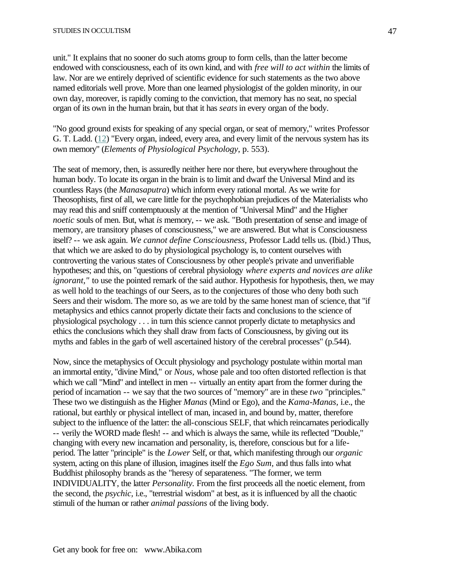unit." It explains that no sooner do such atoms group to form cells, than the latter become endowed with consciousness, each of its own kind, and with *free will to act within* the limits of law. Nor are we entirely deprived of scientific evidence for such statements as the two above named editorials well prove. More than one learned physiologist of the golden minority, in our own day, moreover, is rapidly coming to the conviction, that memory has no seat, no special organ of its own in the human brain, but that it has *seats* in every organ of the body.

"No good ground exists for speaking of any special organ, or seat of memory," writes Professor G. T. Ladd. (12) "Every organ, indeed, every area, and every limit of the nervous system has its own memory" (*Elements of Physiological Psychology*, p. 553).

The seat of memory, then, is assuredly neither here nor there, but everywhere throughout the human body. To locate its organ in the brain is to limit and dwarf the Universal Mind and its countless Rays (the *Manasaputra*) which inform every rational mortal. As we write for Theosophists, first of all, we care little for the psychophobian prejudices of the Materialists who may read this and sniff contemptuously at the mention of "Universal Mind" and the Higher *noetic* souls of men. But, what *is* memory, -- we ask. "Both presentation of sense and image of memory, are transitory phases of consciousness," we are answered. But what is Consciousness itself? -- we ask again. *We cannot define Consciousness,* Professor Ladd tells us. (Ibid.) Thus, that which we are asked to do by physiological psychology is, to content ourselves with controverting the various states of Consciousness by other people's private and unverifiable hypotheses; and this, on "questions of cerebral physiology *where experts and novices are alike ignorant*," to use the pointed remark of the said author. Hypothesis for hypothesis, then, we may as well hold to the teachings of our Seers, as to the conjectures of those who deny both such Seers and their wisdom. The more so, as we are told by the same honest man of science, that "if metaphysics and ethics cannot properly dictate their facts and conclusions to the science of physiological psychology . . . in turn this science cannot properly dictate to metaphysics and ethics the conclusions which they shall draw from facts of Consciousness, by giving out its myths and fables in the garb of well ascertained history of the cerebral processes" (p.544).

Now, since the metaphysics of Occult physiology and psychology postulate within mortal man an immortal entity, "divine Mind," or *Nous,* whose pale and too often distorted reflection is that which we call "Mind" and intellect in men -- virtually an entity apart from the former during the period of incarnation -- we say that the two sources of "memory" are in these *two* "principles." These two we distinguish as the Higher *Manas* (Mind or Ego), and the *Kama-Manas,* i.e., the rational, but earthly or physical intellect of man, incased in, and bound by, matter, therefore subject to the influence of the latter: the all-conscious SELF, that which reincarnates periodically -- verily the WORD made flesh! -- and which is always the same, while its reflected "Double," changing with every new incarnation and personality, is, therefore, conscious but for a lifeperiod. The latter "principle" is the *Lower* Self, or that, which manifesting through our *organic* system, acting on this plane of illusion, imagines itself the *Ego Sum,* and thus falls into what Buddhist philosophy brands as the "heresy of separateness. "The former, we term INDIVIDUALITY, the latter *Personality.* From the first proceeds all the noetic element, from the second, the *psychic,* i.e., "terrestrial wisdom" at best, as it is influenced by all the chaotic stimuli of the human or rather *animal passions* of the living body.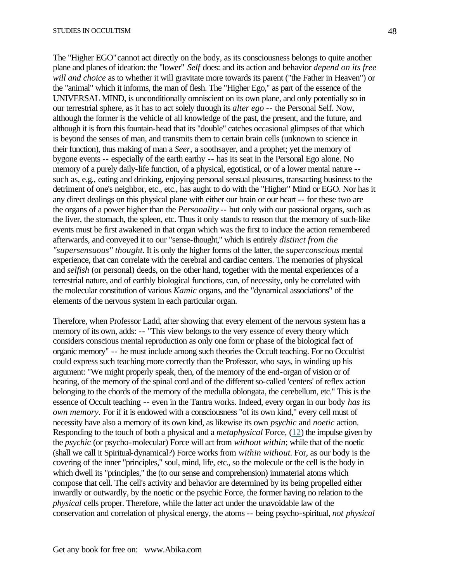The "Higher EGO" cannot act directly on the body, as its consciousness belongs to quite another plane and planes of ideation: the "lower" *Self* does: and its action and behavior *depend on its free will and choice* as to whether it will gravitate more towards its parent ("the Father in Heaven") or the "animal" which it informs, the man of flesh. The "Higher Ego," as part of the essence of the UNIVERSAL MIND, is unconditionally omniscient on its own plane, and only potentially so in our terrestrial sphere, as it has to act solely through its *alter ego* -- the Personal Self. Now, although the former is the vehicle of all knowledge of the past, the present, and the future, and although it is from this fountain-head that its "double" catches occasional glimpses of that which is beyond the senses of man, and transmits them to certain brain cells (unknown to science in their function), thus making of man a *Seer,* a soothsayer, and a prophet; yet the memory of bygone events -- especially of the earth earthy -- has its seat in the Personal Ego alone. No memory of a purely daily-life function, of a physical, egotistical, or of a lower mental nature - such as, e.g*.,* eating and drinking, enjoying personal sensual pleasures, transacting business to the detriment of one's neighbor, etc., etc., has aught to do with the "Higher" Mind or EGO. Nor has it any direct dealings on this physical plane with either our brain or our heart -- for these two are the organs of a power higher than the *Personality* -- but only with our passional organs, such as the liver, the stomach, the spleen, etc. Thus it only stands to reason that the memory of such-like events must be first awakened in that organ which was the first to induce the action remembered afterwards, and conveyed it to our "sense-thought," which is entirely *distinct from the* 

*"supersensuous" thought.* It is only the higher forms of the latter, the *superconscious* mental experience, that can correlate with the cerebral and cardiac centers. The memories of physical and *selfish* (or personal) deeds, on the other hand, together with the mental experiences of a terrestrial nature, and of earthly biological functions, can, of necessity, only be correlated with the molecular constitution of various *Kamic* organs, and the "dynamical associations" of the elements of the nervous system in each particular organ.

Therefore, when Professor Ladd, after showing that every element of the nervous system has a memory of its own, adds: -- "This view belongs to the very essence of every theory which considers conscious mental reproduction as only one form or phase of the biological fact of organic memory" -- he must include among such theories the Occult teaching. For no Occultist could express such teaching more correctly than the Professor, who says, in winding up his argument: "We might properly speak, then, of the memory of the end-organ of vision or of hearing, of the memory of the spinal cord and of the different so-called 'centers' of reflex action belonging to the chords of the memory of the medulla oblongata, the cerebellum, etc." This is the essence of Occult teaching -- even in the Tantra works. Indeed, every organ in our body *has its own memory.* For if it is endowed with a consciousness "of its own kind," every cell must of necessity have also a memory of its own kind, as likewise its own *psychic* and *noetic* action. Responding to the touch of both a physical and a *metaphysical* Force, (12) the impulse given by the *psychic* (or psycho-molecular) Force will act from *without within*; while that of the noetic (shall we call it Spiritual-dynamical?) Force works from *within without.* For, as our body is the covering of the inner "principles," soul, mind, life, etc., so the molecule or the cell is the body in which dwell its "principles," the (to our sense and comprehension) immaterial atoms which compose that cell. The cell's activity and behavior are determined by its being propelled either inwardly or outwardly, by the noetic or the psychic Force, the former having no relation to the *physical* cells proper. Therefore, while the latter act under the unavoidable law of the conservation and correlation of physical energy, the atoms -- being psycho-spiritual, *not physical*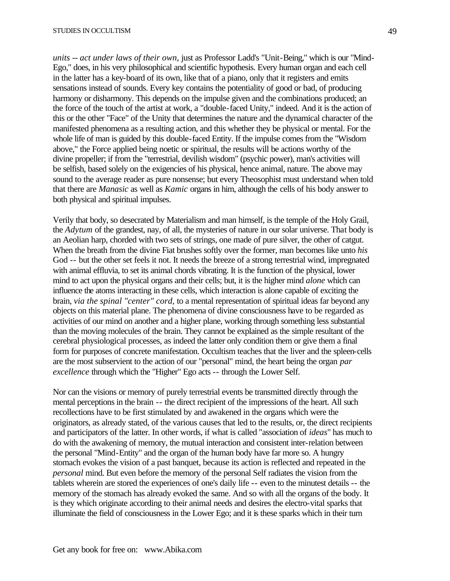*units -- act under laws of their own,* just as Professor Ladd's "Unit-Being," which is our "Mind-Ego," does, in his very philosophical and scientific hypothesis. Every human organ and each cell in the latter has a key-board of its own, like that of a piano, only that it registers and emits sensations instead of sounds. Every key contains the potentiality of good or bad, of producing harmony or disharmony. This depends on the impulse given and the combinations produced; an the force of the touch of the artist at work, a "double-faced Unity," indeed. And it is the action of this or the other "Face" of the Unity that determines the nature and the dynamical character of the manifested phenomena as a resulting action, and this whether they be physical or mental. For the whole life of man is guided by this double-faced Entity. If the impulse comes from the "Wisdom above," the Force applied being noetic or spiritual, the results will be actions worthy of the divine propeller; if from the "terrestrial, devilish wisdom" (psychic power), man's activities will be selfish, based solely on the exigencies of his physical, hence animal, nature. The above may sound to the average reader as pure nonsense; but every Theosophist must understand when told that there are *Manasic* as well as *Kamic* organs in him, although the cells of his body answer to both physical and spiritual impulses.

Verily that body, so desecrated by Materialism and man himself, is the temple of the Holy Grail, the *Adytum* of the grandest, nay, of all, the mysteries of nature in our solar universe. That body is an Aeolian harp, chorded with two sets of strings, one made of pure silver, the other of catgut. When the breath from the divine Fiat brushes softly over the former, man becomes like unto *his* God -- but the other set feels it not. It needs the breeze of a strong terrestrial wind, impregnated with animal effluvia, to set its animal chords vibrating. It is the function of the physical, lower mind to act upon the physical organs and their cells; but, it is the higher mind *alone* which can influence the atoms interacting in these cells, which interaction is alone capable of exciting the brain, *via the spinal "center" cord,* to a mental representation of spiritual ideas far beyond any objects on this material plane. The phenomena of divine consciousness have to be regarded as activities of our mind on another and a higher plane, working through something less substantial than the moving molecules of the brain. They cannot be explained as the simple resultant of the cerebral physiological processes, as indeed the latter only condition them or give them a final form for purposes of concrete manifestation. Occultism teaches that the liver and the spleen-cells are the most subservient to the action of our "personal" mind, the heart being the organ *par excellence* through which the "Higher" Ego acts -- through the Lower Self.

Nor can the visions or memory of purely terrestrial events be transmitted directly through the mental perceptions in the brain -- the direct recipient of the impressions of the heart. All such recollections have to be first stimulated by and awakened in the organs which were the originators, as already stated, of the various causes that led to the results, or, the direct recipients and participators of the latter. In other words, if what is called "association of *ideas*" has much to do with the awakening of memory, the mutual interaction and consistent inter-relation between the personal "Mind-Entity" and the organ of the human body have far more so. A hungry stomach evokes the vision of a past banquet, because its action is reflected and repeated in the *personal* mind. But even before the memory of the personal Self radiates the vision from the tablets wherein are stored the experiences of one's daily life -- even to the minutest details -- the memory of the stomach has already evoked the same. And so with all the organs of the body. It is they which originate according to their animal needs and desires the electro-vital sparks that illuminate the field of consciousness in the Lower Ego; and it is these sparks which in their turn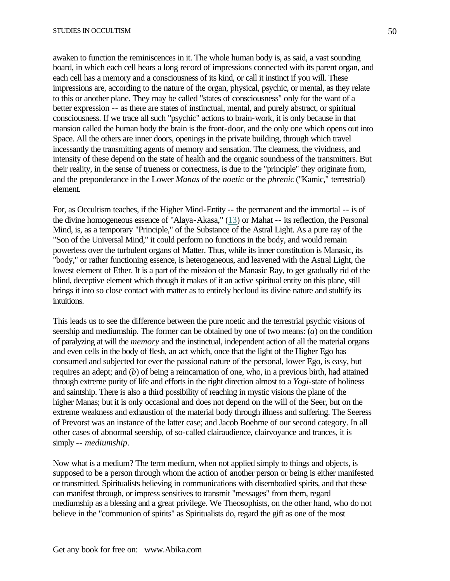awaken to function the reminiscences in it. The whole human body is, as said, a vast sounding board, in which each cell bears a long record of impressions connected with its parent organ, and each cell has a memory and a consciousness of its kind, or call it instinct if you will. These impressions are, according to the nature of the organ, physical, psychic, or mental, as they relate to this or another plane. They may be called "states of consciousness" only for the want of a better expression -- as there are states of instinctual, mental, and purely abstract, or spiritual consciousness. If we trace all such "psychic" actions to brain-work, it is only because in that mansion called the human body the brain is the front-door, and the only one which opens out into Space. All the others are inner doors, openings in the private building, through which travel incessantly the transmitting agents of memory and sensation. The clearness, the vividness, and intensity of these depend on the state of health and the organic soundness of the transmitters. But their reality, in the sense of trueness or correctness, is due to the "principle" they originate from, and the preponderance in the Lower *Manas* of the *noetic* or the *phrenic* ("Kamic," terrestrial) element.

For, as Occultism teaches, if the Higher Mind-Entity -- the permanent and the immortal -- is of the divine homogeneous essence of "Alaya-Akasa," (13) or Mahat -- its reflection, the Personal Mind, is, as a temporary "Principle," of the Substance of the Astral Light. As a pure ray of the "Son of the Universal Mind," it could perform no functions in the body, and would remain powerless over the turbulent organs of Matter. Thus, while its inner constitution is Manasic, its "body," or rather functioning essence, is heterogeneous, and leavened with the Astral Light, the lowest element of Ether. It is a part of the mission of the Manasic Ray, to get gradually rid of the blind, deceptive element which though it makes of it an active spiritual entity on this plane, still brings it into so close contact with matter as to entirely becloud its divine nature and stultify its intuitions.

This leads us to see the difference between the pure noetic and the terrestrial psychic visions of seership and mediumship. The former can be obtained by one of two means: (*a*) on the condition of paralyzing at will the *memory* and the instinctual, independent action of all the material organs and even cells in the body of flesh, an act which, once that the light of the Higher Ego has consumed and subjected for ever the passional nature of the personal, lower Ego, is easy, but requires an adept; and (*b*) of being a reincarnation of one, who, in a previous birth, had attained through extreme purity of life and efforts in the right direction almost to a *Yogi*-state of holiness and saintship. There is also a third possibility of reaching in mystic visions the plane of the higher Manas; but it is only occasional and does not depend on the will of the Seer, but on the extreme weakness and exhaustion of the material body through illness and suffering. The Seeress of Prevorst was an instance of the latter case; and Jacob Boehme of our second category. In all other cases of abnormal seership, of so-called clairaudience, clairvoyance and trances, it is simply -- *mediumship*.

Now what is a medium? The term medium, when not applied simply to things and objects, is supposed to be a person through whom the action of another person or being is either manifested or transmitted. Spiritualists believing in communications with disembodied spirits, and that these can manifest through, or impress sensitives to transmit "messages" from them, regard mediumship as a blessing and a great privilege. We Theosophists, on the other hand, who do not believe in the "communion of spirits" as Spiritualists do, regard the gift as one of the most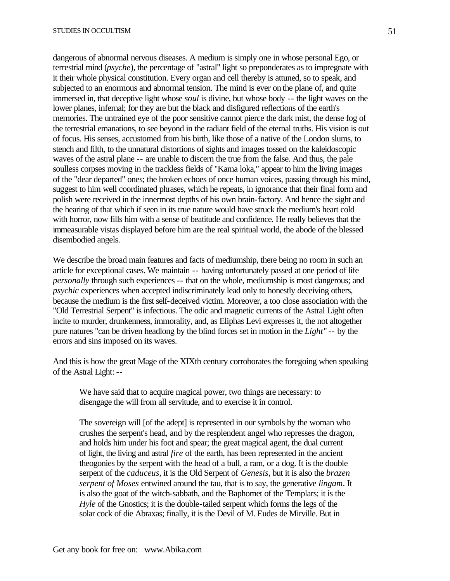dangerous of abnormal nervous diseases. A medium is simply one in whose personal Ego, or terrestrial mind (*psyche*), the percentage of "astral" light so preponderates as to impregnate with it their whole physical constitution. Every organ and cell thereby is attuned, so to speak, and subjected to an enormous and abnormal tension. The mind is ever on the plane of, and quite immersed in, that deceptive light whose *soul* is divine, but whose body -- the light waves on the lower planes, infernal; for they are but the black and disfigured reflections of the earth's memories. The untrained eye of the poor sensitive cannot pierce the dark mist, the dense fog of the terrestrial emanations, to see beyond in the radiant field of the eternal truths. His vision is out of focus. His senses, accustomed from his birth, like those of a native of the London slums, to stench and filth, to the unnatural distortions of sights and images tossed on the kaleidoscopic waves of the astral plane -- are unable to discern the true from the false. And thus, the pale soulless corpses moving in the trackless fields of "Kama loka," appear to him the living images of the "dear departed" ones; the broken echoes of once human voices, passing through his mind, suggest to him well coordinated phrases, which he repeats, in ignorance that their final form and polish were received in the innermost depths of his own brain-factory. And hence the sight and the hearing of that which if seen in its true nature would have struck the medium's heart cold with horror, now fills him with a sense of beatitude and confidence. He really believes that the immeasurable vistas displayed before him are the real spiritual world, the abode of the blessed disembodied angels.

We describe the broad main features and facts of mediumship, there being no room in such an article for exceptional cases. We maintain -- having unfortunately passed at one period of life *personally* through such experiences -- that on the whole, mediumship is most dangerous; and *psychic* experiences when accepted indiscriminately lead only to honestly deceiving others, because the medium is the first self-deceived victim. Moreover, a too close association with the "Old Terrestrial Serpent" is infectious. The odic and magnetic currents of the Astral Light often incite to murder, drunkenness, immorality, and, as Eliphas Levi expresses it, the not altogether pure natures "can be driven headlong by the blind forces set in motion in the *Light*" -- by the errors and sins imposed on its waves.

And this is how the great Mage of the XIXth century corroborates the foregoing when speaking of the Astral Light: --

We have said that to acquire magical power, two things are necessary: to disengage the will from all servitude, and to exercise it in control.

The sovereign will [of the adept] is represented in our symbols by the woman who crushes the serpent's head, and by the resplendent angel who represses the dragon, and holds him under his foot and spear; the great magical agent, the dual current of light, the living and astral *fire* of the earth, has been represented in the ancient theogonies by the serpent with the head of a bull, a ram, or a dog. It is the double serpent of the *caduceus*, it is the Old Serpent of *Genesis*, but it is also the *brazen serpent of Moses* entwined around the tau, that is to say, the generative *lingam*. It is also the goat of the witch-sabbath, and the Baphomet of the Templars; it is the *Hyle* of the Gnostics; it is the double-tailed serpent which forms the legs of the solar cock of die Abraxas; finally, it is the Devil of M. Eudes de Mirville. But in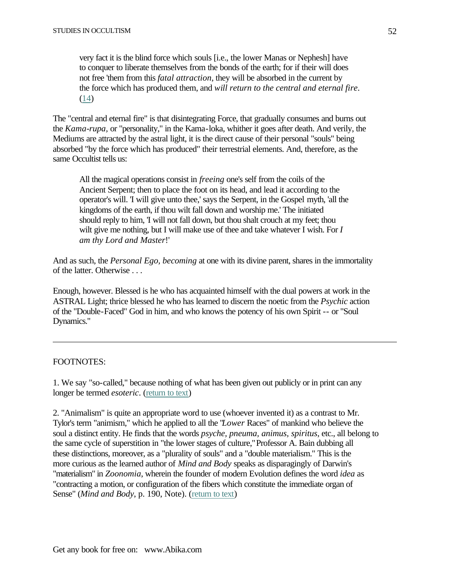very fact it is the blind force which souls [i.e., the lower Manas or Nephesh] have to conquer to liberate themselves from the bonds of the earth; for if their will does not free 'them from this *fatal attraction*, they will be absorbed in the current by the force which has produced them, and *will return to the central and eternal fire*.  $(14)$ 

The "central and eternal fire" is that disintegrating Force, that gradually consumes and burns out the *Kama-rupa,* or "personality," in the Kama-loka, whither it goes after death. And verily, the Mediums are attracted by the astral light, it is the direct cause of their personal "souls" being absorbed "by the force which has produced" their terrestrial elements. And, therefore, as the same Occultist tells us:

All the magical operations consist in *freeing* one's self from the coils of the Ancient Serpent; then to place the foot on its head, and lead it according to the operator's will. 'I will give unto thee,' says the Serpent, in the Gospel myth, 'all the kingdoms of the earth, if thou wilt fall down and worship me.' The initiated should reply to him, 'I will not fall down, but thou shalt crouch at my feet; thou wilt give me nothing, but I will make use of thee and take whatever I wish. For *I am thy Lord and Master*!'

And as such, the *Personal Ego, becoming* at one with its divine parent, shares in the immortality of the latter. Otherwise . . .

Enough, however. Blessed is he who has acquainted himself with the dual powers at work in the ASTRAL Light; thrice blessed he who has learned to discern the noetic from the *Psychic* action of the "Double-Faced" God in him, and who knows the potency of his own Spirit -- or "Soul Dynamics."

### FOOTNOTES:

1. We say "so-called," because nothing of what has been given out publicly or in print can any longer be termed *esoteric*. (return to text)

2. "Animalism" is quite an appropriate word to use (whoever invented it) as a contrast to Mr. Tylor's term "animism," which he applied to all the "*Lower* Races" of mankind who believe the soul a distinct entity. He finds that the words *psyche, pneuma, animus, spiritus*, etc., all belong to the same cycle of superstition in "the lower stages of culture," Professor A. Bain dubbing all these distinctions, moreover, as a "plurality of souls" and a "double materialism." This is the more curious as the learned author of *Mind and Body* speaks as disparagingly of Darwin's "materialism" in *Zoonomia*, wherein the founder of modern Evolution defines the word *idea* as "contracting a motion, or configuration of the fibers which constitute the immediate organ of Sense" (*Mind and Body*, p. 190, Note). (return to text)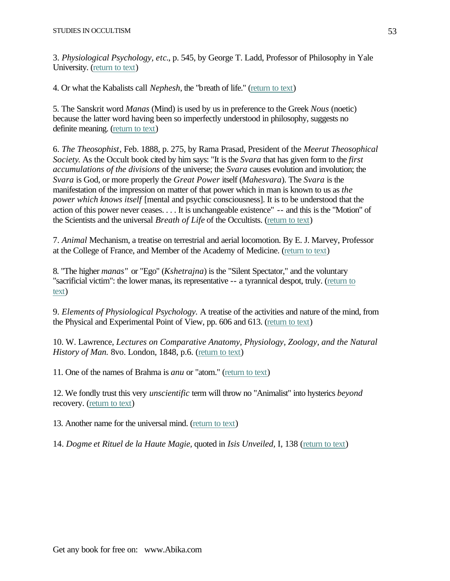3. *Physiological Psychology, etc*., p. 545, by George T. Ladd, Professor of Philosophy in Yale University. (return to text)

4. Or what the Kabalists call *Nephesh*, the "breath of life." (return to text)

5. The Sanskrit word *Manas* (Mind) is used by us in preference to the Greek *Nous* (noetic) because the latter word having been so imperfectly understood in philosophy, suggests no definite meaning. (return to text)

6. *The Theosophist*, Feb. 1888, p. 275, by Rama Prasad, President of the *Meerut Theosophical Society*. As the Occult book cited by him says: "It is the *Svara* that has given form to the *first accumulations of the divisions* of the universe; the *Svara* causes evolution and involution; the *Svara* is God, or more properly the *Great Power* itself (*Mahesvara*). The *Svara* is the manifestation of the impression on matter of that power which in man is known to us as *the power which knows itself* [mental and psychic consciousness]. It is to be understood that the action of this power never ceases. . . . It is unchangeable existence" -- and this is the "Motion" of the Scientists and the universal *Breath of Life* of the Occultists. (return to text)

7. *Animal* Mechanism, a treatise on terrestrial and aerial locomotion. By E. J. Marvey, Professor at the College of France, and Member of the Academy of Medicine. (return to text)

8. "The higher *manas"* or "Ego" (*Kshetrajna*) is the "Silent Spectator," and the voluntary "sacrificial victim": the lower manas, its representative -- a tyrannical despot, truly. (return to text)

9. *Elements of Physiological Psychology.* A treatise of the activities and nature of the mind, from the Physical and Experimental Point of View, pp. 606 and 613. (return to text)

10. W. Lawrence, *Lectures on Comparative Anatomy, Physiology, Zoology, and the Natural History of Man.* 8vo. London, 1848, p.6. (return to text)

11. One of the names of Brahma is *anu* or "atom." (return to text)

12. We fondly trust this very *unscientific* term will throw no "Animalist" into hysterics *beyond* recovery. (return to text)

13. Another name for the universal mind. (return to text)

14. *Dogme et Rituel de la Haute Magie,* quoted in *Isis Unveiled,* I, 138 (return to text)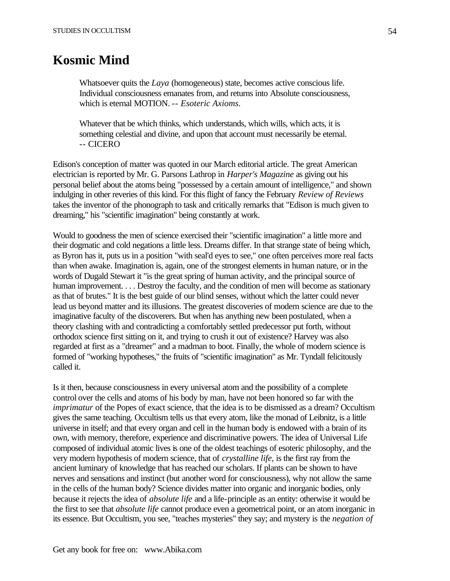# **Kosmic Mind**

Whatsoever quits the *Laya* (homogeneous) state, becomes active conscious life. Individual consciousness emanates from, and returns into Absolute consciousness, which is eternal MOTION. -- *Esoteric Axioms.*

Whatever that be which thinks, which understands, which wills, which acts, it is something celestial and divine, and upon that account must necessarily be eternal. -- CICERO

Edison's conception of matter was quoted in our March editorial article. The great American electrician is reported by Mr. G. Parsons Lathrop in *Harper's Magazine* as giving out his personal belief about the atoms being "possessed by a certain amount of intelligence," and shown indulging in other reveries of this kind. For this flight of fancy the February *Review of Reviews*  takes the inventor of the phonograph to task and critically remarks that "Edison is much given to dreaming," his "scientific imagination" being constantly at work.

Would to goodness the men of science exercised their "scientific imagination" a little more and their dogmatic and cold negations a little less. Dreams differ. In that strange state of being which, as Byron has it, puts us in a position "with seal'd eyes to see," one often perceives more real facts than when awake. Imagination is, again, one of the strongest elements in human nature, or in the words of Dugald Stewart it "is the great spring of human activity, and the principal source of human improvement. . . . Destroy the faculty, and the condition of men will become as stationary as that of brutes." It is the best guide of our blind senses, without which the latter could never lead us beyond matter and its illusions. The greatest discoveries of modern science are due to the imaginative faculty of the discoverers. But when has anything new been postulated, when a theory clashing with and contradicting a comfortably settled predecessor put forth, without orthodox science first sitting on it, and trying to crush it out of existence? Harvey was also regarded at first as a "dreamer" and a madman to boot. Finally, the whole of modern science is formed of "working hypotheses," the fruits of "scientific imagination" as Mr. Tyndall felicitously called it.

Is it then, because consciousness in every universal atom and the possibility of a complete control over the cells and atoms of his body by man, have not been honored so far with the *imprimatur* of the Popes of exact science, that the idea is to be dismissed as a dream? Occultism gives the same teaching. Occultism tells us that every atom, like the monad of Leibnitz, is a little universe in itself; and that every organ and cell in the human body is endowed with a brain of its own, with memory, therefore, experience and discriminative powers. The idea of Universal Life composed of individual atomic lives is one of the oldest teachings of esoteric philosophy, and the very modern hypothesis of modern science, that of *crystalline life,* is the first ray from the ancient luminary of knowledge that has reached our scholars. If plants can be shown to have nerves and sensations and instinct (but another word for consciousness), why not allow the same in the cells of the human body? Science divides matter into organic and inorganic bodies, only because it rejects the idea of *absolute life* and a life-principle as an entity: otherwise it would be the first to see that *absolute life* cannot produce even a geometrical point, or an atom inorganic in its essence. But Occultism, you see, "teaches mysteries" they say; and mystery is the *negation of*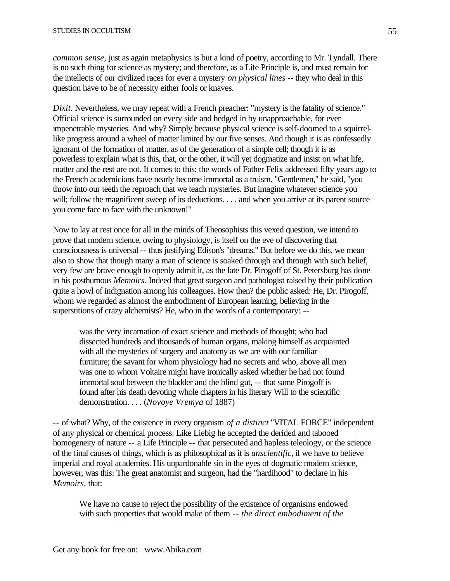*common sense,* just as again metaphysics is but a kind of poetry, according to Mr. Tyndall. There is no such thing for science as mystery; and therefore, as a Life Principle is, and must remain for the intellects of our civilized races for ever a mystery *on physical lines --* they who deal in this question have to be of necessity either fools or knaves.

*Dixit.* Nevertheless, we may repeat with a French preacher: "mystery is the fatality of science." Official science is surrounded on every side and hedged in by unapproachable, for ever impenetrable mysteries. And why? Simply because physical science is self-doomed to a squirrellike progress around a wheel of matter limited by our five senses. And though it is as confessedly ignorant of the formation of matter, as of the generation of a simple cell; though it is as powerless to explain what is this, that, or the other, it will yet dogmatize and insist on what life, matter and the rest are not. It comes to this: the words of Father Felix addressed fifty years ago to the French academicians have nearly become immortal as a truism. "Gentlemen," he said, "you throw into our teeth the reproach that we teach mysteries. But imagine whatever science you will; follow the magnificent sweep of its deductions. . . . and when you arrive at its parent source you come face to face with the unknown!"

Now to lay at rest once for all in the minds of Theosophists this vexed question, we intend to prove that modern science, owing to physiology, is itself on the eve of discovering that consciousness is universal -- thus justifying Edison's "dreams." But before we do this, we mean also to show that though many a man of science is soaked through and through with such belief, very few are brave enough to openly admit it, as the late Dr. Pirogoff of St. Petersburg has done in his posthumous *Memoirs.* Indeed that great surgeon and pathologist raised by their publication quite a howl of indignation among his colleagues. How then? the public asked: He, Dr. Pirogoff, whom we regarded as almost the embodiment of European learning, believing in the superstitions of crazy alchemists? He, who in the words of a contemporary: --

was the very incarnation of exact science and methods of thought; who had dissected hundreds and thousands of human organs, making himself as acquainted with all the mysteries of surgery and anatomy as we are with our familiar furniture; the savant for whom physiology had no secrets and who, above all men was one to whom Voltaire might have ironically asked whether he had not found immortal soul between the bladder and the blind gut, -- that same Pirogoff is found after his death devoting whole chapters in his literary Will to the scientific demonstration. . . . (*Novoye Vremya* of 1887)

-- of what? Why, of the existence in every organism *of a distinct* "VITAL FORCE" independent of any physical or chemical process. Like Liebig he accepted the derided and tabooed homogeneity of nature -- a Life Principle -- that persecuted and hapless teleology, or the science of the final causes of things, which is as philosophical as it is *unscientific*, if we have to believe imperial and royal academies. His unpardonable sin in the eyes of dogmatic modern science, however, was this: The great anatomist and surgeon, had the "hardihood" to declare in his *Memoirs,* that:

We have no cause to reject the possibility of the existence of organisms endowed with such properties that would make of them -- *the direct embodiment of the*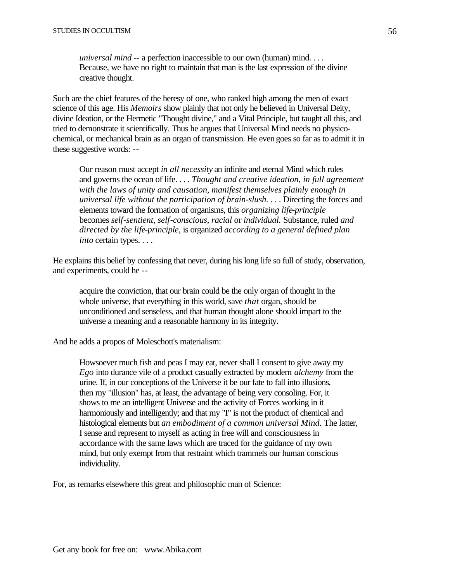*universal mind --* a perfection inaccessible to our own (human) mind. . . . Because, we have no right to maintain that man is the last expression of the divine creative thought.

Such are the chief features of the heresy of one, who ranked high among the men of exact science of this age. His *Memoirs* show plainly that not only he believed in Universal Deity, divine Ideation, or the Hermetic "Thought divine," and a Vital Principle, but taught all this, and tried to demonstrate it scientifically. Thus he argues that Universal Mind needs no physicochemical, or mechanical brain as an organ of transmission. He even goes so far as to admit it in these suggestive words: --

Our reason must accept *in all necessity* an infinite and eternal Mind which rules and governs the ocean of life. . . . *Thought and creative ideation, in full agreement with the laws of unity and causation, manifest themselves plainly enough in universal life without the participation of brain-slush.* . . . Directing the forces and elements toward the formation of organisms, this *organizing life-principle* becomes *self-sentient, self-conscious, racial* or *individual.* Substance, ruled *and directed by the life-principle,* is organized *according to a general defined plan into* certain types. . . .

He explains this belief by confessing that never, during his long life so full of study, observation, and experiments, could he --

acquire the conviction, that our brain could be the only organ of thought in the whole universe, that everything in this world, save *that* organ, should be unconditioned and senseless, and that human thought alone should impart to the universe a meaning and a reasonable harmony in its integrity.

And he adds a propos of Moleschott's materialism:

Howsoever much fish and peas I may eat, never shall I consent to give away my *Ego* into durance vile of a product casually extracted by modern *alchemy* from the urine. If, in our conceptions of the Universe it be our fate to fall into illusions, then my "illusion" has, at least, the advantage of being very consoling. For, it shows to me an intelligent Universe and the activity of Forces working in it harmoniously and intelligently; and that my "I" is not the product of chemical and histological elements but *an embodiment of a common universal Mind.* The latter, I sense and represent to myself as acting in free will and consciousness in accordance with the same laws which are traced for the guidance of my own mind, but only exempt from that restraint which trammels our human conscious individuality.

For, as remarks elsewhere this great and philosophic man of Science: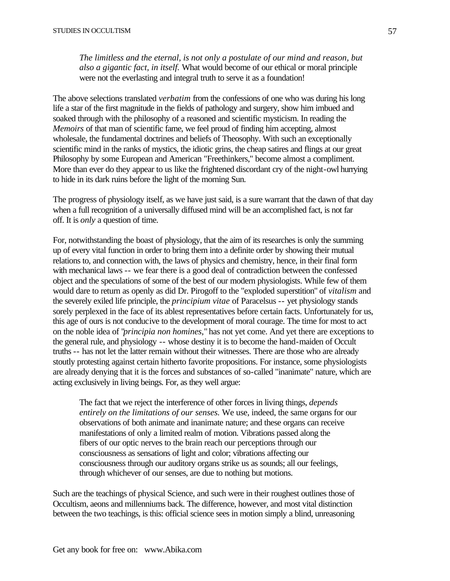*The limitless and the eternal, is not only a postulate of our mind and reason, but also a gigantic fact, in itself.* What would become of our ethical or moral principle were not the everlasting and integral truth to serve it as a foundation!

The above selections translated *verbatim* from the confessions of one who was during his long life a star of the first magnitude in the fields of pathology and surgery, show him imbued and soaked through with the philosophy of a reasoned and scientific mysticism. In reading the *Memoirs* of that man of scientific fame, we feel proud of finding him accepting, almost wholesale, the fundamental doctrines and beliefs of Theosophy. With such an exceptionally scientific mind in the ranks of mystics, the idiotic grins, the cheap satires and flings at our great Philosophy by some European and American "Freethinkers," become almost a compliment. More than ever do they appear to us like the frightened discordant cry of the night-owl hurrying to hide in its dark ruins before the light of the morning Sun.

The progress of physiology itself, as we have just said, is a sure warrant that the dawn of that day when a full recognition of a universally diffused mind will be an accomplished fact, is not far off. It is *only* a question of time.

For, notwithstanding the boast of physiology, that the aim of its researches is only the summing up of every vital function in order to bring them into a definite order by showing their mutual relations to, and connection with, the laws of physics and chemistry, hence, in their final form with mechanical laws -- we fear there is a good deal of contradiction between the confessed object and the speculations of some of the best of our modern physiologists. While few of them would dare to return as openly as did Dr. Pirogoff to the "exploded superstition" of *vitalism* and the severely exiled life principle, the *principium vitae* of Paracelsus -- yet physiology stands sorely perplexed in the face of its ablest representatives before certain facts. Unfortunately for us, this age of ours is not conducive to the development of moral courage. The time for most to act on the noble idea of "*principia non homines*," has not yet come. And yet there are exceptions to the general rule, and physiology -- whose destiny it is to become the hand-maiden of Occult truths -- has not let the latter remain without their witnesses. There are those who are already stoutly protesting against certain hitherto favorite propositions. For instance, some physiologists are already denying that it is the forces and substances of so-called "inanimate" nature, which are acting exclusively in living beings. For, as they well argue:

The fact that we reject the interference of other forces in living things, *depends entirely on the limitations of our senses.* We use, indeed, the same organs for our observations of both animate and inanimate nature; and these organs can receive manifestations of only a limited realm of motion. Vibrations passed along the fibers of our optic nerves to the brain reach our perceptions through our consciousness as sensations of light and color; vibrations affecting our consciousness through our auditory organs strike us as sounds; all our feelings, through whichever of our senses, are due to nothing but motions.

Such are the teachings of physical Science, and such were in their roughest outlines those of Occultism, aeons and millenniums back. The difference, however, and most vital distinction between the two teachings, is this: official science sees in motion simply a blind, unreasoning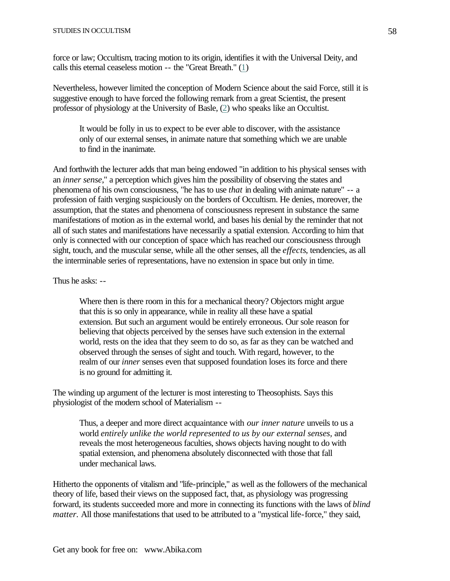force or law; Occultism, tracing motion to its origin, identifies it with the Universal Deity, and calls this eternal ceaseless motion -- the "Great Breath." (1)

Nevertheless, however limited the conception of Modern Science about the said Force, still it is suggestive enough to have forced the following remark from a great Scientist, the present professor of physiology at the University of Basle, (2) who speaks like an Occultist.

It would be folly in us to expect to be ever able to discover, with the assistance only of our external senses, in animate nature that something which we are unable to find in the inanimate.

And forthwith the lecturer adds that man being endowed "in addition to his physical senses with an *inner sense*," a perception which gives him the possibility of observing the states and phenomena of his own consciousness, "he has to use *that* in dealing with animate nature" -- a profession of faith verging suspiciously on the borders of Occultism. He denies, moreover, the assumption, that the states and phenomena of consciousness represent in substance the same manifestations of motion as in the external world, and bases his denial by the reminder that not all of such states and manifestations have necessarily a spatial extension. According to him that only is connected with our conception of space which has reached our consciousness through sight, touch, and the muscular sense, while all the other senses, all the *effects*, tendencies*,* as all the interminable series of representations, have no extension in space but only in time.

#### Thus he asks: --

Where then is there room in this for a mechanical theory? Objectors might argue that this is so only in appearance, while in reality all these have a spatial extension. But such an argument would be entirely erroneous. Our sole reason for believing that objects perceived by the senses have such extension in the external world, rests on the idea that they seem to do so, as far as they can be watched and observed through the senses of sight and touch. With regard, however, to the realm of our *inner* senses even that supposed foundation loses its force and there is no ground for admitting it.

The winding up argument of the lecturer is most interesting to Theosophists. Says this physiologist of the modern school of Materialism --

Thus, a deeper and more direct acquaintance with *our inner nature* unveils to us a world *entirely unlike the world represented to us by our external senses,* and reveals the most heterogeneous faculties, shows objects having nought to do with spatial extension, and phenomena absolutely disconnected with those that fall under mechanical laws.

Hitherto the opponents of vitalism and "life-principle," as well as the followers of the mechanical theory of life, based their views on the supposed fact, that, as physiology was progressing forward, its students succeeded more and more in connecting its functions with the laws of *blind matter*. All those manifestations that used to be attributed to a "mystical life-force," they said,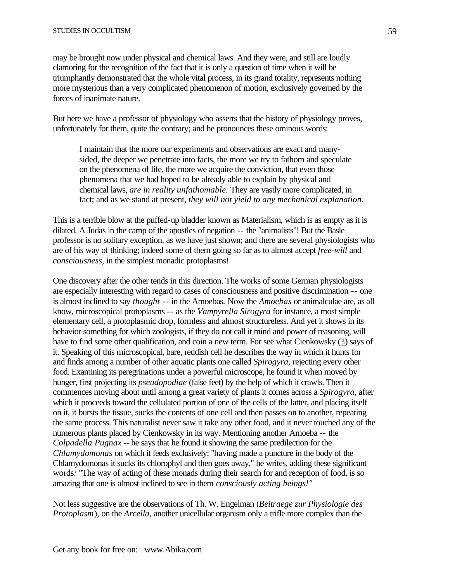may be brought now under physical and chemical laws. And they were, and still are loudly clamoring for the recognition of the fact that it is only a question of time when it will be triumphantly demonstrated that the whole vital process, in its grand totality, represents nothing more mysterious than a very complicated phenomenon of motion, exclusively governed by the forces of inanimate nature.

But here we have a professor of physiology who asserts that the history of physiology proves, unfortunately for them, quite the contrary; and he pronounces these ominous words:

I maintain that the more our experiments and observations are exact and manysided, the deeper we penetrate into facts, the more we try to fathom and speculate on the phenomena of life, the more we acquire the conviction, that even those phenomena that we had hoped to be already able to explain by physical and chemical laws, *are in reality unfathomable.* They are vastly more complicated, in fact; and as we stand at present, *they will not yield to any mechanical explanation.*

This is a terrible blow at the puffed-up bladder known as Materialism, which is as empty as it is dilated. A Judas in the camp of the apostles of negation -- the "animalists"! But the Basle professor is no solitary exception, as we have just shown; and there are several physiologists who are of his way of thinking; indeed some of them going so far as to almost accept *free-will* and *consciousness,* in the simplest monadic protoplasms!

One discovery after the other tends in this direction. The works of some German physiologists are especially interesting with regard to cases of consciousness and positive discrimination -- one is almost inclined to say *thought* -- in the Amoebas*.* Now the *Amoebas* or animalculae are, as all know, microscopical protoplasms -- as the *Vampyrella Sirogyra* for instance, a most simple elementary cell, a protoplasmic drop, formless and almost structureless. And yet it shows in its behavior something for which zoologists, if they do not call it mind and power of reasoning, will have to find some other qualification, and coin a new term. For see what Cienkowsky (3) says of it. Speaking of this microscopical, bare, reddish cell he describes the way in which it hunts for and finds among a number of other aquatic plants one called *Spirogyra,* rejecting every other food. Examining its peregrinations under a powerful microscope, he found it when moved by hunger, first projecting its *pseudopodiae* (false feet) by the help of which it crawls. Then it commences moving about until among a great variety of plants it comes across a *Spirogyra,* after which it proceeds toward the cellulated portion of one of the cells of the latter, and placing itself on it, it bursts the tissue, sucks the contents of one cell and then passes on to another, repeating the same process. This naturalist never saw it take any other food, and it never touched any of the numerous plants placed by Cienkowsky in its way. Mentioning another Amoeba -- the *Colpadella Pugnax --* he says that he found it showing the same predilection for the *Chlamydomonas* on which it feeds exclusively; "having made a puncture in the body of the Chlamydomonas it sucks its chlorophyl and then goes away," he writes, adding these significant words*:* "The way of acting of these monads during their search for and reception of food, is so amazing that one is almost inclined to see in them *consciously acting beings!"* 

Not less suggestive are the observations of Th. W. Engelman (*Beitraege zur Physiologie des Protoplasm*), on the *Arcella*, another unicellular organism only a trifle more complex than the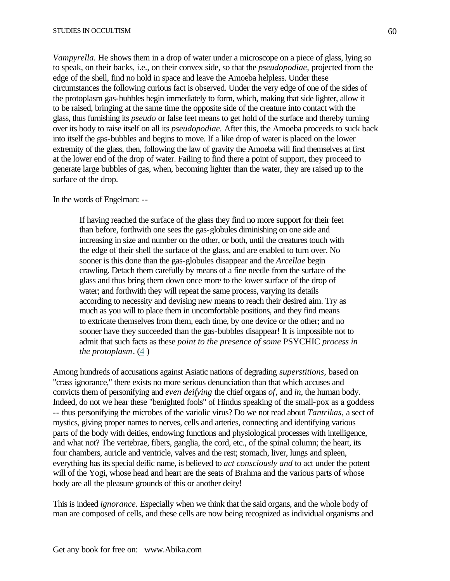*Vampyrella.* He shows them in a drop of water under a microscope on a piece of glass, lying so to speak, on their backs, i.e.*,* on their convex side, so that the *pseudopodiae,* projected from the edge of the shell, find no hold in space and leave the Amoeba helpless. Under these circumstances the following curious fact is observed. Under the very edge of one of the sides of the protoplasm gas-bubbles begin immediately to form, which, making that side lighter, allow it to be raised, bringing at the same time the opposite side of the creature into contact with the glass, thus furnishing its *pseudo* or false feet means to get hold of the surface and thereby turning over its body to raise itself on all its *pseudopodiae.* After this, the Amoeba proceeds to suck back into itself the gas-bubbles and begins to move. If a like drop of water is placed on the lower extremity of the glass, then, following the law of gravity the Amoeba will find themselves at first at the lower end of the drop of water. Failing to find there a point of support, they proceed to generate large bubbles of gas, when, becoming lighter than the water, they are raised up to the surface of the drop.

In the words of Engelman: --

If having reached the surface of the glass they find no more support for their feet than before, forthwith one sees the gas-globules diminishing on one side and increasing in size and number on the other, or both, until the creatures touch with the edge of their shell the surface of the glass, and are enabled to turn over. No sooner is this done than the gas-globules disappear and the *Arcellae* begin crawling. Detach them carefully by means of a fine needle from the surface of the glass and thus bring them down once more to the lower surface of the drop of water; and forthwith they will repeat the same process, varying its details according to necessity and devising new means to reach their desired aim. Try as much as you will to place them in uncomfortable positions, and they find means to extricate themselves from them, each time, by one device or the other; and no sooner have they succeeded than the gas-bubbles disappear! It is impossible not to admit that such facts as these *point to the presence of some* PSYCHIC *process in the protoplasm*. (4 )

Among hundreds of accusations against Asiatic nations of degrading *superstitions,* based on "crass ignorance," there exists no more serious denunciation than that which accuses and convicts them of personifying and *even deifying* the chief organs *of*, and *in*, the human body. Indeed, do not we hear these "benighted fools" of Hindus speaking of the small-pox as a goddess -- thus personifying the microbes of the variolic virus? Do we not read about *Tantrikas,* a sect of mystics, giving proper names to nerves, cells and arteries, connecting and identifying various parts of the body with deities, endowing functions and physiological processes with intelligence, and what not? The vertebrae, fibers, ganglia, the cord, etc., of the spinal column; the heart, its four chambers, auricle and ventricle, valves and the rest; stomach, liver, lungs and spleen, everything has its special deific name, is believed to *act consciously and* to act under the potent will of the Yogi, whose head and heart are the seats of Brahma and the various parts of whose body are all the pleasure grounds of this or another deity!

This is indeed *ignorance.* Especially when we think that the said organs, and the whole body of man are composed of cells, and these cells are now being recognized as individual organisms and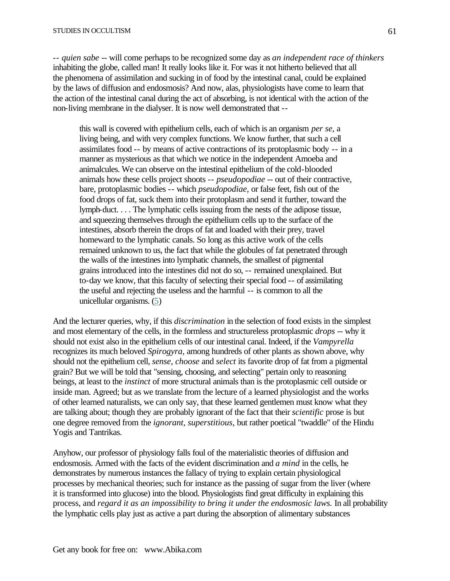-- *quien sabe --* will come perhaps to be recognized some day as *an independent race of thinkers*  inhabiting the globe, called man! It really looks like it. For was it not hitherto believed that all the phenomena of assimilation and sucking in of food by the intestinal canal, could be explained by the laws of diffusion and endosmosis? And now, alas, physiologists have come to learn that the action of the intestinal canal during the act of absorbing, is not identical with the action of the non-living membrane in the dialyser. It is now well demonstrated that --

this wall is covered with epithelium cells, each of which is an organism *per se,* a living being, and with very complex functions. We know further, that such a cell assimilates food -- by means of active contractions of its protoplasmic body -- in a manner as mysterious as that which we notice in the independent Amoeba and animalcules. We can observe on the intestinal epithelium of the cold-blooded animals how these cells project shoots -- *pseudopodiae --* out of their contractive, bare, protoplasmic bodies -- which *pseudopodiae,* or false feet, fish out of the food drops of fat, suck them into their protoplasm and send it further, toward the lymph-duct. . . . The lymphatic cells issuing from the nests of the adipose tissue, and squeezing themselves through the epithelium cells up to the surface of the intestines, absorb therein the drops of fat and loaded with their prey, travel homeward to the lymphatic canals. So long as this active work of the cells remained unknown to us, the fact that while the globules of fat penetrated through the walls of the intestines into lymphatic channels, the smallest of pigmental grains introduced into the intestines did not do so, -- remained unexplained. But to-day we know, that this faculty of selecting their special food -- of assimilating the useful and rejecting the useless and the harmful -- is common to all the unicellular organisms. (5)

And the lecturer queries, why, if this *discrimination* in the selection of food exists in the simplest and most elementary of the cells, in the formless and structureless protoplasmic *drops --* why it should not exist also in the epithelium cells of our intestinal canal. Indeed, if the *Vampyrella*  recognizes its much beloved *Spirogyra,* among hundreds of other plants as shown above, why should not the epithelium cell, *sense, choose* and *select* its favorite drop of fat from a pigmental grain? But we will be told that "sensing, choosing, and selecting" pertain only to reasoning beings, at least to the *instinct* of more structural animals than is the protoplasmic cell outside or inside man. Agreed; but as we translate from the lecture of a learned physiologist and the works of other learned naturalists, we can only say, that these learned gentlemen must know what they are talking about; though they are probably ignorant of the fact that their *scientific* prose is but one degree removed from the *ignorant, superstitious,* but rather poetical "twaddle" of the Hindu Yogis and Tantrikas.

Anyhow, our professor of physiology falls foul of the materialistic theories of diffusion and endosmosis. Armed with the facts of the evident discrimination and *a mind* in the cells, he demonstrates by numerous instances the fallacy of trying to explain certain physiological processes by mechanical theories; such for instance as the passing of sugar from the liver (where it is transformed into glucose) into the blood. Physiologists find great difficulty in explaining this process, and *regard it as an impossibility to bring it under the endosmosic laws.* In all probability the lymphatic cells play just as active a part during the absorption of alimentary substances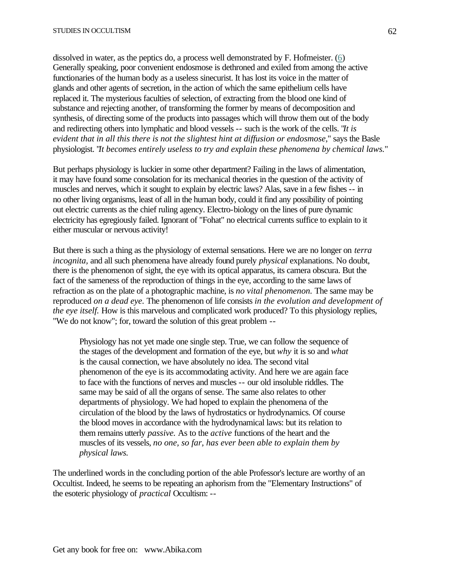dissolved in water, as the peptics do, a process well demonstrated by F. Hofmeister. (6) Generally speaking, poor convenient endosmose is dethroned and exiled from among the active functionaries of the human body as a useless sinecurist. It has lost its voice in the matter of glands and other agents of secretion, in the action of which the same epithelium cells have replaced it. The mysterious faculties of selection, of extracting from the blood one kind of substance and rejecting another, of transforming the former by means of decomposition and synthesis, of directing some of the products into passages which will throw them out of the body and redirecting others into lymphatic and blood vessels -- such is the work of the cells. "*It is evident that in all this there is not the slightest hint at diffusion or endosmose*," says the Basle physiologist. "*It becomes entirely useless to try and explain these phenomena by chemical laws.*"

But perhaps physiology is luckier in some other department? Failing in the laws of alimentation, it may have found some consolation for its mechanical theories in the question of the activity of muscles and nerves, which it sought to explain by electric laws? Alas, save in a few fishes -- in no other living organisms, least of all in the human body, could it find any possibility of pointing out electric currents as the chief ruling agency. Electro-biology on the lines of pure dynamic electricity has egregiously failed. Ignorant of "Fohat" no electrical currents suffice to explain to it either muscular or nervous activity!

But there is such a thing as the physiology of external sensations. Here we are no longer on *terra incognita,* and all such phenomena have already found purely *physical* explanations. No doubt, there is the phenomenon of sight, the eye with its optical apparatus, its camera obscura. But the fact of the sameness of the reproduction of things in the eye, according to the same laws of refraction as on the plate of a photographic machine, is *no vital phenomenon.* The same may be reproduced *on a dead eye.* The phenomenon of life consists *in the evolution and development of the eye itself.* How is this marvelous and complicated work produced? To this physiology replies, "We do not know"; for, toward the solution of this great problem --

Physiology has not yet made one single step. True, we can follow the sequence of the stages of the development and formation of the eye, but *why* it is so and *what* is the causal connection, we have absolutely no idea. The second vital phenomenon of the eye is its accommodating activity. And here we are again face to face with the functions of nerves and muscles -- our old insoluble riddles. The same may be said of all the organs of sense. The same also relates to other departments of physiology. We had hoped to explain the phenomena of the circulation of the blood by the laws of hydrostatics or hydrodynamics. Of course the blood moves in accordance with the hydrodynamical laws: but its relation to them remains utterly *passive.* As to the *active* functions of the heart and the muscles of its vessels, *no one, so far, has ever been able to explain them by physical laws.*

The underlined words in the concluding portion of the able Professor's lecture are worthy of an Occultist. Indeed, he seems to be repeating an aphorism from the "Elementary Instructions" of the esoteric physiology of *practical* Occultism: --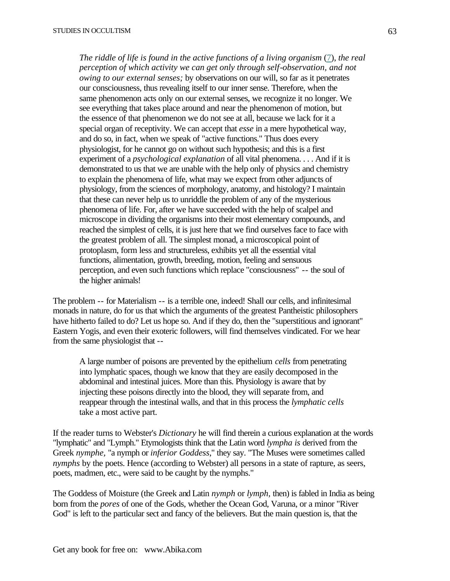*The riddle of life is found in the active functions of a living organism (7), the real perception of which activity we can get only through self-observation, and not owing to our external senses;* by observations on our will, so far as it penetrates our consciousness, thus revealing itself to our inner sense. Therefore, when the same phenomenon acts only on our external senses, we recognize it no longer. We see everything that takes place around and near the phenomenon of motion, but the essence of that phenomenon we do not see at all, because we lack for it a special organ of receptivity. We can accept that *esse* in a mere hypothetical way, and do so, in fact, when we speak of "active functions." Thus does every physiologist, for he cannot go on without such hypothesis; and this is a first experiment of a *psychological explanation* of all vital phenomena. . . . And if it is demonstrated to us that we are unable with the help only of physics and chemistry to explain the phenomena of life, what may we expect from other adjuncts of physiology, from the sciences of morphology, anatomy, and histology? I maintain that these can never help us to unriddle the problem of any of the mysterious phenomena of life. For, after we have succeeded with the help of scalpel and microscope in dividing the organisms into their most elementary compounds, and reached the simplest of cells, it is just here that we find ourselves face to face with the greatest problem of all. The simplest monad, a microscopical point of protoplasm, form less and structureless, exhibits yet all the essential vital functions, alimentation, growth, breeding, motion, feeling and sensuous perception, and even such functions which replace "consciousness" -- the soul of the higher animals!

The problem -- for Materialism -- is a terrible one, indeed! Shall our cells, and infinitesimal monads in nature, do for us that which the arguments of the greatest Pantheistic philosophers have hitherto failed to do? Let us hope so. And if they do, then the "superstitious and ignorant" Eastern Yogis, and even their exoteric followers, will find themselves vindicated. For we hear from the same physiologist that --

A large number of poisons are prevented by the epithelium *cells* from penetrating into lymphatic spaces, though we know that they are easily decomposed in the abdominal and intestinal juices. More than this. Physiology is aware that by injecting these poisons directly into the blood, they will separate from, and reappear through the intestinal walls, and that in this process the *lymphatic cells*  take a most active part.

If the reader turns to Webster's *Dictionary* he will find therein a curious explanation at the words "lymphatic" and "Lymph." Etymologists think that the Latin word *lympha is* derived from the Greek *nymphe,* "a nymph or *inferior Goddess*," they say. "The Muses were sometimes called *nymphs* by the poets. Hence (according to Webster) all persons in a state of rapture, as seers, poets, madmen, etc., were said to be caught by the nymphs."

The Goddess of Moisture (the Greek and Latin *nymph* or *lymph,* then) is fabled in India as being born from the *pores* of one of the Gods, whether the Ocean God, Varuna, or a minor "River God" is left to the particular sect and fancy of the believers. But the main question is, that the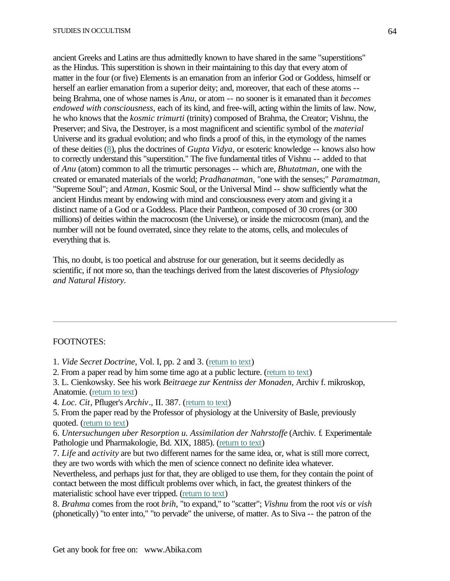ancient Greeks and Latins are thus admittedly known to have shared in the same "superstitions" as the Hindus. This superstition is shown in their maintaining to this day that every atom of matter in the four (or five) Elements is an emanation from an inferior God or Goddess, himself or herself an earlier emanation from a superior deity; and, moreover, that each of these atoms -being Brahma, one of whose names is *Anu,* or atom -- no sooner is it emanated than it *becomes endowed with consciousness,* each of its kind, and free-will, acting within the limits of law. Now, he who knows that the *kosmic trimurti* (trinity) composed of Brahma, the Creator; Vishnu, the Preserver; and Siva, the Destroyer, is a most magnificent and scientific symbol of the *material*  Universe and its gradual evolution; and who finds a proof of this, in the etymology of the names of these deities (8), plus the doctrines of *Gupta Vidya,* or esoteric knowledge -- knows also how to correctly understand this "superstition." The five fundamental titles of Vishnu -- added to that of *Anu* (atom) common to all the trimurtic personages -- which are, *Bhutatman,* one with the created or emanated materials of the world; *Pradhanatman,* "one with the senses;" *Paramatman,*  "Supreme Soul"; and *Atman,* Kosmic Soul, or the Universal Mind -- show sufficiently what the ancient Hindus meant by endowing with mind and consciousness every atom and giving it a distinct name of a God or a Goddess. Place their Pantheon, composed of 30 crores (or 300 millions) of deities within the macrocosm (the Universe), or inside the microcosm (man), and the number will not be found overrated, since they relate to the atoms, cells, and molecules of everything that is.

This, no doubt, is too poetical and abstruse for our generation, but it seems decidedly as scientific, if not more so, than the teachings derived from the latest discoveries of *Physiology and Natural History.* 

### FOOTNOTES:

1. *Vide Secret Doctrine*, Vol. I, pp. 2 and 3. (return to text)

2. From a paper read by him some time ago at a public lecture. (return to text)

3. L. Cienkowsky. See his work *Beitraege zur Kentniss der Monaden,* Archiv f. mikroskop, Anatomie. (return to text)

4. *Loc. Cit*, Pfluger's *Archiv*., II. 387. (return to text)

5. From the paper read by the Professor of physiology at the University of Basle, previously quoted. (return to text)

6. *Untersuchungen uber Resorption u. Assimilation der Nahrstoffe* (Archiv*.* f*.* Experimentale Pathologie und Pharmakologie, Bd. XIX, 1885). (return to text)

7. *Life* and *activity* are but two different names for the same idea, or, what is still more correct, they are two words with which the men of science connect no definite idea whatever.

Nevertheless, and perhaps just for that, they are obliged to use them, for they contain the point of contact between the most difficult problems over which, in fact, the greatest thinkers of the materialistic school have ever tripped. (return to text)

8. *Brahma* comes from the root *brih,* "to expand," to "scatter"; *Vishnu* from the root *vis* or *vish*  (phonetically) "to enter into," "to pervade" the universe, of matter. As to Siva -- the patron of the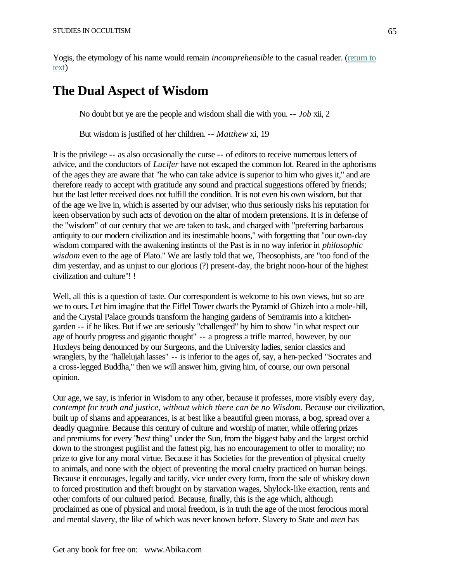Yogis, the etymology of his name would remain *incomprehensible* to the casual reader. (return to text)

# **The Dual Aspect of Wisdom**

No doubt but ye are the people and wisdom shall die with you. -- *Job* xii, 2

But wisdom is justified of her children. -- *Matthew* xi, 19

It is the privilege -- as also occasionally the curse -- of editors to receive numerous letters of advice, and the conductors of *Lucifer* have not escaped the common lot. Reared in the aphorisms of the ages they are aware that "he who can take advice is superior to him who gives it," and are therefore ready to accept with gratitude any sound and practical suggestions offered by friends; but the last letter received does not fulfill the condition. It is not even his own wisdom, but that of the age we live in, which is asserted by our adviser, who thus seriously risks his reputation for keen observation by such acts of devotion on the altar of modern pretensions. It is in defense of the "wisdom" of our century that we are taken to task, and charged with "preferring barbarous antiquity to our modern civilization and its inestimable boons," with forgetting that "our own-day wisdom compared with the awakening instincts of the Past is in no way inferior in *philosophic wisdom* even to the age of Plato." We are lastly told that we, Theosophists, are "too fond of the dim yesterday, and as unjust to our glorious (?) present-day, the bright noon-hour of the highest civilization and culture"! !

Well, all this is a question of taste. Our correspondent is welcome to his own views, but so are we to ours. Let him imagine that the Eiffel Tower dwarfs the Pyramid of Ghizeh into a mole-hill, and the Crystal Palace grounds transform the hanging gardens of Semiramis into a kitchengarden -- if he likes. But if we are seriously "challenged" by him to show "in what respect our age of hourly progress and gigantic thought" -- a progress a trifle marred, however, by our Huxleys being denounced by our Surgeons, and the University ladies, senior classics and wranglers, by the "hallelujah lasses" -- is inferior to the ages of, say, a hen-pecked "Socrates and a cross-legged Buddha," then we will answer him, giving him, of course, our own personal opinion.

Our age, we say, is inferior in Wisdom to any other, because it professes, more visibly every day, *contempt for truth and justice, without which there can be no Wisdom.* Because our civilization, built up of shams and appearances, is at best like a beautiful green morass, a bog, spread over a deadly quagmire. Because this century of culture and worship of matter, while offering prizes and premiums for every "*best* thing" under the Sun, from the biggest baby and the largest orchid down to the strongest pugilist and the fattest pig, has no encouragement to offer to morality; no prize to give for any moral virtue. Because it has Societies for the prevention of physical cruelty to animals, and none with the object of preventing the moral cruelty practiced on human beings. Because it encourages, legally and tacitly, vice under every form, from the sale of whiskey down to forced prostitution and theft brought on by starvation wages, Shylock-like exaction, rents and other comforts of our cultured period. Because, finally, this is the age which, although proclaimed as one of physical and moral freedom, is in truth the age of the most ferocious moral and mental slavery, the like of which was never known before. Slavery to State and *men* has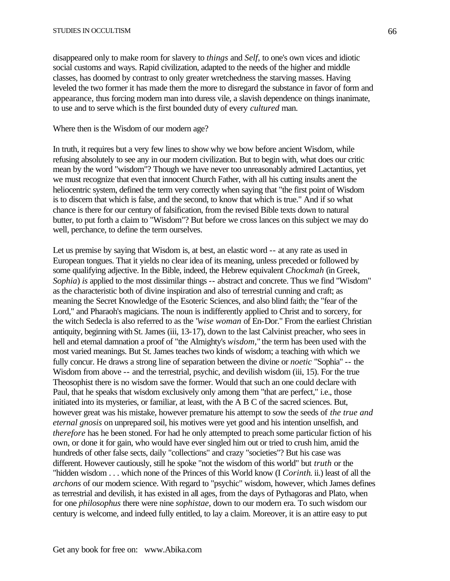disappeared only to make room for slavery to *things* and *Self,* to one's own vices and idiotic social customs and ways. Rapid civilization, adapted to the needs of the higher and middle classes, has doomed by contrast to only greater wretchedness the starving masses. Having leveled the two former it has made them the more to disregard the substance in favor of form and appearance, thus forcing modern man into duress vile, a slavish dependence on things inanimate, to use and to serve which is the first bounded duty of every *cultured* man.

#### Where then is the Wisdom of our modern age?

In truth, it requires but a very few lines to show why we bow before ancient Wisdom, while refusing absolutely to see any in our modern civilization. But to begin with, what does our critic mean by the word "wisdom"? Though we have never too unreasonably admired Lactantius, yet we must recognize that even that innocent Church Father, with all his cutting insults anent the heliocentric system, defined the term very correctly when saying that "the first point of Wisdom is to discern that which is false, and the second, to know that which is true." And if so what chance is there for our century of falsification, from the revised Bible texts down to natural butter, to put forth a claim to "Wisdom"? But before we cross lances on this subject we may do well, perchance, to define the term ourselves.

Let us premise by saying that Wisdom is, at best, an elastic word -- at any rate as used in European tongues. That it yields no clear idea of its meaning, unless preceded or followed by some qualifying adjective. In the Bible, indeed, the Hebrew equivalent *Chockmah* (in Greek, *Sophia*) *is* applied to the most dissimilar things -- abstract and concrete. Thus we find "Wisdom" as the characteristic both of divine inspiration and also of terrestrial cunning and craft; as meaning the Secret Knowledge of the Esoteric Sciences, and also blind faith; the "fear of the Lord," and Pharaoh's magicians. The noun is indifferently applied to Christ and to sorcery, for the witch Sedecla is also referred to as the "*wise woman* of En-Dor." From the earliest Christian antiquity, beginning with St. James (iii, 13-17), down to the last Calvinist preacher, who sees in hell and eternal damnation a proof of "the Almighty's *wisdom*," the term has been used with the most varied meanings. But St. James teaches two kinds of wisdom; a teaching with which we fully concur. He draws a strong line of separation between the divine or *noetic* "Sophia" -- the Wisdom from above -- and the terrestrial, psychic, and devilish wisdom (iii, 15). For the true Theosophist there is no wisdom save the former. Would that such an one could declare with Paul, that he speaks that wisdom exclusively only among them "that are perfect," i.e., those initiated into its mysteries, or familiar, at least, with the A B C of the sacred sciences. But, however great was his mistake, however premature his attempt to sow the seeds of *the true and eternal gnosis* on unprepared soil, his motives were yet good and his intention unselfish, and *therefore* has he been stoned. For had he only attempted to preach some particular fiction of his own, or done it for gain, who would have ever singled him out or tried to crush him, amid the hundreds of other false sects, daily "collections" and crazy "societies"? But his case was different. However cautiously, still he spoke "not the wisdom of this world" but *truth* or the "hidden wisdom . . . which none of the Princes of this World know (I *Corinth*. ii.) least of all the *archons* of our modern science. With regard to "psychic" wisdom, however, which James defines as terrestrial and devilish, it has existed in all ages, from the days of Pythagoras and Plato, when for one *philosophus* there were nine *sophistae,* down to our modern era. To such wisdom our century is welcome, and indeed fully entitled, to lay a claim. Moreover, it is an attire easy to put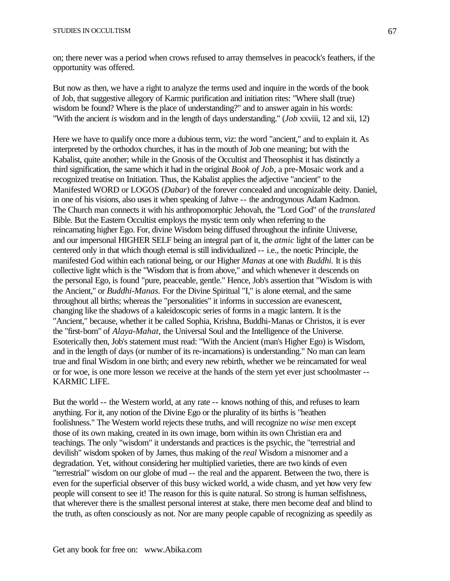on; there never was a period when crows refused to array themselves in peacock's feathers, if the opportunity was offered.

But now as then, we have a right to analyze the terms used and inquire in the words of the book of Job, that suggestive allegory of Karmic purification and initiation rites: "Where shall (true) wisdom be found? Where is the place of understanding?" and to answer again in his words: "With the ancient *is* wisdom and in the length of days understanding." (*Job* xxviii, 12 and xii, 12)

Here we have to qualify once more a dubious term, viz: the word "ancient," and to explain it. As interpreted by the orthodox churches, it has in the mouth of Job one meaning; but with the Kabalist, quite another; while in the Gnosis of the Occultist and Theosophist it has distinctly a third signification, the same which it had in the original *Book of Job,* a pre-Mosaic work and a recognized treatise on Initiation. Thus, the Kabalist applies the adjective "ancient" to the Manifested WORD or LOGOS (*Dabar*) of the forever concealed and uncognizable deity. Daniel, in one of his visions, also uses it when speaking of Jahve -- the androgynous Adam Kadmon. The Church man connects it with his anthropomorphic Jehovah, the "Lord God" of the *translated*  Bible. But the Eastern Occultist employs the mystic term only when referring to the reincarnating higher Ego. For, divine Wisdom being diffused throughout the infinite Universe, and our impersonal HIGHER SELF being an integral part of it, the *atmic* light of the latter can be centered only in that which though eternal is still individualized -- i.e.*,* the noetic Principle, the manifested God within each rational being, or our Higher *Manas* at one with *Buddhi.* It is this collective light which is the "Wisdom that is from above," and which whenever it descends on the personal Ego, is found "pure, peaceable, gentle." Hence, Job's assertion that "Wisdom is with the Ancient," or *Buddhi-Manas.* For the Divine Spiritual "I," is alone eternal, and the same throughout all births; whereas the "personalities" it informs in succession are evanescent, changing like the shadows of a kaleidoscopic series of forms in a magic lantern. It is the "Ancient," because, whether it be called Sophia, Krishna, Buddhi-Manas or Christos, it is ever the "first-born" of *Alaya-Mahat,* the Universal Soul and the Intelligence of the Universe. Esoterically then, Job's statement must read: "With the Ancient (man's Higher Ego) is Wisdom, and in the length of days (or number of its re-incarnations) is understanding." No man can learn true and final Wisdom in one birth; and every new rebirth, whether we be reincarnated for weal or for woe, is one more lesson we receive at the hands of the stern yet ever just schoolmaster -- KARMIC LIFE.

But the world -- the Western world, at any rate -- knows nothing of this, and refuses to learn anything. For it, any notion of the Divine Ego or the plurality of its births is "heathen foolishness." The Western world rejects these truths, and will recognize no *wise* men except those of its own making, created in its own image, born within its own Christian era and teachings. The only "wisdom" it understands and practices is the psychic, the "terrestrial and devilish" wisdom spoken of by James, thus making of the *real* Wisdom a misnomer and a degradation. Yet, without considering her multiplied varieties, there are two kinds of even "terrestrial" wisdom on our globe of mud -- the real and the apparent. Between the two, there is even for the superficial observer of this busy wicked world, a wide chasm, and yet how very few people will consent to see it! The reason for this is quite natural. So strong is human selfishness, that wherever there is the smallest personal interest at stake, there men become deaf and blind to the truth, as often consciously as not. Nor are many people capable of recognizing as speedily as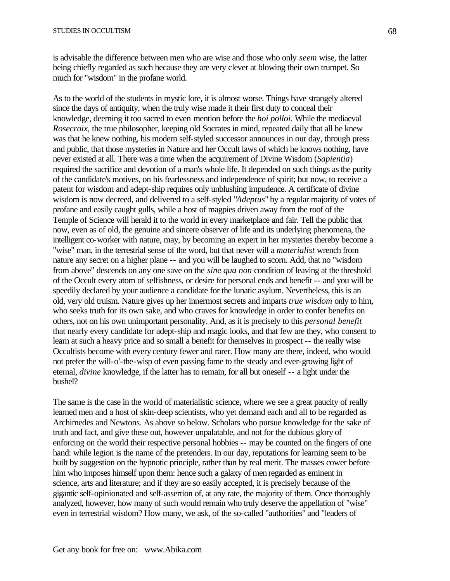is advisable the difference between men who are wise and those who only *seem* wise, the latter being chiefly regarded as such because they are very clever at blowing their own trumpet. So much for "wisdom" in the profane world.

As to the world of the students in mystic lore, it is almost worse. Things have strangely altered since the days of antiquity, when the truly wise made it their first duty to conceal their knowledge, deeming it too sacred to even mention before the *hoi polloi.* While the mediaeval *Rosecroix,* the true philosopher, keeping old Socrates in mind, repeated daily that all he knew was that he knew nothing, his modern self-styled successor announces in our day, through press and public, that those mysteries in Nature and her Occult laws of which he knows nothing, have never existed at all. There was a time when the acquirement of Divine Wisdom (*Sapientia*) required the sacrifice and devotion of a man's whole life. It depended on such things as the purity of the candidate's motives, on his fearlessness and independence of spirit; but now, to receive a patent for wisdom and adept-ship requires only unblushing impudence. A certificate of divine wisdom is now decreed, and delivered to a self-styled "*Adeptus*" by a regular majority of votes of profane and easily caught gulls, while a host of magpies driven away from the roof of the Temple of Science will herald it to the world in every marketplace and fair. Tell the public that now, even as of old, the genuine and sincere observer of life and its underlying phenomena, the intelligent co-worker with nature, may, by becoming an expert in her mysteries thereby become a "wise" man, in the terrestrial sense of the word, but that never will a *materialist* wrench from nature any secret on a higher plane -- and you will be laughed to scorn. Add, that no "wisdom from above" descends on any one save on the *sine qua non* condition of leaving at the threshold of the Occult every atom of selfishness, or desire for personal ends and benefit -- and you will be speedily declared by your audience a candidate for the lunatic asylum. Nevertheless, this is an old, very old truism. Nature gives up her innermost secrets and imparts *true wisdom* only to him, who seeks truth for its own sake, and who craves for knowledge in order to confer benefits on others, not on his own unimportant personality. And, as it is precisely to this *personal benefit*  that nearly every candidate for adept-ship and magic looks, and that few are they, who consent to learn at such a heavy price and so small a benefit for themselves in prospect -- the really wise Occultists become with every century fewer and rarer. How many are there, indeed, who would not prefer the will-o'-the-wisp of even passing fame to the steady and ever-growing light of eternal, *divine* knowledge, if the latter has to remain, for all but oneself -- a light under the bushel?

The same is the case in the world of materialistic science, where we see a great paucity of really learned men and a host of skin-deep scientists, who yet demand each and all to be regarded as Archimedes and Newtons. As above so below. Scholars who pursue knowledge for the sake of truth and fact, and give these out, however unpalatable, and not for the dubious glory of enforcing on the world their respective personal hobbies -- may be counted on the fingers of one hand: while legion is the name of the pretenders. In our day, reputations for learning seem to be built by suggestion on the hypnotic principle, rather than by real merit. The masses cower before him who imposes himself upon them: hence such a galaxy of men regarded as eminent in science, arts and literature; and if they are so easily accepted, it is precisely because of the gigantic self-opinionated and self-assertion of, at any rate, the majority of them. Once thoroughly analyzed, however, how many of such would remain who truly deserve the appellation of "wise" even in terrestrial wisdom? How many, we ask, of the so-called "authorities" and "leaders of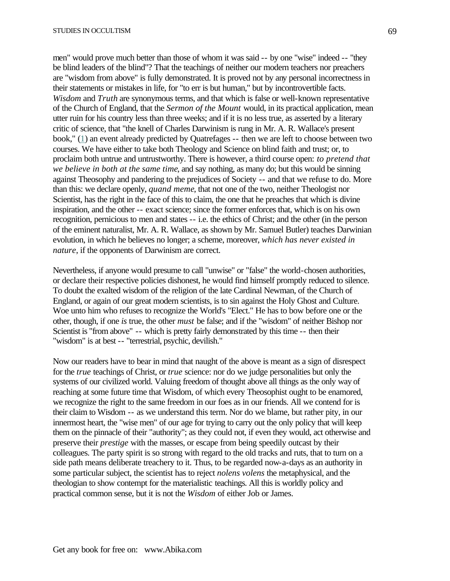men" would prove much better than those of whom it was said -- by one "wise" indeed -- "they be blind leaders of the blind"? That the teachings of neither our modern teachers nor preachers are "wisdom from above" is fully demonstrated. It is proved not by any personal incorrectness in their statements or mistakes in life, for "to err is but human," but by incontrovertible facts. *Wisdom* and *Truth* are synonymous terms, and that which is false or well-known representative of the Church of England, that the *Sermon of the Mount* would, in its practical application, mean utter ruin for his country less than three weeks; and if it is no less true, as asserted by a literary critic of science, that "the knell of Charles Darwinism is rung in Mr. A. R. Wallace's present book," (1) an event already predicted by Quatrefages -- then we are left to choose between two courses. We have either to take both Theology and Science on blind faith and trust; or, to proclaim both untrue and untrustworthy. There is however, a third course open: *to pretend that we believe in both at the same time*, and say nothing, as many do; but this would be sinning against Theosophy and pandering to the prejudices of Society -- and that we refuse to do. More than this: we declare openly, *quand meme*, that not one of the two, neither Theologist nor Scientist, has the right in the face of this to claim, the one that he preaches that which is divine inspiration, and the other -- exact science; since the former enforces that, which is on his own recognition, pernicious to men and states -- i.e. the ethics of Christ; and the other (in the person of the eminent naturalist, Mr. A. R. Wallace, as shown by Mr. Samuel Butler) teaches Darwinian evolution, in which he believes no longer; a scheme, moreover, *which has never existed in nature*, if the opponents of Darwinism are correct.

Nevertheless, if anyone would presume to call "unwise" or "false" the world-chosen authorities, or declare their respective policies dishonest, he would find himself promptly reduced to silence. To doubt the exalted wisdom of the religion of the late Cardinal Newman, of the Church of England, or again of our great modern scientists, is to sin against the Holy Ghost and Culture. Woe unto him who refuses to recognize the World's "Elect." He has to bow before one or the other, though, if one *is* true, the other *must* be false; and if the "wisdom" of neither Bishop nor Scientist is "from above" -- which is pretty fairly demonstrated by this time -- then their "wisdom" is at best -- "terrestrial, psychic, devilish."

Now our readers have to bear in mind that naught of the above is meant as a sign of disrespect for the *true* teachings of Christ, or *true* science: nor do we judge personalities but only the systems of our civilized world. Valuing freedom of thought above all things as the only way of reaching at some future time that Wisdom, of which every Theosophist ought to be enamored, we recognize the right to the same freedom in our foes as in our friends. All we contend for is their claim to Wisdom -- as we understand this term. Nor do we blame, but rather pity, in our innermost heart, the "wise men" of our age for trying to carry out the only policy that will keep them on the pinnacle of their "authority"; as they could not, if even they would, act otherwise and preserve their *prestige* with the masses, or escape from being speedily outcast by their colleagues. The party spirit is so strong with regard to the old tracks and ruts, that to turn on a side path means deliberate treachery to it. Thus, to be regarded now-a-days as an authority in some particular subject, the scientist has to reject *nolens volens* the metaphysical, and the theologian to show contempt for the materialistic teachings. All this is worldly policy and practical common sense, but it is not the *Wisdom* of either Job or James.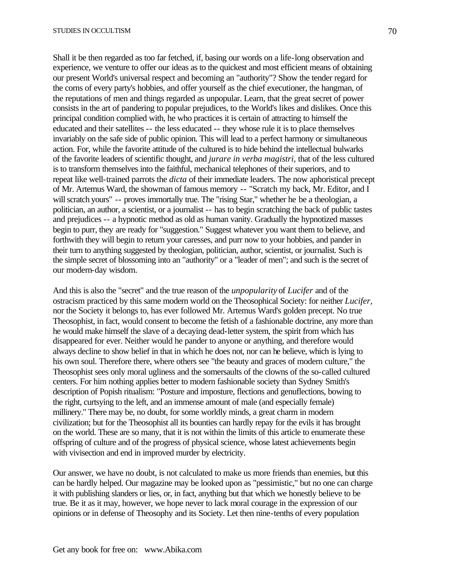Shall it be then regarded as too far fetched, if, basing our words on a life-long observation and experience, we venture to offer our ideas as to the quickest and most efficient means of obtaining our present World's universal respect and becoming an "authority"? Show the tender regard for the corns of every party's hobbies, and offer yourself as the chief executioner, the hangman, of the reputations of men and things regarded as unpopular. Learn, that the great secret of power consists in the art of pandering to popular prejudices, to the World's likes and dislikes. Once this principal condition complied with, he who practices it is certain of attracting to himself the educated and their satellites -- the less educated -- they whose rule it is to place themselves invariably on the safe side of public opinion. This will lead to a perfect harmony or simultaneous action. For, while the favorite attitude of the cultured is to hide behind the intellectual bulwarks of the favorite leaders of scientific thought, and *jurare in verba magistri,* that of the less cultured is to transform themselves into the faithful, mechanical telephones of their superiors, and to repeat like well-trained parrots the *dicta* of their immediate leaders. The now aphoristical precept of Mr. Artemus Ward, the showman of famous memory -- "Scratch my back, Mr. Editor, and I will scratch yours" -- proves immortally true. The "rising Star," whether he be a theologian, a politician, an author, a scientist, or a journalist -- has to begin scratching the back of public tastes and prejudices -- a hypnotic method as old as human vanity. Gradually the hypnotized masses begin to purr, they are ready for "suggestion." Suggest whatever you want them to believe, and forthwith they will begin to return your caresses, and purr now to your hobbies, and pander in their turn to anything suggested by theologian, politician, author, scientist, or journalist. Such is the simple secret of blossoming into an "authority" or a "leader of men"; and such is the secret of our modern-day wisdom.

And this is also the "secret" and the true reason of the *unpopularity* of *Lucifer* and of the ostracism practiced by this same modern world on the Theosophical Society: for neither *Lucifer,*  nor the Society it belongs to, has ever followed Mr. Artemus Ward's golden precept. No true Theosophist, in fact, would consent to become the fetish of a fashionable doctrine, any more than he would make himself the slave of a decaying dead-letter system, the spirit from which has disappeared for ever. Neither would he pander to anyone or anything, and therefore would always decline to show belief in that in which he does not, nor can he believe, which is lying to his own soul. Therefore there, where others see "the beauty and graces of modern culture," the Theosophist sees only moral ugliness and the somersaults of the clowns of the so-called cultured centers. For him nothing applies better to modern fashionable society than Sydney Smith's description of Popish ritualism: "Posture and imposture, flections and genuflections, bowing to the right, curtsying to the left, and an immense amount of male (and especially female) millinery." There may be, no doubt, for some worldly minds, a great charm in modern civilization; but for the Theosophist all its bounties can hardly repay for the evils it has brought on the world. These are so many, that it is not within the limits of this article to enumerate these offspring of culture and of the progress of physical science, whose latest achievements begin with vivisection and end in improved murder by electricity.

Our answer, we have no doubt, is not calculated to make us more friends than enemies, but this can be hardly helped. Our magazine may be looked upon as "pessimistic," but no one can charge it with publishing slanders or lies, or, in fact, anything but that which we honestly believe to be true. Be it as it may, however, we hope never to lack moral courage in the expression of our opinions or in defense of Theosophy and its Society. Let then nine-tenths of every population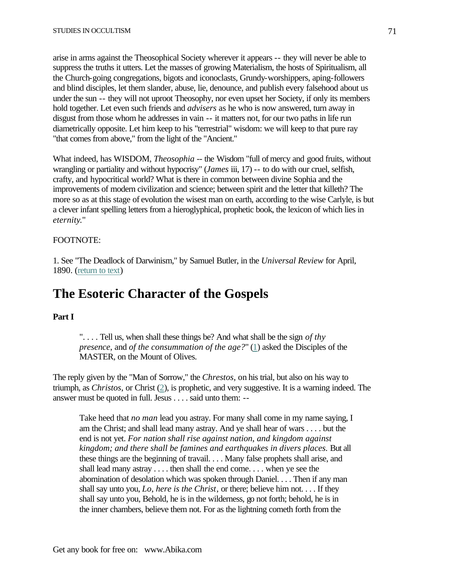arise in arms against the Theosophical Society wherever it appears -- they will never be able to suppress the truths it utters. Let the masses of growing Materialism, the hosts of Spiritualism, all the Church-going congregations, bigots and iconoclasts, Grundy-worshippers, aping-followers and blind disciples, let them slander, abuse, lie, denounce, and publish every falsehood about us under the sun -- they will not uproot Theosophy, nor even upset her Society, if only its members hold together. Let even such friends and *advisers* as he who is now answered, turn away in disgust from those whom he addresses in vain -- it matters not, for our two paths in life run diametrically opposite. Let him keep to his "terrestrial" wisdom: we will keep to that pure ray "that comes from above," from the light of the "Ancient."

What indeed, has WISDOM, *Theosophia* -- the Wisdom "full of mercy and good fruits, without wrangling or partiality and without hypocrisy" (*James* iii, 17) -- to do with our cruel, selfish, crafty, and hypocritical world? What is there in common between divine Sophia and the improvements of modern civilization and science; between spirit and the letter that killeth? The more so as at this stage of evolution the wisest man on earth, according to the wise Carlyle, is but a clever infant spelling letters from a hieroglyphical, prophetic book, the lexicon of which lies in *eternity*."

### FOOTNOTE:

1. See "The Deadlock of Darwinism," by Samuel Butler, in the *Universal Review* for April, 1890. (return to text)

## **The Esoteric Character of the Gospels**

### **Part I**

". . . . Tell us, when shall these things be? And what shall be the sign *of thy presence*, and *of the consummation of the age?*" (1) asked the Disciples of the MASTER, on the Mount of Olives.

The reply given by the "Man of Sorrow," the *Chrestos*, on his trial, but also on his way to triumph, as *Christos*, or Christ (2), is prophetic, and very suggestive. It is a warning indeed. The answer must be quoted in full. Jesus . . . . said unto them: --

Take heed that *no man* lead you astray. For many shall come in my name saying, I am the Christ; and shall lead many astray. And ye shall hear of wars . . . . but the end is not yet. *For nation shall rise against nation*, *and kingdom against kingdom; and there shall be famines and earthquakes in divers places.* But all these things are the beginning of travail. . . . Many false prophets shall arise, and shall lead many astray . . . . then shall the end come. . . . when ye see the abomination of desolation which was spoken through Daniel. . . . Then if any man shall say unto you, *Lo*, *here is the Christ*, or there; believe him not. . . . If they shall say unto you, Behold, he is in the wilderness, go not forth; behold, he is in the inner chambers, believe them not. For as the lightning cometh forth from the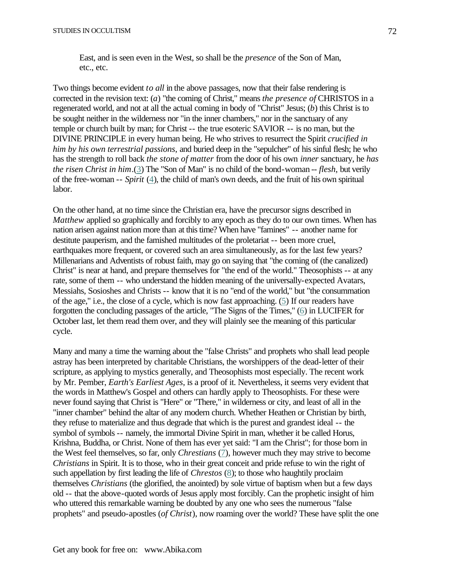Two things become evident *to all* in the above passages, now that their false rendering is corrected in the revision text: (*a*) "the coming of Christ," means *the presence of* CHRISTOS in a regenerated world, and not at all the actual coming in body of "Christ" Jesus; (*b*) this Christ is to be sought neither in the wilderness nor "in the inner chambers," nor in the sanctuary of any temple or church built by man; for Christ -- the true esoteric SAVIOR -- is no man, but the DIVINE PRINCIPLE in every human being. He who strives to resurrect the Spirit *crucified in him by his own terrestrial passions*, and buried deep in the "sepulcher" of his sinful flesh; he who has the strength to roll back *the stone of matter* from the door of his own *inner* sanctuary, he *has the risen Christ in him*.(3) The "Son of Man" is no child of the bond-woman *-- flesh*, but verily of the free-woman -- *Spirit* (4), the child of man's own deeds, and the fruit of his own spiritual labor.

On the other hand, at no time since the Christian era, have the precursor signs described in *Matthew* applied so graphically and forcibly to any epoch as they do to our own times. When has nation arisen against nation more than at this time? When have "famines" -- another name for destitute pauperism, and the famished multitudes of the proletariat -- been more cruel, earthquakes more frequent, or covered such an area simultaneously, as for the last few years? Millenarians and Adventists of robust faith, may go on saying that "the coming of (the canalized) Christ" is near at hand, and prepare themselves for "the end of the world." Theosophists -- at any rate, some of them -- who understand the hidden meaning of the universally-expected Avatars, Messiahs, Sosioshes and Christs -- know that it is no "end of the world," but "the consummation of the age," i.e., the close of a cycle, which is now fast approaching. (5) If our readers have forgotten the concluding passages of the article, "The Signs of the Times," (6) in LUCIFER for October last, let them read them over, and they will plainly see the meaning of this particular cycle.

Many and many a time the warning about the "false Christs" and prophets who shall lead people astray has been interpreted by charitable Christians, the worshippers of the dead-letter of their scripture, as applying to mystics generally, and Theosophists most especially. The recent work by Mr. Pember, *Earth's Earliest Ages*, is a proof of it. Nevertheless, it seems very evident that the words in Matthew's Gospel and others can hardly apply to Theosophists. For these were never found saying that Christ is "Here" or "There," in wilderness or city, and least of all in the "inner chamber" behind the altar of any modern church. Whether Heathen or Christian by birth, they refuse to materialize and thus degrade that which is the purest and grandest ideal -- the symbol of symbols -- namely, the immortal Divine Spirit in man, whether it be called Horus, Krishna, Buddha, or Christ. None of them has ever yet said: "I am the Christ"; for those born in the West feel themselves, so far, only *Chrestians* (7), however much they may strive to become *Christians* in Spirit. It is to those, who in their great conceit and pride refuse to win the right of such appellation by first leading the life of *Chrestos* (8); to those who haughtily proclaim themselves *Christians* (the glorified, the anointed) by sole virtue of baptism when but a few days old -- that the above-quoted words of Jesus apply most forcibly. Can the prophetic insight of him who uttered this remarkable warning be doubted by any one who sees the numerous "false prophets" and pseudo-apostles (*of Christ*), now roaming over the world? These have split the one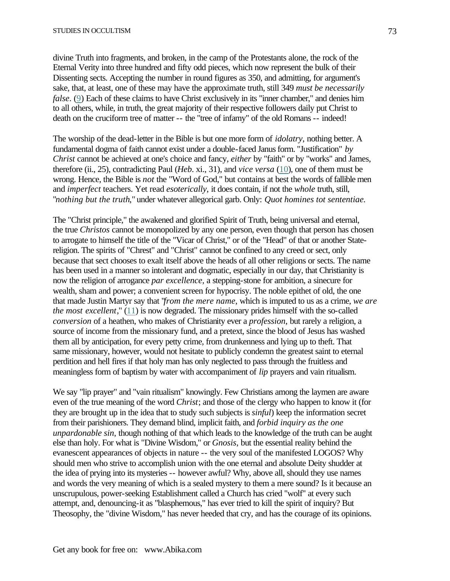divine Truth into fragments, and broken, in the camp of the Protestants alone, the rock of the Eternal Verity into three hundred and fifty odd pieces, which now represent the bulk of their Dissenting sects. Accepting the number in round figures as 350, and admitting, for argument's sake, that, at least, one of these may have the approximate truth, still 349 *must be necessarily false*. (9) Each of these claims to have Christ exclusively in its "inner chamber," and denies him to all others, while, in truth, the great majority of their respective followers daily put Christ to death on the cruciform tree of matter -- the "tree of infamy" of the old Romans -- indeed!

The worship of the dead-letter in the Bible is but one more form of *idolatry*, nothing better. A fundamental dogma of faith cannot exist under a double-faced Janus form. "Justification" *by Christ* cannot be achieved at one's choice and fancy, *either* by "faith" or by "works" and James, therefore (ii., 25), contradicting Paul (*Heb*. xi., 31), and *vice versa* (10), one of them must be wrong. Hence, the Bible is *not* the "Word of God," but contains at best the words of fallible men and *imperfect* teachers. Yet read *esoterically*, it does contain, if not the *whole* truth, still, "*nothing but the truth*," under whatever allegorical garb. Only: *Quot homines tot sententiae.* 

The "Christ principle," the awakened and glorified Spirit of Truth, being universal and eternal, the true *Christos* cannot be monopolized by any one person, even though that person has chosen to arrogate to himself the title of the "Vicar of Christ," or of the "Head" of that or another Statereligion. The spirits of "Chrest" and "Christ" cannot be confined to any creed or sect, only because that sect chooses to exalt itself above the heads of all other religions or sects. The name has been used in a manner so intolerant and dogmatic, especially in our day, that Christianity is now the religion of arrogance *par excellence*, a stepping-stone for ambition, a sinecure for wealth, sham and power; a convenient screen for hypocrisy. The noble epithet of old, the one that made Justin Martyr say that "*from the mere name*, which is imputed to us as a crime, *we are the most excellent*," (11) is now degraded. The missionary prides himself with the so-called *conversion* of a heathen, who makes of Christianity ever a *profession*, but rarely a religion, a source of income from the missionary fund, and a pretext, since the blood of Jesus has washed them all by anticipation, for every petty crime, from drunkenness and lying up to theft. That same missionary, however, would not hesitate to publicly condemn the greatest saint to eternal perdition and hell fires if that holy man has only neglected to pass through the fruitless and meaningless form of baptism by water with accompaniment of *lip* prayers and vain ritualism.

We say "lip prayer" and "vain ritualism" knowingly. Few Christians among the laymen are aware even of the true meaning of the word *Christ*; and those of the clergy who happen to know it (for they are brought up in the idea that to study such subjects is *sinful*) keep the information secret from their parishioners. They demand blind, implicit faith, and *forbid inquiry as the one unpardonable sin*, though nothing of that which leads to the knowledge of the truth can be aught else than holy. For what is "Divine Wisdom," or *Gnosis*, but the essential reality behind the evanescent appearances of objects in nature -- the very soul of the manifested LOGOS? Why should men who strive to accomplish union with the one eternal and absolute Deity shudder at the idea of prying into its mysteries -- however awful? Why, above all, should they use names and words the very meaning of which is a sealed mystery to them a mere sound? Is it because an unscrupulous, power-seeking Establishment called a Church has cried "wolf" at every such attempt, and, denouncing-it as "blasphemous," has ever tried to kill the spirit of inquiry? But Theosophy, the "divine Wisdom," has never heeded that cry, and has the courage of its opinions.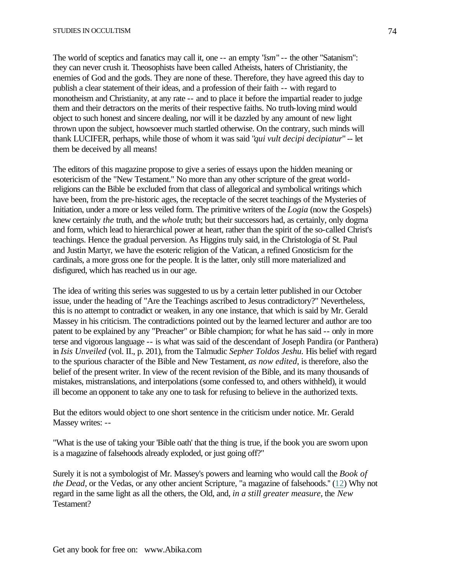The world of sceptics and fanatics may call it, one -- an empty "*ism*" -- the other "Satanism": they can never crush it. Theosophists have been called Atheists, haters of Christianity, the enemies of God and the gods. They are none of these. Therefore, they have agreed this day to publish a clear statement of their ideas, and a profession of their faith -- with regard to monotheism and Christianity, at any rate -- and to place it before the impartial reader to judge them and their detractors on the merits of their respective faiths. No truth-loving mind would object to such honest and sincere dealing, nor will it be dazzled by any amount of new light thrown upon the subject, howsoever much startled otherwise. On the contrary, such minds will thank LUCIFER, perhaps, while those of whom it was said "*qui vult decipi decipiatur*" *--* let them be deceived by all means!

The editors of this magazine propose to give a series of essays upon the hidden meaning or esotericism of the "New Testament." No more than any other scripture of the great worldreligions can the Bible be excluded from that class of allegorical and symbolical writings which have been, from the pre-historic ages, the receptacle of the secret teachings of the Mysteries of Initiation, under a more or less veiled form. The primitive writers of the *Logia* (now the Gospels) knew certainly *the* truth, and the *whole* truth; but their successors had, as certainly, only dogma and form, which lead to hierarchical power at heart, rather than the spirit of the so-called Christ's teachings. Hence the gradual perversion. As Higgins truly said, in the Christologia of St. Paul and Justin Martyr, we have the esoteric religion of the Vatican, a refined Gnosticism for the cardinals, a more gross one for the people. It is the latter, only still more materialized and disfigured, which has reached us in our age.

The idea of writing this series was suggested to us by a certain letter published in our October issue, under the heading of "Are the Teachings ascribed to Jesus contradictory?" Nevertheless, this is no attempt to contradict or weaken, in any one instance, that which is said by Mr. Gerald Massey in his criticism. The contradictions pointed out by the learned lecturer and author are too patent to be explained by any "Preacher" or Bible champion; for what he has said -- only in more terse and vigorous language -- is what was said of the descendant of Joseph Pandira (or Panthera) in *Isis Unveiled* (vol. II., p. 201), from the Talmudic *Sepher Toldos Jeshu.* His belief with regard to the spurious character of the Bible and New Testament, *as now edited*, is therefore, also the belief of the present writer. In view of the recent revision of the Bible, and its many thousands of mistakes, mistranslations, and interpolations (some confessed to, and others withheld), it would ill become an opponent to take any one to task for refusing to believe in the authorized texts.

But the editors would object to one short sentence in the criticism under notice. Mr. Gerald Massey writes: --

"What is the use of taking your 'Bible oath' that the thing is true, if the book you are sworn upon is a magazine of falsehoods already exploded, or just going off?"

Surely it is not a symbologist of Mr. Massey's powers and learning who would call the *Book of the Dead*, or the Vedas, or any other ancient Scripture, "a magazine of falsehoods." (12) Why not regard in the same light as all the others, the Old, and, *in a still greater measure*, the *New*  Testament?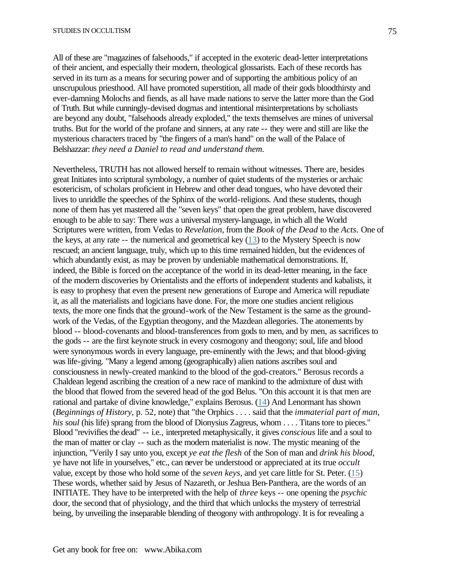All of these are "magazines of falsehoods," if accepted in the exoteric dead-letter interpretations of their ancient, and especially their modern, theological glossarists. Each of these records has served in its turn as a means for securing power and of supporting the ambitious policy of an unscrupulous priesthood. All have promoted superstition, all made of their gods bloodthirsty and ever-damning Molochs and fiends, as all have made nations to serve the latter more than the God of Truth. But while cunningly-devised dogmas and intentional misinterpretations by scholiasts are beyond any doubt, "falsehoods already exploded," the texts themselves are mines of universal truths. But for the world of the profane and sinners, at any rate -- they were and still are like the mysterious characters traced by "the fingers of a man's hand" on the wall of the Palace of Belshazzar: *they need a Daniel to read and understand them.* 

Nevertheless, TRUTH has not allowed herself to remain without witnesses. There are, besides great Initiates into scriptural symbology, a number of quiet students of the mysteries or archaic esotericism, of scholars proficient in Hebrew and other dead tongues, who have devoted their lives to unriddle the speeches of the Sphinx of the world-religions. And these students, though none of them has yet mastered all the "seven keys" that open the great problem, have discovered enough to be able to say: There *was* a universal mystery-language, in which all the World Scriptures were written, from Vedas to *Revelation*, from the *Book of the Dead* to the *Acts.* One of the keys, at any rate -- the numerical and geometrical key (13) to the Mystery Speech is now rescued; an ancient language, truly, which up to this time remained hidden, but the evidences of which abundantly exist, as may be proven by undeniable mathematical demonstrations. If, indeed, the Bible is forced on the acceptance of the world in its dead-letter meaning, in the face of the modern discoveries by Orientalists and the efforts of independent students and kabalists, it is easy to prophesy that even the present new generations of Europe and America will repudiate it, as all the materialists and logicians have done. For, the more one studies ancient religious texts, the more one finds that the ground-work of the New Testament is the same as the groundwork of the Vedas, of the Egyptian theogony, and the Mazdean allegories. The atonements by blood -- blood-covenants and blood-transferences from gods to men, and by men, as sacrifices to the gods -- are the first keynote struck in every cosmogony and theogony; soul, life and blood were synonymous words in every language, pre-eminently with the Jews; and that blood-giving was life-giving. "Many a legend among (geographically) alien nations ascribes soul and consciousness in newly-created mankind to the blood of the god-creators." Berosus records a Chaldean legend ascribing the creation of a new race of mankind to the admixture of dust with the blood that flowed from the severed head of the god Belus. "On this account it is that men are rational and partake of divine knowledge," explains Berosus. (14) And Lenormant has shown (*Beginnings of History*, p. 52, note) that "the Orphics . . . . said that the *immaterial part of man*, *his soul* (his life) sprang from the blood of Dionysius Zagreus, whom . . . . Titans tore to pieces." Blood "revivifies the dead" -- i.e*.*, interpreted metaphysically, it gives *conscious* life and a soul to the man of matter or clay -- such as the modern materialist is now. The mystic meaning of the injunction, "Verily I say unto you, except *ye eat the flesh* of the Son of man and *drink his blood*, ye have not life in yourselves," etc., can never be understood or appreciated at its true *occult*  value, except by those who hold some of the *seven keys*, and yet care little for St. Peter. (15) These words, whether said by Jesus of Nazareth, or Jeshua Ben-Panthera, are the words of an INITIATE. They have to be interpreted with the help of *three* keys -- one opening the *psychic*  door, the second that of physiology, and the third that which unlocks the mystery of terrestrial being, by unveiling the inseparable blending of theogony with anthropology. It is for revealing a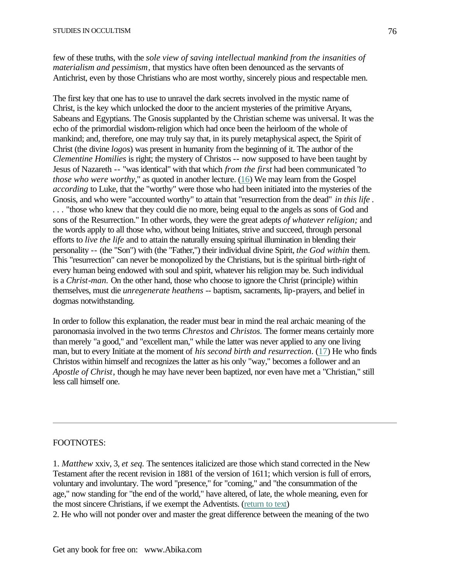few of these truths, with the *sole view of saving intellectual mankind from the insanities of materialism and pessimism*, that mystics have often been denounced as the servants of Antichrist, even by those Christians who are most worthy, sincerely pious and respectable men.

The first key that one has to use to unravel the dark secrets involved in the mystic name of Christ, is the key which unlocked the door to the ancient mysteries of the primitive Aryans, Sabeans and Egyptians. The Gnosis supplanted by the Christian scheme was universal. It was the echo of the primordial wisdom-religion which had once been the heirloom of the whole of mankind; and, therefore, one may truly say that, in its purely metaphysical aspect, the Spirit of Christ (the divine *logos*) was present in humanity from the beginning of it. The author of the *Clementine Homilies* is right; the mystery of Christos -- now supposed to have been taught by Jesus of Nazareth -- "was identical" with that which *from the first* had been communicated "*to those who were worthy*," as quoted in another lecture. (16) We may learn from the Gospel *according* to Luke, that the "worthy" were those who had been initiated into the mysteries of the Gnosis, and who were "accounted worthy" to attain that "resurrection from the dead" *in this life . . . .* "those who knew that they could die no more, being equal to the angels as sons of God and sons of the Resurrection." In other words, they were the great adepts *of whatever religion;* and the words apply to all those who, without being Initiates, strive and succeed, through personal efforts to *live the life* and to attain the naturally ensuing spiritual illumination in blending their personality -- (the "Son") with (the "Father,") their individual divine Spirit, *the God within* them. This "resurrection" can never be monopolized by the Christians, but is the spiritual birth-right of every human being endowed with soul and spirit, whatever his religion may be. Such individual is a *Christ-man.* On the other hand, those who choose to ignore the Christ (principle) within themselves, must die *unregenerate heathens --* baptism, sacraments, lip-prayers, and belief in dogmas notwithstanding.

In order to follow this explanation, the reader must bear in mind the real archaic meaning of the paronomasia involved in the two terms *Chrestos* and *Christos.* The former means certainly more than merely "a good," and "excellent man," while the latter was never applied to any one living man, but to every Initiate at the moment of *his second birth and resurrection*. (17) He who finds Christos within himself and recognizes the latter as his only "way," becomes a follower and an *Apostle of Christ*, though he may have never been baptized, nor even have met a "Christian," still less call himself one.

#### FOOTNOTES:

1. *Matthew* xxiv, 3, *et seq.* The sentences italicized are those which stand corrected in the New Testament after the recent revision in 1881 of the version of 1611; which version is full of errors, voluntary and involuntary. The word "presence," for "coming," and "the consummation of the age," now standing for "the end of the world," have altered, of late, the whole meaning, even for the most sincere Christians, if we exempt the Adventists. (return to text)

2. He who will not ponder over and master the great difference between the meaning of the two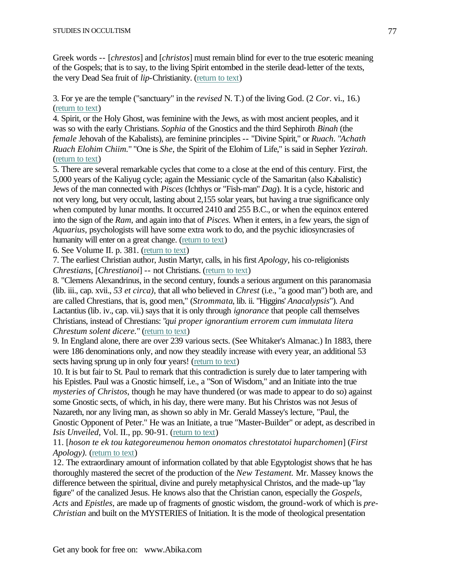Greek words -- [*chrestos*] and [*christos*] must remain blind for ever to the true esoteric meaning of the Gospels; that is to say, to the living Spirit entombed in the sterile dead-letter of the texts, the very Dead Sea fruit of *lip*-Christianity. (return to text)

3. For ye are the temple ("sanctuary" in the *revised* N. T.) of the living God. (2 *Cor*. vi., 16.) (return to text)

4. Spirit, or the Holy Ghost, was feminine with the Jews, as with most ancient peoples, and it was so with the early Christians. *Sophia* of the Gnostics and the third Sephiroth *Binah* (the *female* Jehovah of the Kabalists), are feminine principles -- "Divine Spirit," or *Ruach*. "*Achath Ruach Elohim Chiim.*" "One is *She*, the Spirit of the Elohim of Life," is said in Sepher *Yezirah*. (return to text)

5. There are several remarkable cycles that come to a close at the end of this century. First, the 5,000 years of the Kaliyug cycle; again the Messianic cycle of the Samaritan (also Kabalistic) Jews of the man connected with *Pisces* (Ichthys or "Fish-man" *Dag*). It is a cycle, historic and not very long, but very occult, lasting about 2,155 solar years, but having a true significance only when computed by lunar months. It occurred 2410 and 255 B.C., or when the equinox entered into the sign of the *Ram*, and again into that of *Pisces.* When it enters, in a few years, the sign of *Aquarius*, psychologists will have some extra work to do, and the psychic idiosyncrasies of humanity will enter on a great change. (return to text)

6. See Volume II. p. 381. (return to text)

7. The earliest Christian author, Justin Martyr, calls, in his first *Apology*, his co-religionists *Chrestians*, [*Chrestianoi*] -- not Christians. (return to text)

8. "Clemens Alexandrinus, in the second century, founds a serious argument on this paranomasia (lib. iii., cap. xvii., *53 et circa)*, that all who believed in *Chrest* (i.e., "a good man") both are, and are called Chrestians, that is, good men," (*Strommata*, lib. ii. "Higgins' *Anacalypsis*"). And Lactantius (lib. iv., cap. vii.) says that it is only through *ignorance* that people call themselves Christians, instead of Chrestians: "*qui proper ignorantium errorem cum immutata litera Chrestum solent dicere.*" (return to text)

9. In England alone, there are over 239 various sects. (See Whitaker's Almanac.) In 1883, there were 186 denominations only, and now they steadily increase with every year, an additional 53 sects having sprung up in only four years! (return to text)

10. It is but fair to St. Paul to remark that this contradiction is surely due to later tampering with his Epistles. Paul was a Gnostic himself, i.e., a "Son of Wisdom," and an Initiate into the true *mysteries of Christos*, though he may have thundered (or was made to appear to do so) against some Gnostic sects, of which, in his day, there were many. But his Christos was not Jesus of Nazareth, nor any living man, as shown so ably in Mr. Gerald Massey's lecture, "Paul, the Gnostic Opponent of Peter." He was an Initiate, a true "Master-Builder" or adept, as described in *Isis Unveiled,* Vol. II., pp. 90-91. (return to text)

11. [*hoson te ek tou kategoreumenou hemon onomatos chrestotatoi huparchomen*] (*First Apology).* (return to text)

12. The extraordinary amount of information collated by that able Egyptologist shows that he has thoroughly mastered the secret of the production of the *New Testament.* Mr. Massey knows the difference between the spiritual, divine and purely metaphysical Christos, and the made-up "lay figure" of the canalized Jesus. He knows also that the Christian canon, especially the *Gospels*, *Acts* and *Epistles*, are made up of fragments of gnostic wisdom, the ground-work of which is *pre-Christian* and built on the MYSTERIES of Initiation. It is the mode of theological presentation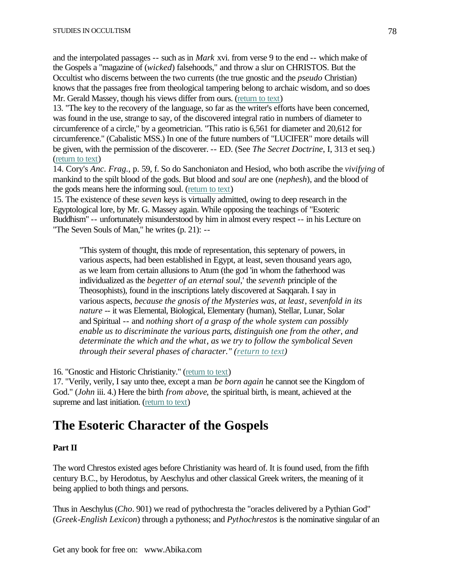and the interpolated passages -- such as in *Mark* xvi. from verse 9 to the end -- which make of the Gospels a "magazine of (*wicked*) falsehoods," and throw a slur on CHRISTOS. But the Occultist who discerns between the two currents (the true gnostic and the *pseudo* Christian) knows that the passages free from theological tampering belong to archaic wisdom, and so does Mr. Gerald Massey, though his views differ from ours. (return to text)

13. "The key to the recovery of the language, so far as the writer's efforts have been concerned, was found in the use, strange to say, of the discovered integral ratio in numbers of diameter to circumference of a circle," by a geometrician. "This ratio is 6,561 for diameter and 20,612 for circumference." (Cabalistic MSS.) In one of the future numbers of "LUCIFER" more details will be given, with the permission of the discoverer. -- ED. (See *The Secret Doctrine*, I, 313 et seq.) (return to text)

14. Cory's *Anc. Frag.*, p. 59, f. So do Sanchoniaton and Hesiod, who both ascribe the *vivifying* of mankind to the spilt blood of the gods. But blood and *soul* are one (*nephesh*), and the blood of the gods means here the informing soul. (return to text)

15. The existence of these *seven* keys is virtually admitted, owing to deep research in the Egyptological lore, by Mr. G. Massey again. While opposing the teachings of "Esoteric Buddhism" -- unfortunately misunderstood by him in almost every respect -- in his Lecture on "The Seven Souls of Man," he writes (p. 21): --

"This system of thought, this mode of representation, this septenary of powers, in various aspects, had been established in Egypt, at least, seven thousand years ago, as we learn from certain allusions to Atum (the god 'in whom the fatherhood was individualized as the *begetter of an eternal soul*,' the *seventh* principle of the Theosophists), found in the inscriptions lately discovered at Saqqarah. I say in various aspects, *because the gnosis of the Mysteries was*, *at least*, *sevenfold in its nature --* it was Elemental, Biological, Elementary (human), Stellar, Lunar, Solar and Spiritual -- and *nothing short of a grasp of the whole system can possibly enable us to discriminate the various parts*, *distinguish one from the other*, *and determinate the which and the what*, *as we try to follow the symbolical Seven through their several phases of character." (return to text)*

16. "Gnostic and Historic Christianity." (return to text)

Get any book for free on: www.Abika.com

17. "Verily, verily, I say unto thee, except a man *be born again* he cannot see the Kingdom of God." (*John* iii. 4.) Here the birth *from above*, the spiritual birth, is meant, achieved at the supreme and last initiation. (return to text)

# **The Esoteric Character of the Gospels**

## **Part II**

The word Chrestos existed ages before Christianity was heard of. It is found used, from the fifth century B.C., by Herodotus, by Aeschylus and other classical Greek writers, the meaning of it being applied to both things and persons.

Thus in Aeschylus (*Cho*. 901) we read of pythochresta the "oracles delivered by a Pythian God" (*Greek-English Lexicon*) through a pythoness; and *Pythochrestos* is the nominative singular of an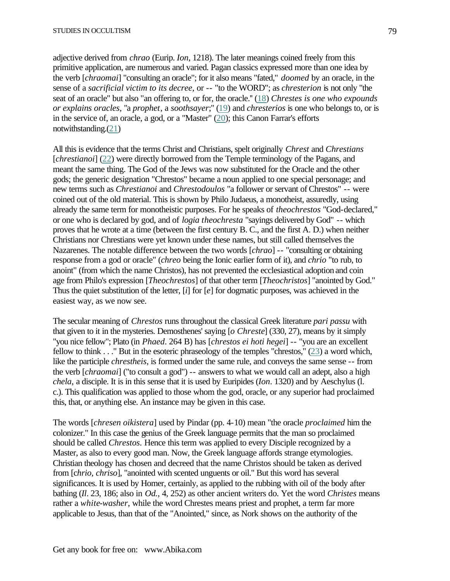adjective derived from *chrao* (Eurip. *Ion*, 1218). The later meanings coined freely from this primitive application, are numerous and varied. Pagan classics expressed more than one idea by the verb [*chraomai*] "consulting an oracle"; for it also means "fated," *doomed* by an oracle, in the sense of a *sacrificial victim to its decree*, or -- "to the WORD"; as *chresterion* is not only "the seat of an oracle" but also "an offering to, or for, the oracle.'' (18) *Chrestes is one who expounds or explains oracles, "a prophet, a soothsayer;"* (19) and *chresterios* is one who belongs to, or is in the service of, an oracle, a god, or a "Master" (20); this Canon Farrar's efforts notwithstanding.(21)

All this is evidence that the terms Christ and Christians, spelt originally *Chrest* and *Chrestians* [*chrestianoi*] (22) were directly borrowed from the Temple terminology of the Pagans, and meant the same thing. The God of the Jews was now substituted for the Oracle and the other gods; the generic designation "Chrestos" became a noun applied to one special personage; and new terms such as *Chrestianoi* and *Chrestodoulos* "a follower or servant of Chrestos" -- were coined out of the old material. This is shown by Philo Judaeus, a monotheist, assuredly, using already the same term for monotheistic purposes. For he speaks of *theochrestos* "God-declared," or one who is declared by god, and of *logia theochresta* "sayings delivered by God" -- which proves that he wrote at a time (between the first century B. C., and the first A. D.) when neither Christians nor Chrestians were yet known under these names, but still called themselves the Nazarenes. The notable difference between the two words [*chrao*] -- "consulting or obtaining response from a god or oracle" (*chreo* being the Ionic earlier form of it), and *chrio* "to rub, to anoint" (from which the name Christos), has not prevented the ecclesiastical adoption and coin age from Philo's expression [*Theochrestos*] of that other term [*Theochristos*] "anointed by God." Thus the quiet substitution of the letter, [*i*] for [*e*] for dogmatic purposes, was achieved in the easiest way, as we now see.

The secular meaning of *Chrestos* runs throughout the classical Greek literature *pari passu* with that given to it in the mysteries. Demosthenes' saying [*o Chreste*] (330, 27), means by it simply "you nice fellow"; Plato (in *Phaed*. 264 B) has [*chrestos ei hoti hegei*] -- "you are an excellent fellow to think . . ." But in the esoteric phraseology of the temples "chrestos," (23) a word which, like the participle *chrestheis*, is formed under the same rule, and conveys the same sense -- from the verb [*chraomai*] ("to consult a god") -- answers to what we would call an adept, also a high *chela*, a disciple. It is in this sense that it is used by Euripides (*Ion*. 1320) and by Aeschylus (l. c.). This qualification was applied to those whom the god, oracle, or any superior had proclaimed this, that, or anything else. An instance may be given in this case.

The words [*chresen oikistera*] used by Pindar (pp. 4-10) mean "the oracle *proclaimed* him the colonizer." In this case the genius of the Greek language permits that the man so proclaimed should be called *Chrestos.* Hence this term was applied to every Disciple recognized by a Master, as also to every good man. Now, the Greek language affords strange etymologies. Christian theology has chosen and decreed that the name Christos should be taken as derived from [c*hrio, chriso*], "anointed with scented unguents or oil." But this word has several significances. It is used by Homer, certainly, as applied to the rubbing with oil of the body after bathing (*Il*. 23, 186; also in *Od.,* 4, 252) as other ancient writers do. Yet the word *Christes* means rather a *white-washer*, while the word Chrestes means priest and prophet, a term far more applicable to Jesus, than that of the "Anointed," since, as Nork shows on the authority of the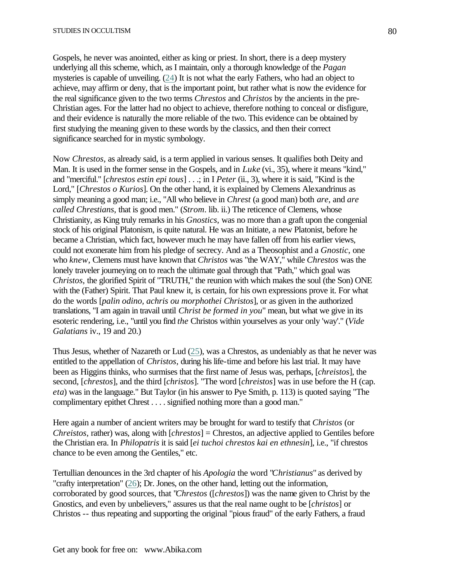Gospels, he never was anointed, either as king or priest. In short, there is a deep mystery underlying all this scheme, which, as I maintain, only a thorough knowledge of the *Pagan*  mysteries is capable of unveiling. (24) It is not what the early Fathers, who had an object to achieve, may affirm or deny, that is the important point, but rather what is now the evidence for the real significance given to the two terms *Chrestos* and *Christos* by the ancients in the pre-Christian ages. For the latter had no object to achieve, therefore nothing to conceal or disfigure, and their evidence is naturally the more reliable of the two. This evidence can be obtained by first studying the meaning given to these words by the classics, and then their correct significance searched for in mystic symbology.

Now *Chrestos*, as already said, is a term applied in various senses. It qualifies both Deity and Man. It is used in the former sense in the Gospels, and in *Luke* (vi., 35), where it means "kind," and "merciful." [*chrestos estin epi tous*] . . .; in I *Peter* (ii., 3), where it is said, "Kind is the Lord," [*Chrestos o Kurios*]. On the other hand, it is explained by Clemens Alexandrinus as simply meaning a good man; i.e., "All who believe in *Chrest* (a good man) both *are*, and *are called Chrestians*, that is good men." (*Strom*. lib. ii.) The reticence of Clemens, whose Christianity, as King truly remarks in his *Gnostics*, was no more than a graft upon the congenial stock of his original Platonism, is quite natural. He was an Initiate, a new Platonist, before he became a Christian, which fact, however much he may have fallen off from his earlier views, could not exonerate him from his pledge of secrecy. And as a Theosophist and a *Gnostic*, one who *knew*, Clemens must have known that *Christos* was "the WAY," while *Chrestos* was the lonely traveler journeying on to reach the ultimate goal through that "Path," which goal was *Christos*, the glorified Spirit of "TRUTH," the reunion with which makes the soul (the Son) ONE with the (Father) Spirit. That Paul knew it, is certain, for his own expressions prove it. For what do the words [*palin odino, achris ou morphothei Christos*], or as given in the authorized translations, "I am again in travail until *Christ be formed in you*" mean, but what we give in its esoteric rendering, i.e., "until you find *the* Christos within yourselves as your only 'way'." (*Vide Galatians* iv., 19 and 20.)

Thus Jesus, whether of Nazareth or Lud (25), was a Chrestos, as undeniably as that he never was entitled to the appellation of *Christos*, during his life-time and before his last trial. It may have been as Higgins thinks, who surmises that the first name of Jesus was, perhaps, [*chreistos*], the second, [*chrestos*], and the third [*christos*]. "The word [*chreistos*] was in use before the H (cap. *eta*) was in the language." But Taylor (in his answer to Pye Smith, p. 113) is quoted saying "The complimentary epithet Chrest . . . . signified nothing more than a good man."

Here again a number of ancient writers may be brought for ward to testify that *Christos* (or *Chreistos*, rather) was, along with [*chrestos*] = Chrestos, an adjective applied to Gentiles before the Christian era. In *Philopatris* it is said [*ei tuchoi chrestos kai en ethnesin*], i.e., "if chrestos chance to be even among the Gentiles," etc.

Tertullian denounces in the 3rd chapter of his *Apologia* the word "*Christianus*" as derived by "crafty interpretation" (26); Dr. Jones, on the other hand, letting out the information, corroborated by good sources, that "*Chrestos* ([*chrestos*]) was the name given to Christ by the Gnostics, and even by unbelievers," assures us that the real name ought to be [*christos*] or Christos -- thus repeating and supporting the original "pious fraud" of the early Fathers, a fraud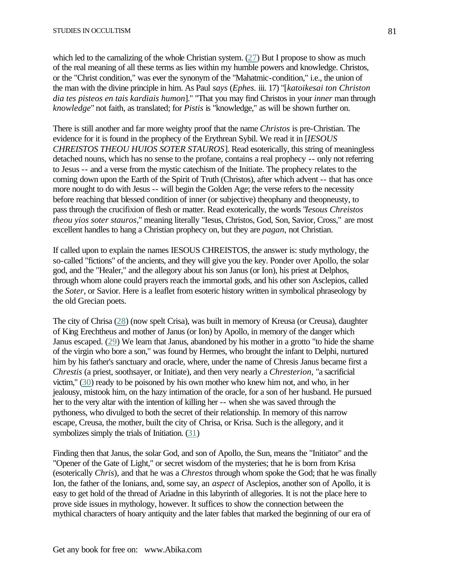which led to the carnalizing of the whole Christian system. (27) But I propose to show as much of the real meaning of all these terms as lies within my humble powers and knowledge. Christos, or the "Christ condition," was ever the synonym of the "Mahatmic-condition," i.e., the union of the man with the divine principle in him. As Paul *says* (*Ephes.* iii. 17) "[*katoikesai ton Christon dia tes pisteos en tais kardiais humon*]." "That you may find Christos in your *inner* man through *knowledge*" not faith, as translated; for *Pistis* is "knowledge," as will be shown further on.

There is still another and far more weighty proof that the name *Christos* is pre-Christian. The evidence for it is found in the prophecy of the Erythrean Sybil. We read it in [*IESOUS CHREISTOS THEOU HUIOS SOTER STAUROS*]. Read esoterically, this string of meaningless detached nouns, which has no sense to the profane, contains a real prophecy -- only not referring to Jesus -- and a verse from the mystic catechism of the Initiate. The prophecy relates to the coming down upon the Earth of the Spirit of Truth (Christos), after which advent -- that has once more nought to do with Jesus -- will begin the Golden Age; the verse refers to the necessity before reaching that blessed condition of inner (or subjective) theophany and theopneusty, to pass through the crucifixion of flesh or matter. Read exoterically, the words "*Iesous Chreistos theou yios soter stauros*," meaning literally "Iesus, Christos, God, Son, Savior, Cross," are most excellent handles to hang a Christian prophecy on, but they are *pagan*, not Christian.

If called upon to explain the names IESOUS CHREISTOS, the answer is: study mythology, the so-called "fictions" of the ancients, and they will give you the key. Ponder over Apollo, the solar god, and the "Healer," and the allegory about his son Janus (or Ion), his priest at Delphos, through whom alone could prayers reach the immortal gods, and his other son Asclepios, called the *Soter*, or Savior. Here is a leaflet from esoteric history written in symbolical phraseology by the old Grecian poets.

The city of Chrisa (28) (now spelt Crisa), was built in memory of Kreusa (or Creusa), daughter of King Erechtheus and mother of Janus (or Ion) by Apollo, in memory of the danger which Janus escaped. (29) We learn that Janus, abandoned by his mother in a grotto "to hide the shame of the virgin who bore a son," was found by Hermes, who brought the infant to Delphi, nurtured him by his father's sanctuary and oracle, where, under the name of Chresis Janus became first a *Chrestis* (a priest, soothsayer, or Initiate), and then very nearly a *Chresterion*, "a sacrificial victim," (30) ready to be poisoned by his own mother who knew him not, and who, in her jealousy, mistook him, on the hazy intimation of the oracle, for a son of her husband. He pursued her to the very altar with the intention of killing her -- when she was saved through the pythoness, who divulged to both the secret of their relationship. In memory of this narrow escape, Creusa, the mother, built the city of Chrisa, or Krisa. Such is the allegory, and it symbolizes simply the trials of Initiation. (31)

Finding then that Janus, the solar God, and son of Apollo, the Sun, means the "Initiator" and the "Opener of the Gate of Light," or secret wisdom of the mysteries; that he is born from Krisa (esoterically *Chris*), and that he was a *Chrestos* through whom spoke the God; that he was finally Ion, the father of the Ionians, and, some say, an *aspect* of Asclepios, another son of Apollo, it is easy to get hold of the thread of Ariadne in this labyrinth of allegories. It is not the place here to prove side issues in mythology, however. It suffices to show the connection between the mythical characters of hoary antiquity and the later fables that marked the beginning of our era of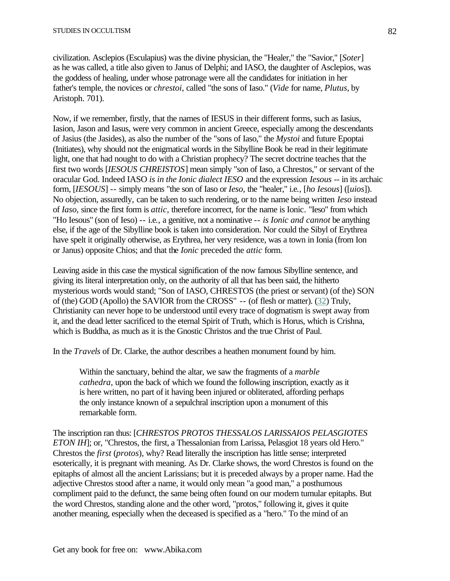civilization. Asclepios (Esculapius) was the divine physician, the "Healer," the "Savior," [*Soter*] as he was called, a title also given to Janus of Delphi; and IASO, the daughter of Asclepios, was the goddess of healing, under whose patronage were all the candidates for initiation in her father's temple, the novices or *chrestoi*, called "the sons of Iaso." (*Vide* for name, *Plutus*, by Aristoph. 701).

Now, if we remember, firstly, that the names of IESUS in their different forms, such as Iasius, Iasion, Jason and Iasus, were very common in ancient Greece, especially among the descendants of Jasius (the Jasides), as also the number of the "sons of Iaso," the *Mystoi* and future Epoptai (Initiates), why should not the enigmatical words in the Sibylline Book be read in their legitimate light, one that had nought to do with a Christian prophecy? The secret doctrine teaches that the first two words [*IESOUS CHREISTOS*] mean simply "son of Iaso, a Chrestos," or servant of the oracular God. Indeed IASO *is in the Ionic dialect IESO* and the expression *Iesous --* in its archaic form, [*IESOUS*] -- simply means "the son of Iaso or *Ieso*, the "healer," i.e*.*, [*ho Iesous*] ([*uios*]). No objection, assuredly, can be taken to such rendering, or to the name being written *Ieso* instead of *Iaso*, since the first form is *attic*, therefore incorrect, for the name is Ionic*.* "Ieso" from which "Ho Iesous" (son of Ieso) -- i.e*.*, a genitive, not a nominative -- *is Ionic and cannot* be anything else, if the age of the Sibylline book is taken into consideration. Nor could the Sibyl of Erythrea have spelt it originally otherwise, as Erythrea, her very residence, was a town in Ionia (from Ion or Janus) opposite Chios; and that the *Ionic* preceded the *attic* form.

Leaving aside in this case the mystical signification of the now famous Sibylline sentence, and giving its literal interpretation only, on the authority of all that has been said, the hitherto mysterious words would stand; "Son of IASO, CHRESTOS (the priest or servant) (of the) SON of (the) GOD (Apollo) the SAVIOR from the CROSS" -- (of flesh or matter). (32) Truly, Christianity can never hope to be understood until every trace of dogmatism is swept away from it, and the dead letter sacrificed to the eternal Spirit of Truth, which is Horus, which is Crishna, which is Buddha, as much as it is the Gnostic Christos and the true Christ of Paul.

In the *Travels* of Dr. Clarke, the author describes a heathen monument found by him.

Within the sanctuary, behind the altar, we saw the fragments of a *marble cathedra*, upon the back of which we found the following inscription, exactly as it is here written, no part of it having been injured or obliterated, affording perhaps the only instance known of a sepulchral inscription upon a monument of this remarkable form.

The inscription ran thus: [*CHRESTOS PROTOS THESSALOS LARISSAIOS PELASGIOTES ETON IH*]; or, "Chrestos, the first, a Thessalonian from Larissa, Pelasgiot 18 years old Hero." Chrestos the *first* (*protos*), why? Read literally the inscription has little sense; interpreted esoterically, it is pregnant with meaning. As Dr. Clarke shows, the word Chrestos is found on the epitaphs of almost all the ancient Larissians; but it is preceded always by a proper name. Had the adjective Chrestos stood after a name, it would only mean "a good man," a posthumous compliment paid to the defunct, the same being often found on our modern tumular epitaphs. But the word Chrestos, standing alone and the other word, "protos," following it, gives it quite another meaning, especially when the deceased is specified as a "hero." To the mind of an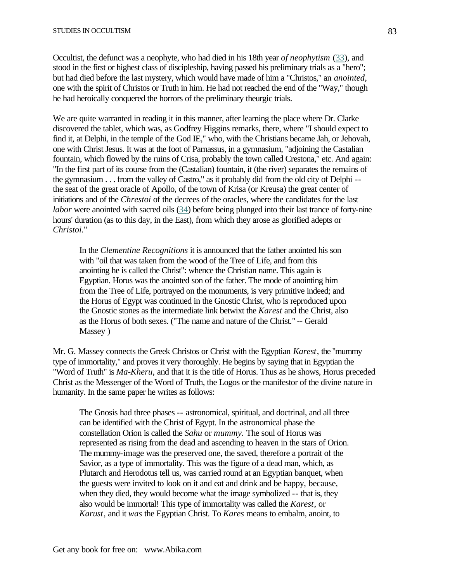Occultist, the defunct was a neophyte, who had died in his 18th year *of neophytism* (33), and stood in the first or highest class of discipleship, having passed his preliminary trials as a "hero"; but had died before the last mystery, which would have made of him a "Christos," an *anointed*, one with the spirit of Christos or Truth in him. He had not reached the end of the "Way," though he had heroically conquered the horrors of the preliminary theurgic trials.

We are quite warranted in reading it in this manner, after learning the place where Dr. Clarke discovered the tablet, which was, as Godfrey Higgins remarks, there, where "I should expect to find it, at Delphi, in the temple of the God IE," who, with the Christians became Jah, or Jehovah, one with Christ Jesus. It was at the foot of Parnassus, in a gymnasium, "adjoining the Castalian fountain, which flowed by the ruins of Crisa, probably the town called Crestona," etc. And again: "In the first part of its course from the (Castalian) fountain, it (the river) separates the remains of the gymnasium . . . from the valley of Castro," as it probably did from the old city of Delphi - the seat of the great oracle of Apollo, of the town of Krisa (or Kreusa) the great center of initiations and of the *Chrestoi* of the decrees of the oracles, where the candidates for the last *labor* were anointed with sacred oils (34) before being plunged into their last trance of forty-nine hours' duration (as to this day, in the East), from which they arose as glorified adepts or *Christoi.*"

In the *Clementine Recognitions* it is announced that the father anointed his son with "oil that was taken from the wood of the Tree of Life, and from this anointing he is called the Christ": whence the Christian name. This again is Egyptian. Horus was the anointed son of the father. The mode of anointing him from the Tree of Life, portrayed on the monuments, is very primitive indeed; and the Horus of Egypt was continued in the Gnostic Christ, who is reproduced upon the Gnostic stones as the intermediate link betwixt the *Karest* and the Christ, also as the Horus of both sexes. ("The name and nature of the Christ*.*" *--* Gerald Massey )

Mr. G. Massey connects the Greek Christos or Christ with the Egyptian *Karest*, the "mummy type of immortality," and proves it very thoroughly. He begins by saying that in Egyptian the "Word of Truth" is *Ma-Kheru*, and that it is the title of Horus. Thus as he shows, Horus preceded Christ as the Messenger of the Word of Truth, the Logos or the manifestor of the divine nature in humanity. In the same paper he writes as follows:

The Gnosis had three phases -- astronomical, spiritual, and doctrinal, and all three can be identified with the Christ of Egypt. In the astronomical phase the constellation Orion is called the *Sahu* or *mummy.* The soul of Horus was represented as rising from the dead and ascending to heaven in the stars of Orion. The mummy-image was the preserved one, the saved, therefore a portrait of the Savior, as a type of immortality. This was the figure of a dead man, which, as Plutarch and Herodotus tell us, was carried round at an Egyptian banquet, when the guests were invited to look on it and eat and drink and be happy, because, when they died, they would become what the image symbolized -- that is, they also would be immortal! This type of immortality was called the *Karest*, or *Karust*, and it *was* the Egyptian Christ. To *Kares* means to embalm, anoint, to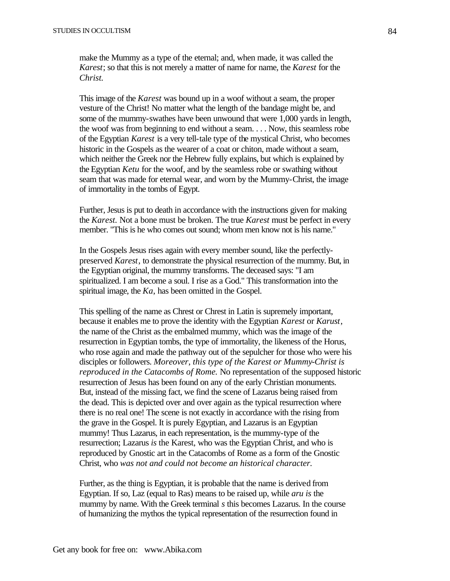make the Mummy as a type of the eternal; and, when made, it was called the *Karest*; so that this is not merely a matter of name for name, the *Karest* for the *Christ.* 

This image of the *Karest* was bound up in a woof without a seam, the proper vesture of the Christ! No matter what the length of the bandage might be, and some of the mummy-swathes have been unwound that were 1,000 yards in length, the woof was from beginning to end without a seam. . . . Now, this seamless robe of the Egyptian *Karest* is a very tell-tale type of the mystical Christ, who becomes historic in the Gospels as the wearer of a coat or chiton, made without a seam, which neither the Greek nor the Hebrew fully explains, but which is explained by the Egyptian *Ketu* for the woof, and by the seamless robe or swathing without seam that was made for eternal wear, and worn by the Mummy-Christ, the image of immortality in the tombs of Egypt.

Further, Jesus is put to death in accordance with the instructions given for making the *Karest.* Not a bone must be broken. The true *Karest* must be perfect in every member. "This is he who comes out sound; whom men know not is his name."

In the Gospels Jesus rises again with every member sound, like the perfectlypreserved *Karest*, to demonstrate the physical resurrection of the mummy. But, in the Egyptian original, the mummy transforms. The deceased says: "I am spiritualized. I am become a soul. I rise as a God." This transformation into the spiritual image, the *Ka*, has been omitted in the Gospel.

This spelling of the name as Chrest or Chrest in Latin is supremely important, because it enables me to prove the identity with the Egyptian *Karest* or *Karust*, the name of the Christ as the embalmed mummy, which was the image of the resurrection in Egyptian tombs, the type of immortality, the likeness of the Horus, who rose again and made the pathway out of the sepulcher for those who were his disciples or followers. *Moreover*, *this type of the Karest or Mummy-Christ is reproduced in the Catacombs of Rome.* No representation of the supposed historic resurrection of Jesus has been found on any of the early Christian monuments. But, instead of the missing fact, we find the scene of Lazarus being raised from the dead. This is depicted over and over again as the typical resurrection where there is no real one! The scene is not exactly in accordance with the rising from the grave in the Gospel. It is purely Egyptian, and Lazarus is an Egyptian mummy! Thus Lazarus, in each representation, is the mummy-type of the resurrection; Lazarus *is* the Karest, who was the Egyptian Christ, and who is reproduced by Gnostic art in the Catacombs of Rome as a form of the Gnostic Christ, who *was not and could not become an historical character.*

Further, as the thing is Egyptian, it is probable that the name is derived from Egyptian. If so, Laz (equal to Ras) means to be raised up, while *aru is* the mummy by name. With the Greek terminal *s* this becomes Lazarus. In the course of humanizing the mythos the typical representation of the resurrection found in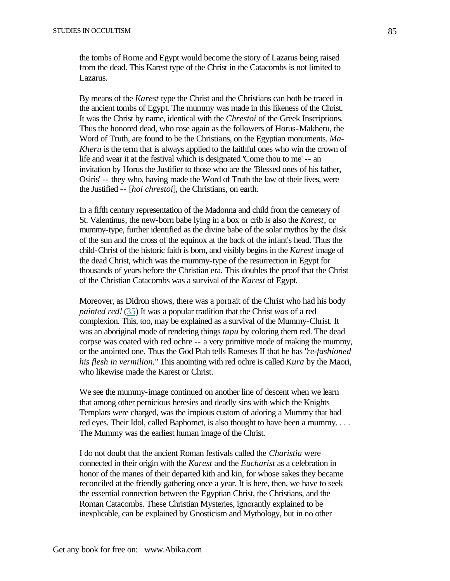the tombs of Rome and Egypt would become the story of Lazarus being raised from the dead. This Karest type of the Christ in the Catacombs is not limited to Lazarus.

By means of the *Karest* type the Christ and the Christians can both be traced in the ancient tombs of Egypt. The mummy was made in this likeness of the Christ. It was the Christ by name, identical with the *Chrestoi* of the Greek Inscriptions. Thus the honored dead, who rose again as the followers of Horus-Makheru, the Word of Truth, are found to be the Christians, on the Egyptian monuments. *Ma-Kheru* is the term that is always applied to the faithful ones who win the crown of life and wear it at the festival which is designated 'Come thou to me' -- an invitation by Horus the Justifier to those who are the 'Blessed ones of his father, Osiris' -- they who, having made the Word of Truth the law of their lives, were the Justified -- [*hoi chrestoi*], the Christians, on earth.

In a fifth century representation of the Madonna and child from the cemetery of St. Valentinus, the new-born babe lying in a box or crib *is* also the *Karest*, or mummy-type, further identified as the divine babe of the solar mythos by the disk of the sun and the cross of the equinox at the back of the infant's head. Thus the child-Christ of the historic faith is born, and visibly begins in the *Karest* image of the dead Christ, which was the mummy-type of the resurrection in Egypt for thousands of years before the Christian era. This doubles the proof that the Christ of the Christian Catacombs was a survival of the *Karest* of Egypt.

Moreover, as Didron shows, there was a portrait of the Christ who had his body *painted red!* (35) It was a popular tradition that the Christ *was* of a red complexion. This, too, may be explained as a survival of the Mummy-Christ. It was an aboriginal mode of rendering things *tapu* by coloring them red. The dead corpse was coated with red ochre -- a very primitive mode of making the mummy, or the anointed one. Thus the God Ptah tells Rameses II that he has "*re-fashioned his flesh in vermilion.*" This anointing with red ochre is called *Kura* by the Maori, who likewise made the Karest or Christ.

We see the mummy-image continued on another line of descent when we learn that among other pernicious heresies and deadly sins with which the Knights Templars were charged, was the impious custom of adoring a Mummy that had red eyes. Their Idol, called Baphomet, is also thought to have been a mummy. . . . The Mummy was the earliest human image of the Christ.

I do not doubt that the ancient Roman festivals called the *Charistia* were connected in their origin with the *Karest* and the *Eucharist* as a celebration in honor of the manes of their departed kith and kin, for whose sakes they became reconciled at the friendly gathering once a year. It is here, then, we have to seek the essential connection between the Egyptian Christ, the Christians, and the Roman Catacombs. These Christian Mysteries, ignorantly explained to be inexplicable, can be explained by Gnosticism and Mythology, but in no other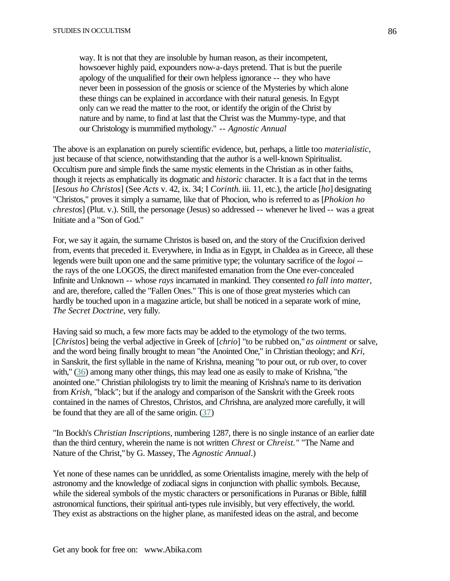way. It is not that they are insoluble by human reason, as their incompetent, howsoever highly paid, expounders now-a-days pretend. That is but the puerile apology of the unqualified for their own helpless ignorance -- they who have never been in possession of the gnosis or science of the Mysteries by which alone these things can be explained in accordance with their natural genesis. In Egypt only can we read the matter to the root, or identify the origin of the Christ by nature and by name, to find at last that the Christ was the Mummy-type, and that our Christology is mummified mythology." -- *Agnostic Annual*

The above is an explanation on purely scientific evidence, but, perhaps, a little too *materialistic*, just because of that science, notwithstanding that the author is a well-known Spiritualist. Occultism pure and simple finds the same mystic elements in the Christian as in other faiths, though it rejects as emphatically its dogmatic and *historic* character. It is a fact that in the terms [*Iesous ho Christos*] (See *Acts* v. 42, ix. 34; I *Corinth*. iii. 11, etc.), the article [*ho*] designating "Christos," proves it simply a surname, like that of Phocion, who is referred to as [*Phokion ho chrestos*] (Plut. v.). Still, the personage (Jesus) so addressed -- whenever he lived -- was a great Initiate and a "Son of God."

For, we say it again, the surname Christos is based on, and the story of the Crucifixion derived from, events that preceded it. Everywhere, in India as in Egypt, in Chaldea as in Greece, all these legends were built upon one and the same primitive type; the voluntary sacrifice of the *logoi -* the rays of the one LOGOS, the direct manifested emanation from the One ever-concealed Infinite and Unknown -- whose *rays* incarnated in mankind. They consented *to fall into matter*, and are, therefore, called the "Fallen Ones." This is one of those great mysteries which can hardly be touched upon in a magazine article, but shall be noticed in a separate work of mine, *The Secret Doctrine*, very fully.

Having said so much, a few more facts may be added to the etymology of the two terms. [*Christos*] being the verbal adjective in Greek of [*chrio*] "to be rubbed on," *as ointment* or salve, and the word being finally brought to mean "the Anointed One," in Christian theology; and *Kri*, in Sanskrit, the first syllable in the name of Krishna, meaning "to pour out, or rub over, to cover with," (36) among many other things, this may lead one as easily to make of Krishna, "the anointed one." Christian philologists try to limit the meaning of Krishna's name to its derivation from *Krish*, "black"; but if the analogy and comparison of the Sanskrit with the Greek roots contained in the names of Chrestos, Christos, and *Ch*rishna, are analyzed more carefully, it will be found that they are all of the same origin. (37)

"In Bockh's *Christian Inscriptions*, numbering 1287, there is no single instance of an earlier date than the third century, wherein the name is not written *Chrest* or *Chreist."* "The Name and Nature of the Christ,"by G. Massey, The *Agnostic Annual*.)

Yet none of these names can be unriddled, as some Orientalists imagine, merely with the help of astronomy and the knowledge of zodiacal signs in conjunction with phallic symbols. Because, while the sidereal symbols of the mystic characters or personifications in Puranas or Bible, fulfill astronomical functions, their spiritual anti-types rule invisibly, but very effectively, the world. They exist as abstractions on the higher plane, as manifested ideas on the astral, and become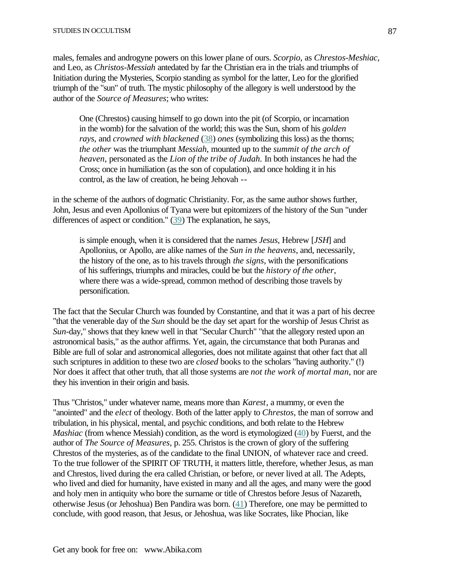males, females and androgyne powers on this lower plane of ours. *Scorpio*, as *Chrestos-Meshiac*, and Leo, as *Christos-Messiah* antedated by far the Christian era in the trials and triumphs of Initiation during the Mysteries, Scorpio standing as symbol for the latter, Leo for the glorified triumph of the "sun" of truth. The mystic philosophy of the allegory is well understood by the author of the *Source of Measures*; who writes:

One (Chrestos) causing himself to go down into the pit (of Scorpio, or incarnation in the womb) for the salvation of the world; this was the Sun, shorn of his *golden rays*, and *crowned with blackened* (38) *ones* (symbolizing this loss) as the thorns; *the other* was the triumphant *Messiah*, mounted up to the *summit of the arch of heaven*, personated as the *Lion of the tribe of Judah.* In both instances he had the Cross; once in humiliation (as the son of copulation), and once holding it in his control, as the law of creation, he being Jehovah --

in the scheme of the authors of dogmatic Christianity. For, as the same author shows further, John, Jesus and even Apollonius of Tyana were but epitomizers of the history of the Sun "under differences of aspect or condition." (39) The explanation, he says,

is simple enough, when it is considered that the names *Jesus*, Hebrew [*JSH*] and Apollonius, or Apollo, are alike names of the *Sun in the heavens*, and, necessarily, the history of the one, as to his travels through *the signs*, with the personifications of his sufferings, triumphs and miracles, could be but the *history of the other*, where there was a wide-spread, common method of describing those travels by personification.

The fact that the Secular Church was founded by Constantine, and that it was a part of his decree "that the venerable day of the *Sun* should be the day set apart for the worship of Jesus Christ as *Sun-*day," shows that they knew well in that "Secular Church" "that the allegory rested upon an astronomical basis," as the author affirms. Yet, again, the circumstance that both Puranas and Bible are full of solar and astronomical allegories, does not militate against that other fact that all such scriptures in addition to these two are *closed* books to the scholars "having authority." (!) Nor does it affect that other truth, that all those systems are *not the work of mortal man*, nor are they his invention in their origin and basis.

Thus "Christos," under whatever name, means more than *Karest*, a mummy, or even the "anointed" and the *elect* of theology. Both of the latter apply to *Chrestos*, the man of sorrow and tribulation, in his physical, mental, and psychic conditions, and both relate to the Hebrew *Mashiac* (from whence Messiah) condition, as the word is etymologized (40) by Fuerst, and the author of *The Source of Measures,* p. 255. Christos is the crown of glory of the suffering Chrestos of the mysteries, as of the candidate to the final UNION, of whatever race and creed. To the true follower of the SPIRIT OF TRUTH, it matters little, therefore, whether Jesus, as man and Chrestos, lived during the era called Christian, or before, or never lived at all. The Adepts, who lived and died for humanity, have existed in many and all the ages, and many were the good and holy men in antiquity who bore the surname or title of Chrestos before Jesus of Nazareth, otherwise Jesus (or Jehoshua) Ben Pandira was born. (41) Therefore, one may be permitted to conclude, with good reason, that Jesus, or Jehoshua, was like Socrates, like Phocian, like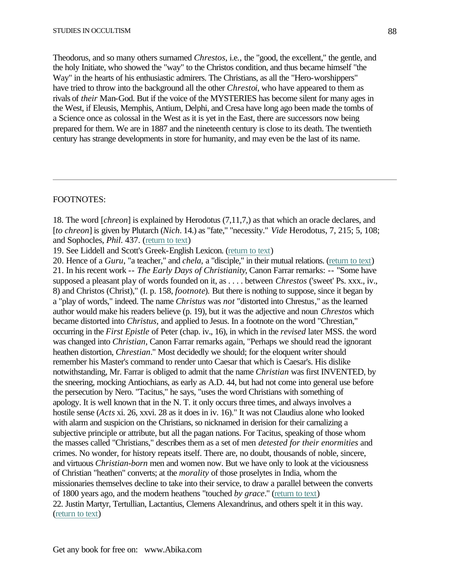Theodorus, and so many others surnamed *Chrestos*, i.e*.*, the "good, the excellent," the gentle, and the holy Initiate, who showed the "way" to the Christos condition, and thus became himself "the Way" in the hearts of his enthusiastic admirers. The Christians, as all the "Hero-worshippers" have tried to throw into the background all the other *Chrestoi*, who have appeared to them as rivals of *their* Man-God. But if the voice of the MYSTERIES has become silent for many ages in the West, if Eleusis, Memphis, Antium, Delphi, and Cresa have long ago been made the tombs of a Science once as colossal in the West as it is yet in the East, there are successors now being prepared for them. We are in 1887 and the nineteenth century is close to its death. The twentieth century has strange developments in store for humanity, and may even be the last of its name.

#### FOOTNOTES:

18. The word [*chreon*] is explained by Herodotus (7,11,7,) as that which an oracle declares, and [*to chreon*] is given by Plutarch (*Nich*. 14.) as "fate," "necessity." *Vide* Herodotus, 7, 215; 5, 108; and Sophocles, *Phil*. 437. (return to text)

19. See Liddell and Scott's Greek-English Lexicon. (return to text)

20. Hence of a *Guru*, "a teacher," and *chela*, a "disciple," in their mutual relations. (return to text) 21. In his recent work -- *The Early Days of Christianity*, Canon Farrar remarks: -- "Some have supposed a pleasant play of words founded on it, as . . . . between *Chrestos* ('sweet' Ps. xxx., iv., 8) and Christos (Christ)," (I. p. 158, *footnote*)*.* But there is nothing to suppose, since it began by a "play of words," indeed. The name *Christus* was *not* "distorted into Chrestus," as the learned author would make his readers believe (p. 19), but it was the adjective and noun *Chrestos* which became distorted into *Christus*, and applied to Jesus. In a footnote on the word "Chrestian," occurring in the *First Epistle* of Peter (chap. iv., 16), in which in the *revised* later MSS. the word was changed into *Christian*, Canon Farrar remarks again, "Perhaps we should read the ignorant heathen distortion, *Chrestian*." Most decidedly we should; for the eloquent writer should remember his Master's command to render unto Caesar that which is Caesar's. His dislike notwithstanding, Mr. Farrar is obliged to admit that the name *Christian* was first INVENTED, by the sneering, mocking Antiochians, as early as A.D. 44, but had not come into general use before the persecution by Nero. "Tacitus," he says, "uses the word Christians with something of apology. It is well known that in the N. T. it only occurs three times, and always involves a hostile sense (*Acts* xi. 26, xxvi. 28 as it does in iv. 16)." It was not Claudius alone who looked with alarm and suspicion on the Christians, so nicknamed in derision for their carnalizing a subjective principle or attribute, but all the pagan nations. For Tacitus, speaking of those whom the masses called "Christians," describes them as a set of men *detested for their enormities* and crimes. No wonder, for history repeats itself. There are, no doubt, thousands of noble, sincere, and virtuous *Christian-born* men and women now. But we have only to look at the viciousness of Christian "heathen" converts; at the *morality* of those proselytes in India, whom the missionaries themselves decline to take into their service, to draw a parallel between the converts of 1800 years ago, and the modern heathens "touched *by grace*." (return to text) 22. Justin Martyr, Tertullian, Lactantius, Clemens Alexandrinus, and others spelt it in this way. (return to text)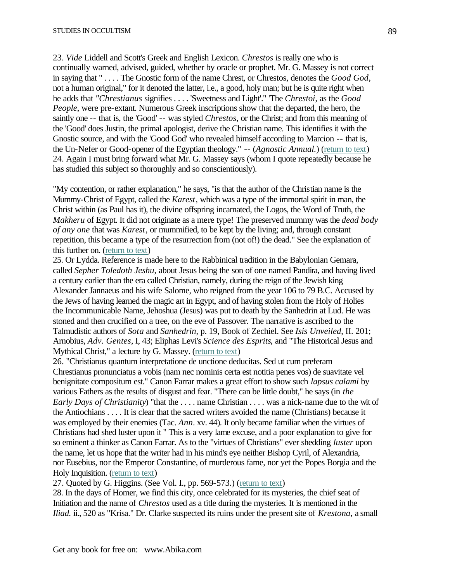23. *Vide* Liddell and Scott's Greek and English Lexicon. *Chrestos* is really one who is continually warned, advised, guided, whether by oracle or prophet. Mr. G. Massey is not correct in saying that " . . . . The Gnostic form of the name Chrest, or Chrestos, denotes the *Good God*, not a human original," for it denoted the latter, i.e., a good, holy man; but he is quite right when he adds that *"Chrestianus* signifies . . . . 'Sweetness and Light'." 'The *Chrestoi*, as the *Good People*, were pre-extant. Numerous Greek inscriptions show that the departed, the hero, the saintly one -- that is, the 'Good' -- was styled *Chrestos*, or the Christ; and from this meaning of the 'Good' does Justin, the primal apologist, derive the Christian name. This identifies it with the Gnostic source, and with the 'Good God' who revealed himself according to Marcion -- that is, the Un-Nefer or Good-opener of the Egyptian theology." -- (*Agnostic Annual.*) (return to text) 24. Again I must bring forward what Mr. G. Massey says (whom I quote repeatedly because he has studied this subject so thoroughly and so conscientiously).

"My contention, or rather explanation," he says, "is that the author of the Christian name is the Mummy-Christ of Egypt, called the *Karest*, which was a type of the immortal spirit in man, the Christ within (as Paul has it), the divine offspring incarnated, the Logos, the Word of Truth, the *Makheru* of Egypt. It did not originate as a mere type! The preserved mummy was the *dead body of any one* that was *Karest*, or mummified, to be kept by the living; and, through constant repetition, this became a type of the resurrection from (not of!) the dead." See the explanation of this further on. (return to text)

25. Or Lydda. Reference is made here to the Rabbinical tradition in the Babylonian Gemara, called *Sepher Toledoth Jeshu*, about Jesus being the son of one named Pandira, and having lived a century earlier than the era called Christian, namely, during the reign of the Jewish king Alexander Jannaeus and his wife Salome, who reigned from the year 106 to 79 B.C. Accused by the Jews of having learned the magic art in Egypt, and of having stolen from the Holy of Holies the Incommunicable Name, Jehoshua (Jesus) was put to death by the Sanhedrin at Lud. He was stoned and then crucified on a tree, on the eve of Passover. The narrative is ascribed to the Talmudistic authors of *Sota* and *Sanhedrin*, p. 19, Book of Zechiel. See *Isis Unveiled*, II. 201; Arnobius, *Adv. Gentes*, I, 43; Eliphas Levi's *Science des Esprits*, and "The Historical Jesus and Mythical Christ," a lecture by G. Massey. (return to text)

26. "Christianus quantum interpretatione de unctione deducitas. Sed ut cum preferam Chrestianus pronunciatus a vobis (nam nec nominis certa est notitia penes vos) de suavitate vel benignitate compositum est." Canon Farrar makes a great effort to show such *lapsus calami* by various Fathers as the results of disgust and fear. "There can be little doubt," he says (in *the Early Days of Christianity*) "that the . . . . name Christian . . . . was a nick-name due to the wit of the Antiochians . . . . It is clear that the sacred writers avoided the name (Christians) because it was employed by their enemies (Tac. *Ann*. xv. 44). It only became familiar when the virtues of Christians had shed luster upon it " This is a very lame excuse, and a poor explanation to give for so eminent a thinker as Canon Farrar. As to the "virtues of Christians" ever shedding *luster* upon the name, let us hope that the writer had in his mind's eye neither Bishop Cyril, of Alexandria, nor Eusebius, nor the Emperor Constantine, of murderous fame, nor yet the Popes Borgia and the Holy Inquisition. (return to text)

27. Quoted by G. Higgins. (See Vol. I., pp. 569-573.) (return to text)

28. In the days of Homer, we find this city, once celebrated for its mysteries, the chief seat of Initiation and the name of *Chrestos* used as a title during the mysteries. It is mentioned in the *Iliad.* ii., 520 as "Krisa." Dr. Clarke suspected its ruins under the present site of *Krestona*, a small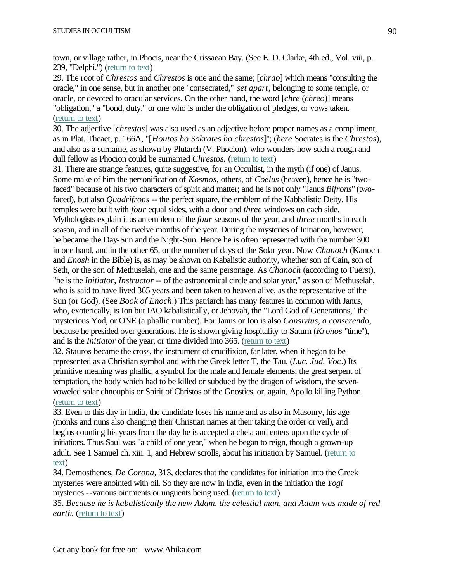town, or village rather, in Phocis, near the Crissaean Bay. (See E. D. Clarke, 4th ed., Vol. viii, p. 239, "Delphi.") (return to text)

29. The root of *Chrestos* and *Chrestos* is one and the same; [*chrao*] which means "consulting the oracle," in one sense, but in another one "consecrated," *set apart*, belonging to some temple, or oracle, or devoted to oracular services. On the other hand, the word [*chre* (*chreo*)] means "obligation," a "bond, duty," or one who is under the obligation of pledges, or vows taken. (return to text)

30. The adjective [*chrestos*] was also used as an adjective before proper names as a compliment, as in Plat. Theaet, p. 166A, "[*Houtos ho Sokrates ho chrestos*]"; (*here* Socrates is the *Chrestos*), and also as a surname, as shown by Plutarch (V. Phocion), who wonders how such a rough and dull fellow as Phocion could be surnamed *Chrestos.* (return to text)

31. There are strange features, quite suggestive, for an Occultist, in the myth (if one) of Janus. Some make of him the personification of *Kosmos*, others, of *Coelus* (heaven), hence he is "twofaced" because of his two characters of spirit and matter; and he is not only "Janus *Bifrons*" (twofaced), but also *Quadrifrons --* the perfect square, the emblem of the Kabbalistic Deity. His temples were built with *four* equal sides, with a door and *three* windows on each side. Mythologists explain it as an emblem of the *four* seasons of the year, and *three* months in each season, and in all of the twelve months of the year. During the mysteries of Initiation, however, he became the Day-Sun and the Night-Sun. Hence he is often represented with the number 300 in one hand, and in the other 65, or the number of days of the Solar year. Now *Chanoch* (Kanoch and *Enosh* in the Bible) is, as may be shown on Kabalistic authority, whether son of Cain, son of Seth, or the son of Methuselah, one and the same personage. As *Chanoch* (according to Fuerst), "he is the *Initiator*, *Instructor --* of the astronomical circle and solar year," as son of Methuselah, who is said to have lived 365 years and been taken to heaven alive, as the representative of the Sun (or God). (See *Book of Enoch*.) This patriarch has many features in common with Janus, who, exoterically, is Ion but IAO kabalistically, or Jehovah, the "Lord God of Generations," the mysterious Yod, or ONE (a phallic number). For Janus or Ion is also *Consivius*, *a conserendo*, because he presided over generations. He is shown giving hospitality to Saturn (*Kronos* "time"), and is the *Initiator* of the year, or time divided into 365. (return to text)

32. Stauros became the cross, the instrument of crucifixion, far later, when it began to be represented as a Christian symbol and with the Greek letter T, the Tau. (*Luc. Jud. Voc*.) Its primitive meaning was phallic, a symbol for the male and female elements; the great serpent of temptation, the body which had to be killed or subdued by the dragon of wisdom, the sevenvoweled solar chnouphis or Spirit of Christos of the Gnostics, or, again, Apollo killing Python. (return to text)

33. Even to this day in India, the candidate loses his name and as also in Masonry, his age (monks and nuns also changing their Christian names at their taking the order or veil), and begins counting his years from the day he is accepted a chela and enters upon the cycle of initiations. Thus Saul was "a child of one year," when he began to reign, though a grown-up adult. See 1 Samuel ch. xiii. 1, and Hebrew scrolls, about his initiation by Samuel. (return to text)

34. Demosthenes, *De Corona*, 313, declares that the candidates for initiation into the Greek mysteries were anointed with oil. So they are now in India, even in the initiation the *Yogi* mysteries --various ointments or unguents being used. (return to text)

35. *Because he is kabalistically the new Adam*, *the celestial man*, *and Adam was made of red earth*. (return to text)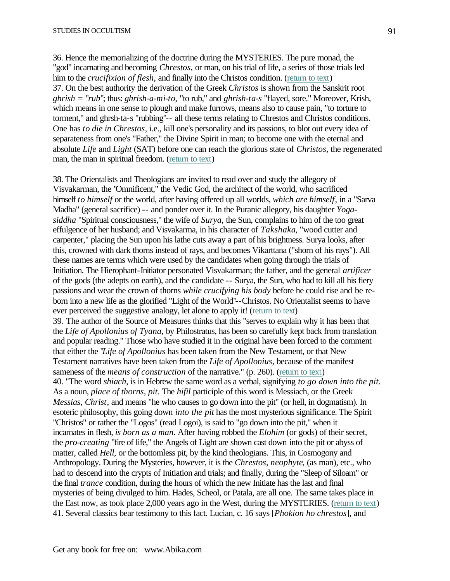36. Hence the memorializing of the doctrine during the MYSTERIES. The pure monad, the "god" incarnating and becoming *Chrestos*, or man, on his trial of life, a series of those trials led him to the *crucifixion of flesh*, and finally into the Christos condition. (return to text) 37. On the best authority the derivation of the Greek *Christos* is shown from the Sanskrit root *ghrish =* "*rub*"; thus: *ghrish-a-mi-to*, "to rub," and *ghrish-ta-s* "flayed, sore." Moreover, Krish, which means in one sense to plough and make furrows, means also to cause pain, "to torture to torment," and ghrsh-ta-s "rubbing"-- all these terms relating to Chrestos and Christos conditions. One has *to die in Chrestos*, i.e., kill one's personality and its passions, to blot out every idea of separateness from one's "Father," the Divine Spirit in man; to become one with the eternal and absolute *Life* and *Light* (SAT) before one can reach the glorious state of *Christos*, the regenerated man, the man in spiritual freedom. (return to text)

38. The Orientalists and Theologians are invited to read over and study the allegory of Visvakarman, the "Omnificent," the Vedic God, the architect of the world, who sacrificed himself *to himself* or the world, after having offered up all worlds, *which are himself*, in a "Sarva Madha" (general sacrifice) -- and ponder over it. In the Puranic allegory, his daughter *Yogasiddha* "Spiritual consciousness," the wife of *Surya*, the Sun, complains to him of the too great effulgence of her husband; and Visvakarma, in his character of *Takshaka*, "wood cutter and carpenter," placing the Sun upon his lathe cuts away a part of his brightness. Surya looks, after this, crowned with dark thorns instead of rays, and becomes Vikarttana ("shorn of his rays"). All these names are terms which were used by the candidates when going through the trials of Initiation. The Hierophant-Initiator personated Visvakarman; the father, and the general *artificer*  of the gods (the adepts on earth), and the candidate -- Surya, the Sun, who had to kill all his fiery passions and wear the crown of thorns *while crucifying his body* before he could rise and be reborn into a new life as the glorified "Light of the World"--Christos. No Orientalist seems to have ever perceived the suggestive analogy, let alone to apply it! (return to text) 39. The author of the Source of Measures thinks that this "serves to explain why it has been that the *Life of Apollonius of Tyana*, by Philostratus, has been so carefully kept back from translation and popular reading." Those who have studied it in the original have been forced to the comment that either the "*Life of Apollonius* has been taken from the New Testament, or that New Testament narratives have been taken from the *Life of Apollonius*, because of the manifest sameness of the *means of construction* of the narrative." (p. 260). (return to text) 40. "The word *shiach*, is in Hebrew the same word as a verbal, signifying *to go down into the pit.*  As a noun, *place of thorns*, *pit.* The *hifil* participle of this word is Messiach, or the Greek *Messias*, *Christ*, and means "he who causes to go down into the pit" (or hell, in dogmatism). In esoteric philosophy, this going down *into the pit* has the most mysterious significance. The Spirit "Christos" or rather the "Logos" (read Logoi), is said to "go down into the pit," when it incarnates in flesh, *is born as a man*. After having robbed the *Elohim* (or gods) of their secret, the *pro-creating* "fire of life," the Angels of Light are shown cast down into the pit or abyss of matter, called *Hell*, or the bottomless pit, by the kind theologians. This, in Cosmogony and Anthropology. During the Mysteries, however, it is the *Chrestos*, *neophyte*, (as man), etc., who had to descend into the crypts of Initiation and trials; and finally, during the "Sleep of Siloam" or the final *trance* condition, during the hours of which the new Initiate has the last and final mysteries of being divulged to him. Hades, Scheol, or Patala, are all one. The same takes place in the East now, as took place 2,000 years ago in the West, during the MYSTERIES. (return to text) 41. Several classics bear testimony to this fact. Lucian, c. 16 says [*Phokion ho chrestos*], and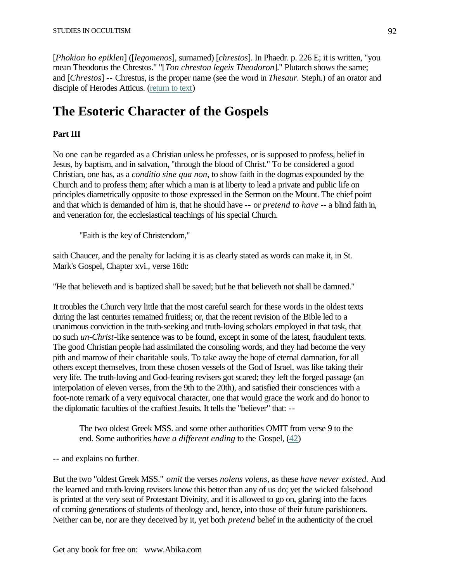[*Phokion ho epiklen*] ([*legomenos*], surnamed) [*chrestos*]. In Phaedr. p. 226 E; it is written, "you mean Theodorus the Chrestos." "[*Ton chreston legeis Theodoron*]." Plutarch shows the same; and [*Chrestos*] -- Chrestus, is the proper name (see the word in *Thesaur.* Steph.) of an orator and disciple of Herodes Atticus. (return to text)

# **The Esoteric Character of the Gospels**

## **Part III**

No one can be regarded as a Christian unless he professes, or is supposed to profess, belief in Jesus, by baptism, and in salvation, "through the blood of Christ." To be considered a good Christian, one has, as a *conditio sine qua non*, to show faith in the dogmas expounded by the Church and to profess them; after which a man is at liberty to lead a private and public life on principles diametrically opposite to those expressed in the Sermon on the Mount. The chief point and that which is demanded of him is, that he should have -- or *pretend to have --* a blind faith in, and veneration for, the ecclesiastical teachings of his special Church.

"Faith is the key of Christendom,"

saith Chaucer, and the penalty for lacking it is as clearly stated as words can make it, in St. Mark's Gospel, Chapter xvi., verse 16th:

"He that believeth and is baptized shall be saved; but he that believeth not shall be damned."

It troubles the Church very little that the most careful search for these words in the oldest texts during the last centuries remained fruitless; or, that the recent revision of the Bible led to a unanimous conviction in the truth-seeking and truth-loving scholars employed in that task, that no such *un-Christ-*like sentence was to be found, except in some of the latest, fraudulent texts. The good Christian people had assimilated the consoling words, and they had become the very pith and marrow of their charitable souls. To take away the hope of eternal damnation, for all others except themselves, from these chosen vessels of the God of Israel, was like taking their very life. The truth-loving and God-fearing revisers got scared; they left the forged passage (an interpolation of eleven verses, from the 9th to the 20th), and satisfied their consciences with a foot-note remark of a very equivocal character, one that would grace the work and do honor to the diplomatic faculties of the craftiest Jesuits. It tells the "believer" that: --

The two oldest Greek MSS. and some other authorities OMIT from verse 9 to the end. Some authorities *have a different ending* to the Gospel, (42)

-- and explains no further.

But the two "oldest Greek MSS." *omit* the verses *nolens volens*, as these *have never existed.* And the learned and truth-loving revisers know this better than any of us do; yet the wicked falsehood is printed at the very seat of Protestant Divinity, and it is allowed to go on, glaring into the faces of coming generations of students of theology and, hence, into those of their future parishioners. Neither can be, nor are they deceived by it, yet both *pretend* belief in the authenticity of the cruel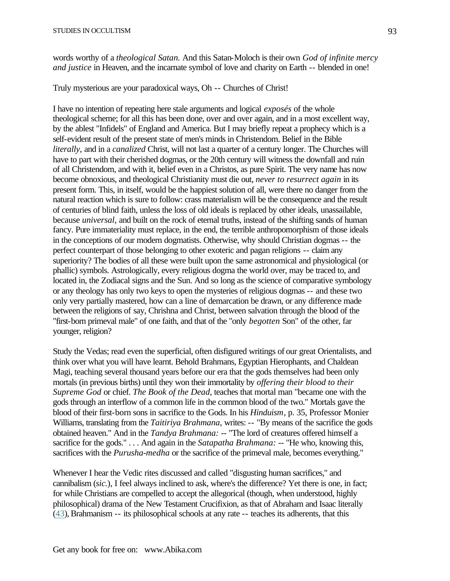words worthy of a *theological Satan.* And this Satan-Moloch is their own *God of infinite mercy and justice* in Heaven, and the incarnate symbol of love and charity on Earth -- blended in one!

Truly mysterious are your paradoxical ways, Oh -- Churches of Christ!

I have no intention of repeating here stale arguments and logical *exposés* of the whole theological scheme; for all this has been done, over and over again, and in a most excellent way, by the ablest "Infidels" of England and America. But I may briefly repeat a prophecy which is a self-evident result of the present state of men's minds in Christendom. Belief in the Bible *literally*, and in a *canalized* Christ, will not last a quarter of a century longer. The Churches will have to part with their cherished dogmas, or the 20th century will witness the downfall and ruin of all Christendom, and with it, belief even in a Christos, as pure Spirit. The very name has now become obnoxious, and theological Christianity must die out, *never to resurrect again* in its present form. This, in itself, would be the happiest solution of all, were there no danger from the natural reaction which is sure to follow: crass materialism will be the consequence and the result of centuries of blind faith, unless the loss of old ideals is replaced by other ideals, unassailable, because *universal*, and built on the rock of eternal truths, instead of the shifting sands of human fancy. Pure immateriality must replace, in the end, the terrible anthropomorphism of those ideals in the conceptions of our modern dogmatists. Otherwise, why should Christian dogmas -- the perfect counterpart of those belonging to other exoteric and pagan religions -- claim any superiority? The bodies of all these were built upon the same astronomical and physiological (or phallic) symbols. Astrologically, every religious dogma the world over, may be traced to, and located in, the Zodiacal signs and the Sun. And so long as the science of comparative symbology or any theology has only two keys to open the mysteries of religious dogmas -- and these two only very partially mastered, how can a line of demarcation be drawn, or any difference made between the religions of say, Chrishna and Christ, between salvation through the blood of the "first-born primeval male" of one faith, and that of the "only *begotten* Son" of the other, far younger, religion?

Study the Vedas; read even the superficial, often disfigured writings of our great Orientalists, and think over what you will have learnt. Behold Brahmans, Egyptian Hierophants, and Chaldean Magi, teaching several thousand years before our era that the gods themselves had been only mortals (in previous births) until they won their immortality by *offering their blood to their Supreme God* or chief. *The Book of the Dead*, teaches that mortal man "became one with the gods through an interflow of a common life in the common blood of the two." Mortals gave the blood of their first-born sons in sacrifice to the Gods. In his *Hinduism*, p. 35, Professor Monier Williams, translating from the *Taitiriya Brahmana*, writes: -- "By means of the sacrifice the gods obtained heaven." And in the *Tandya Brahmana: --* "The lord of creatures offered himself a sacrifice for the gods." . . . And again in the *Satapatha Brahmana: --* "He who, knowing this, sacrifices with the *Purusha-medha* or the sacrifice of the primeval male, becomes everything."

Whenever I hear the Vedic rites discussed and called "disgusting human sacrifices," and cannibalism (*sic.*), I feel always inclined to ask, where's the difference? Yet there is one, in fact; for while Christians are compelled to accept the allegorical (though, when understood, highly philosophical) drama of the New Testament Crucifixion, as that of Abraham and Isaac literally (43), Brahmanism -- its philosophical schools at any rate -- teaches its adherents, that this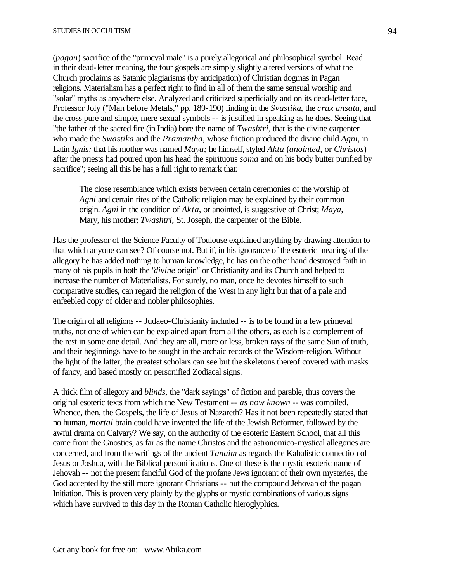(*pagan*) sacrifice of the "primeval male" is a purely allegorical and philosophical symbol. Read in their dead-letter meaning, the four gospels are simply slightly altered versions of what the Church proclaims as Satanic plagiarisms (by anticipation) of Christian dogmas in Pagan religions. Materialism has a perfect right to find in all of them the same sensual worship and "solar" myths as anywhere else. Analyzed and criticized superficially and on its dead-letter face, Professor Joly ("Man before Metals," pp. 189-190) finding in the *Svastika*, the *crux ansata*, and the cross pure and simple, mere sexual symbols -- is justified in speaking as he does. Seeing that "the father of the sacred fire (in India) bore the name of *Twashtri*, that is the divine carpenter who made the *Swastika* and the *Pramantha*, whose friction produced the divine child *Agni*, in Latin *Ignis;* that his mother was named *Maya;* he himself, styled *Akta* (*anointed*, or *Christos*) after the priests had poured upon his head the spirituous *soma* and on his body butter purified by sacrifice"; seeing all this he has a full right to remark that:

The close resemblance which exists between certain ceremonies of the worship of *Agni* and certain rites of the Catholic religion may be explained by their common origin. *Agni* in the condition of *Akta*, or anointed, is suggestive of Christ; *Maya*, Mary, his mother; *Twashtri*, St. Joseph, the carpenter of the Bible.

Has the professor of the Science Faculty of Toulouse explained anything by drawing attention to that which anyone can see? Of course not. But if, in his ignorance of the esoteric meaning of the allegory he has added nothing to human knowledge, he has on the other hand destroyed faith in many of his pupils in both the "*divine* origin" or Christianity and its Church and helped to increase the number of Materialists. For surely, no man, once he devotes himself to such comparative studies, can regard the religion of the West in any light but that of a pale and enfeebled copy of older and nobler philosophies.

The origin of all religions -- Judaeo-Christianity included -- is to be found in a few primeval truths, not one of which can be explained apart from all the others, as each is a complement of the rest in some one detail. And they are all, more or less, broken rays of the same Sun of truth, and their beginnings have to be sought in the archaic records of the Wisdom-religion. Without the light of the latter, the greatest scholars can see but the skeletons thereof covered with masks of fancy, and based mostly on personified Zodiacal signs.

A thick film of allegory and *blinds*, the "dark sayings" of fiction and parable, thus covers the original esoteric texts from which the New Testament -- *as now known --* was compiled. Whence, then, the Gospels, the life of Jesus of Nazareth? Has it not been repeatedly stated that no human, *mortal* brain could have invented the life of the Jewish Reformer, followed by the awful drama on Calvary? We say, on the authority of the esoteric Eastern School, that all this came from the Gnostics, as far as the name Christos and the astronomico-mystical allegories are concerned, and from the writings of the ancient *Tanaim* as regards the Kabalistic connection of Jesus or Joshua, with the Biblical personifications. One of these is the mystic esoteric name of Jehovah -- not the present fanciful God of the profane Jews ignorant of their own mysteries, the God accepted by the still more ignorant Christians -- but the compound Jehovah of the pagan Initiation. This is proven very plainly by the glyphs or mystic combinations of various signs which have survived to this day in the Roman Catholic hieroglyphics.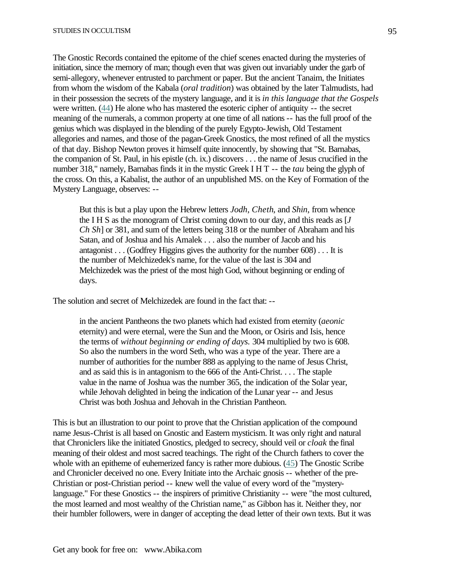The Gnostic Records contained the epitome of the chief scenes enacted during the mysteries of initiation, since the memory of man; though even that was given out invariably under the garb of semi-allegory, whenever entrusted to parchment or paper. But the ancient Tanaim, the Initiates from whom the wisdom of the Kabala (*oral tradition*) was obtained by the later Talmudists, had in their possession the secrets of the mystery language, and it is *in this language that the Gospels*  were written. (44) He alone who has mastered the esoteric cipher of antiquity -- the secret meaning of the numerals, a common property at one time of all nations -- has the full proof of the genius which was displayed in the blending of the purely Egypto-Jewish, Old Testament allegories and names, and those of the pagan-Greek Gnostics, the most refined of all the mystics of that day. Bishop Newton proves it himself quite innocently, by showing that "St. Barnabas, the companion of St. Paul, in his epistle (ch. ix.) discovers . . . the name of Jesus crucified in the number 318," namely, Barnabas finds it in the mystic Greek I H T -- the *tau* being the glyph of the cross. On this, a Kabalist, the author of an unpublished MS. on the Key of Formation of the Mystery Language, observes: --

But this is but a play upon the Hebrew letters *Jodh*, *Cheth*, and *Shin*, from whence the I H S as the monogram of Christ coming down to our day, and this reads as [*J Ch Sh*] or 381, and sum of the letters being 318 or the number of Abraham and his Satan, and of Joshua and his Amalek . . . also the number of Jacob and his antagonist . . . (Godfrey Higgins gives the authority for the number 608) . . . It is the number of Melchizedek's name, for the value of the last is 304 and Melchizedek was the priest of the most high God, without beginning or ending of days.

The solution and secret of Melchizedek are found in the fact that: --

in the ancient Pantheons the two planets which had existed from eternity (*aeonic*  eternity) and were eternal, were the Sun and the Moon, or Osiris and Isis, hence the terms of *without beginning or ending of days.* 304 multiplied by two is 608. So also the numbers in the word Seth, who was a type of the year. There are a number of authorities for the number 888 as applying to the name of Jesus Christ, and as said this is in antagonism to the 666 of the Anti-Christ. . . . The staple value in the name of Joshua was the number 365, the indication of the Solar year, while Jehovah delighted in being the indication of the Lunar year -- and Jesus Christ was both Joshua and Jehovah in the Christian Pantheon.

This is but an illustration to our point to prove that the Christian application of the compound name Jesus-Christ is all based on Gnostic and Eastern mysticism. It was only right and natural that Chroniclers like the initiated Gnostics, pledged to secrecy, should veil or *cloak* the final meaning of their oldest and most sacred teachings. The right of the Church fathers to cover the whole with an epitheme of euhemerized fancy is rather more dubious. (45) The Gnostic Scribe and Chronicler deceived no one. Every Initiate into the Archaic gnosis -- whether of the pre-Christian or post-Christian period -- knew well the value of every word of the "mysterylanguage." For these Gnostics -- the inspirers of primitive Christianity -- were "the most cultured, the most learned and most wealthy of the Christian name," as Gibbon has it. Neither they, nor their humbler followers, were in danger of accepting the dead letter of their own texts. But it was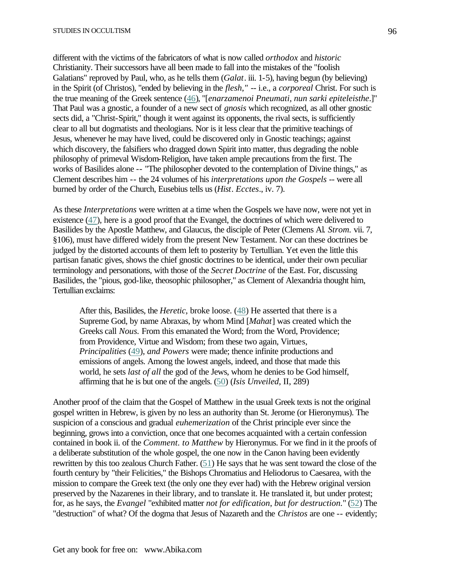different with the victims of the fabricators of what is now called *orthodox* and *historic*  Christianity. Their successors have all been made to fall into the mistakes of the "foolish Galatians" reproved by Paul, who, as he tells them (*Galat*. iii. 1-5), having begun (by believing) in the Spirit (of Christos), "ended by believing in the *flesh*,*" --* i.e., a *corporeal* Christ. For such is the true meaning of the Greek sentence (46), "[*enarzamenoi Pneumati, nun sarki epiteleisthe*.]" That Paul was a gnostic, a founder of a new sect of *gnosis* which recognized, as all other gnostic sects did, a "Christ-Spirit," though it went against its opponents, the rival sects, is sufficiently clear to all but dogmatists and theologians. Nor is it less clear that the primitive teachings of Jesus, whenever he may have lived, could be discovered only in Gnostic teachings; against which discovery, the falsifiers who dragged down Spirit into matter, thus degrading the noble philosophy of primeval Wisdom-Religion, have taken ample precautions from the first. The works of Basilides alone -- "The philosopher devoted to the contemplation of Divine things," as Clement describes him -- the 24 volumes of his *interpretations upon the Gospels --* were all burned by order of the Church, Eusebius tells us (*Hist*. *Ecctes*., iv. 7).

As these *Interpretations* were written at a time when the Gospels we have now, were not yet in existence (47), here is a good proof that the Evangel, the doctrines of which were delivered to Basilides by the Apostle Matthew, and Glaucus, the disciple of Peter (Clemens Al*. Strom.* vii. 7, §106), must have differed widely from the present New Testament. Nor can these doctrines be judged by the distorted accounts of them left to posterity by Tertullian. Yet even the little this partisan fanatic gives, shows the chief gnostic doctrines to be identical, under their own peculiar terminology and personations, with those of the *Secret Doctrine* of the East. For, discussing Basilides, the "pious, god-like, theosophic philosopher," as Clement of Alexandria thought him, Tertullian exclaims:

After this, Basilides, the *Heretic*, broke loose. (48) He asserted that there is a Supreme God, by name Abraxas, by whom Mind [*Mahat*] was created which the Greeks call *Nous*. From this emanated the Word; from the Word, Providence; from Providence, Virtue and Wisdom; from these two again, Virtues, *Principalities* (49), *and Powers* were made; thence infinite productions and emissions of angels. Among the lowest angels, indeed, and those that made this world, he sets *last of all* the god of the Jews, whom he denies to be God himself, affirming that he is but one of the angels. (50) (*Isis Unveiled,* II, 289)

Another proof of the claim that the Gospel of Matthew in the usual Greek texts is not the original gospel written in Hebrew, is given by no less an authority than St. Jerome (or Hieronymus). The suspicion of a conscious and gradual *euhemerization* of the Christ principle ever since the beginning, grows into a conviction, once that one becomes acquainted with a certain confession contained in book ii. of the *Comment. to Matthew* by Hieronymus. For we find in it the proofs of a deliberate substitution of the whole gospel, the one now in the Canon having been evidently rewritten by this too zealous Church Father. (51) He says that he was sent toward the close of the fourth century by "their Felicities," the Bishops Chromatius and Heliodorus to Caesarea, with the mission to compare the Greek text (the only one they ever had) with the Hebrew original version preserved by the Nazarenes in their library, and to translate it. He translated it, but under protest; for, as he says, the *Evangel* "exhibited matter *not for edification*, *but for destruction.*" (52) The "destruction" of what? Of the dogma that Jesus of Nazareth and the *Christos* are one -- evidently;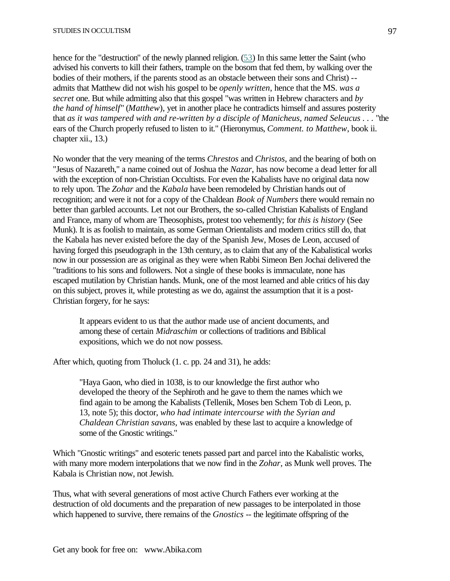hence for the "destruction" of the newly planned religion. (53) In this same letter the Saint (who advised his converts to kill their fathers, trample on the bosom that fed them, by walking over the bodies of their mothers, if the parents stood as an obstacle between their sons and Christ) - admits that Matthew did not wish his gospel to be *openly written*, hence that the MS. *was a secret* one. But while admitting also that this gospel "was written in Hebrew characters and *by the hand of himself*" (*Matthew*), yet in another place he contradicts himself and assures posterity that *as it was tampered with and re-written by a disciple of Manicheus*, *named Seleucus . . .* "the ears of the Church properly refused to listen to it." (Hieronymus, *Comment. to Matthew*, book ii. chapter xii., 13.)

No wonder that the very meaning of the terms *Chrestos* and *Christos*, and the bearing of both on "Jesus of Nazareth," a name coined out of Joshua the *Nazar*, has now become a dead letter for all with the exception of non-Christian Occultists. For even the Kabalists have no original data now to rely upon. The *Zohar* and the *Kabala* have been remodeled by Christian hands out of recognition; and were it not for a copy of the Chaldean *Book of Numbers* there would remain no better than garbled accounts. Let not our Brothers, the so-called Christian Kabalists of England and France, many of whom are Theosophists, protest too vehemently; for *this is history* (See Munk). It is as foolish to maintain, as some German Orientalists and modern critics still do, that the Kabala has never existed before the day of the Spanish Jew, Moses de Leon, accused of having forged this pseudograph in the 13th century, as to claim that any of the Kabalistical works now in our possession are as original as they were when Rabbi Simeon Ben Jochai delivered the "traditions to his sons and followers. Not a single of these books is immaculate, none has escaped mutilation by Christian hands. Munk, one of the most learned and able critics of his day on this subject, proves it, while protesting as we do, against the assumption that it is a post-Christian forgery, for he says:

It appears evident to us that the author made use of ancient documents, and among these of certain *Midraschim* or collections of traditions and Biblical expositions, which we do not now possess.

After which, quoting from Tholuck (1. c. pp. 24 and 31), he adds:

"Haya Gaon, who died in 1038, is to our knowledge the first author who developed the theory of the Sephiroth and he gave to them the names which we find again to be among the Kabalists (Tellenik, Moses ben Schem Tob di Leon, p. 13, note 5); this doctor, *who had intimate intercourse with the Syrian and Chaldean Christian savans*, was enabled by these last to acquire a knowledge of some of the Gnostic writings."

Which "Gnostic writings" and esoteric tenets passed part and parcel into the Kabalistic works, with many more modern interpolations that we now find in the *Zohar*, as Munk well proves. The Kabala is Christian now, not Jewish.

Thus, what with several generations of most active Church Fathers ever working at the destruction of old documents and the preparation of new passages to be interpolated in those which happened to survive, there remains of the *Gnostics --* the legitimate offspring of the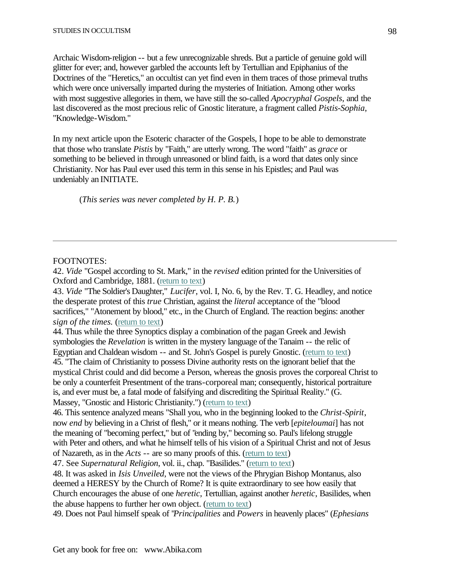Archaic Wisdom-religion -- but a few unrecognizable shreds. But a particle of genuine gold will glitter for ever; and, however garbled the accounts left by Tertullian and Epiphanius of the Doctrines of the "Heretics," an occultist can yet find even in them traces of those primeval truths which were once universally imparted during the mysteries of Initiation. Among other works with most suggestive allegories in them, we have still the so-called *Apocryphal Gospels*, and the last discovered as the most precious relic of Gnostic literature, a fragment called *Pistis-Sophia*, "Knowledge-Wisdom."

In my next article upon the Esoteric character of the Gospels, I hope to be able to demonstrate that those who translate *Pistis* by "Faith," are utterly wrong. The word "faith" as *grace* or something to be believed in through unreasoned or blind faith, is a word that dates only since Christianity. Nor has Paul ever used this term in this sense in his Epistles; and Paul was undeniably an INITIATE.

(*This series was never completed by H. P. B.*)

### FOOTNOTES:

42. *Vide* "Gospel according to St. Mark," in the *revised* edition printed for the Universities of Oxford and Cambridge, 1881. (return to text)

43. *Vide* "The Soldier's Daughter," *Lucifer*, vol. I, No. 6, by the Rev. T. G. Headley, and notice the desperate protest of this *true* Christian, against the *literal* acceptance of the "blood sacrifices," "Atonement by blood," etc., in the Church of England. The reaction begins: another *sign of the times.* (return to text)

44. Thus while the three Synoptics display a combination of the pagan Greek and Jewish symbologies the *Revelation* is written in the mystery language of the Tanaim -- the relic of Egyptian and Chaldean wisdom -- and St. John's Gospel is purely Gnostic. (return to text) 45. "The claim of Christianity to possess Divine authority rests on the ignorant belief that the mystical Christ could and did become a Person, whereas the gnosis proves the corporeal Christ to be only a counterfeit Presentment of the trans-corporeal man; consequently, historical portraiture is, and ever must be, a fatal mode of falsifying and discrediting the Spiritual Reality." (G. Massey, "Gnostic and Historic Christianity.") (return to text)

46. This sentence analyzed means "Shall you, who in the beginning looked to the *Christ-Spirit*, now *end* by believing in a Christ of flesh," or it means nothing. The verb [*epiteloumai*] has not the meaning of "becoming perfect," but of "ending by," becoming so. Paul's lifelong struggle with Peter and others, and what he himself tells of his vision of a Spiritual Christ and not of Jesus of Nazareth, as in the *Acts* -- are so many proofs of this. (return to text)

47. See *Supernatural Religion*, vol. ii., chap. "Basilides." (return to text)

48. It was asked in *Isis Unveiled*, were not the views of the Phrygian Bishop Montanus, also deemed a HERESY by the Church of Rome? It is quite extraordinary to see how easily that Church encourages the abuse of one *heretic*, Tertullian, against another *heretic*, Basilides, when the abuse happens to further her own object. (return to text)

49. Does not Paul himself speak of "*Principalities* and *Powers* in heavenly places" (*Ephesians*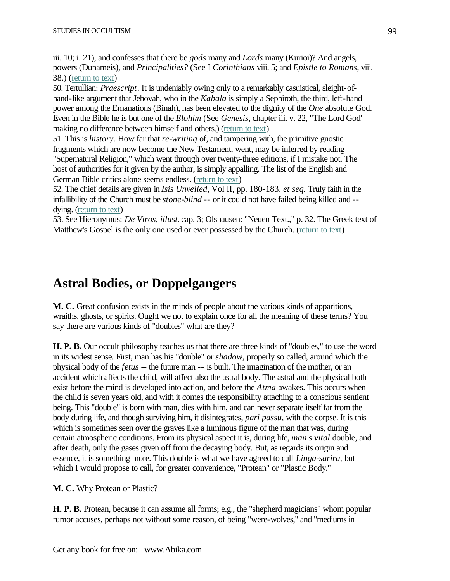iii. 10; i. 21), and confesses that there be *gods* many and *Lords* many (Kurioi)? And angels, powers (Dunameis), and *Principalities?* (See I *Corinthians* viii. 5; and *Epistle to Romans*, viii. 38.) (return to text)

50. Tertullian: *Praescript*. It is undeniably owing only to a remarkably casuistical, sleight-ofhand-like argument that Jehovah, who in the *Kabala* is simply a Sephiroth, the third, left-hand power among the Emanations (Binah), has been elevated to the dignity of the *One* absolute God. Even in the Bible he is but one of the *Elohim* (See *Genesis*, chapter iii. v. 22, "The Lord God" making no difference between himself and others.) (return to text)

51. This is *history.* How far that *re-writing* of, and tampering with, the primitive gnostic fragments which are now become the New Testament, went, may be inferred by reading "Supernatural Religion," which went through over twenty-three editions, if I mistake not. The host of authorities for it given by the author, is simply appalling. The list of the English and German Bible critics alone seems endless. (return to text)

52. The chief details are given in *Isis Unveiled*, Vol II, pp. 180-183, *et seq.* Truly faith in the infallibility of the Church must be *stone-blind* -- or it could not have failed being killed and - dying. (return to text)

53. See Hieronymus: *De Viros, illust.* cap. 3; Olshausen: "Neuen Text.," p. 32. The Greek text of Matthew's Gospel is the only one used or ever possessed by the Church. (return to text)

## **Astral Bodies, or Doppelgangers**

**M. C.** Great confusion exists in the minds of people about the various kinds of apparitions, wraiths, ghosts, or spirits. Ought we not to explain once for all the meaning of these terms? You say there are various kinds of "doubles" what are they?

**H. P. B.** Our occult philosophy teaches us that there are three kinds of "doubles," to use the word in its widest sense. First, man has his "double" or *shadow,* properly so called, around which the physical body of the *fetus --* the future man -- is built. The imagination of the mother, or an accident which affects the child, will affect also the astral body. The astral and the physical both exist before the mind is developed into action, and before the *Atma* awakes. This occurs when the child is seven years old, and with it comes the responsibility attaching to a conscious sentient being. This "double" is born with man, dies with him, and can never separate itself far from the body during life, and though surviving him, it disintegrates, *pari passu,* with the corpse. It is this which is sometimes seen over the graves like a luminous figure of the man that was, during certain atmospheric conditions. From its physical aspect it is, during life, *man's vital* double, and after death, only the gases given off from the decaying body. But, as regards its origin and essence, it is something more. This double is what we have agreed to call *Linga-sarira,* but which I would propose to call, for greater convenience, "Protean" or "Plastic Body."

**M. C.** Why Protean or Plastic?

**H. P. B.** Protean, because it can assume all forms; e.g., the "shepherd magicians" whom popular rumor accuses, perhaps not without some reason, of being "were-wolves," and "mediums in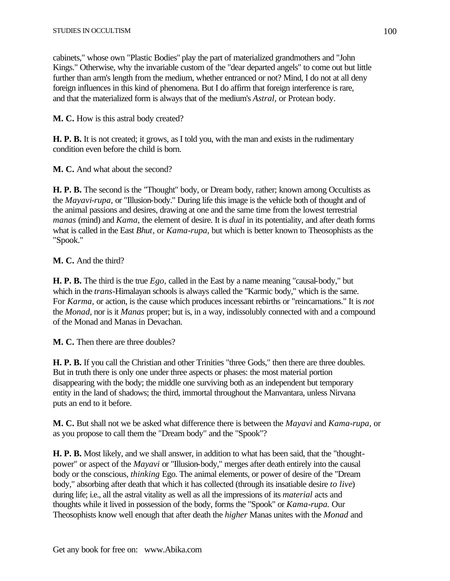cabinets," whose own "Plastic Bodies" play the part of materialized grandmothers and "John Kings." Otherwise, why the invariable custom of the "dear departed angels" to come out but little further than arm's length from the medium, whether entranced or not? Mind, I do not at all deny foreign influences in this kind of phenomena. But I do affirm that foreign interference is rare, and that the materialized form is always that of the medium's *Astral,* or Protean body.

**M. C.** How is this astral body created?

**H. P. B.** It is not created; it grows, as I told you, with the man and exists in the rudimentary condition even before the child is born.

**M. C.** And what about the second?

**H. P. B.** The second is the "Thought" body, or Dream body, rather; known among Occultists as the *Mayavi-rupa,* or "Illusion-body." During life this image is the vehicle both of thought and of the animal passions and desires, drawing at one and the same time from the lowest terrestrial *manas* (mind) and *Kama,* the element of desire. It is *dual* in its potentiality, and after death forms what is called in the East *Bhut*, or *Kama-rupa,* but which is better known to Theosophists as the "Spook."

## **M. C.** And the third?

**H. P. B.** The third is the true *Ego,* called in the East by a name meaning "causal-body," but which in the *trans-*Himalayan schools is always called the "Karmic body," which is the same. For *Karma,* or action, is the cause which produces incessant rebirths or "reincarnations." It is *not* the *Monad*, nor is it *Manas* proper; but is, in a way, indissolubly connected with and a compound of the Monad and Manas in Devachan.

**M. C.** Then there are three doubles?

**H. P. B.** If you call the Christian and other Trinities "three Gods," then there are three doubles. But in truth there is only one under three aspects or phases: the most material portion disappearing with the body; the middle one surviving both as an independent but temporary entity in the land of shadows; the third, immortal throughout the Manvantara, unless Nirvana puts an end to it before.

**M. C.** But shall not we be asked what difference there is between the *Mayavi* and *Kama-rupa,* or as you propose to call them the "Dream body" and the "Spook"?

**H. P. B.** Most likely, and we shall answer, in addition to what has been said, that the "thoughtpower" or aspect of the *Mayavi* or "Illusion-body," merges after death entirely into the causal body or the conscious, *thinking* Ego. The animal elements, or power of desire of the "Dream body," absorbing after death that which it has collected (through its insatiable desire *to live*) during life; i.e., all the astral vitality as well as all the impressions of its *material* acts and thoughts while it lived in possession of the body, forms the "Spook" or *Kama-rupa.* Our Theosophists know well enough that after death the *higher* Manas unites with the *Monad* and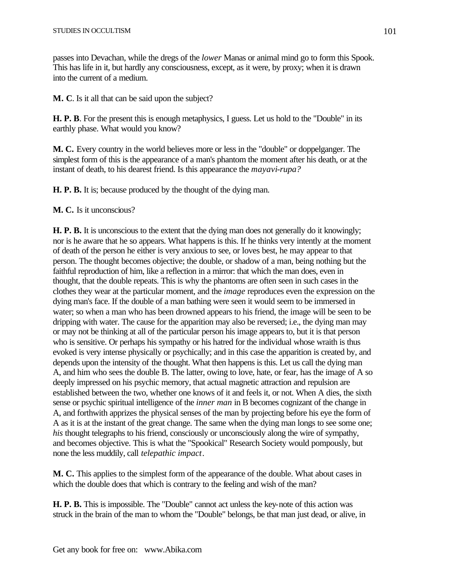passes into Devachan, while the dregs of the *lower* Manas or animal mind go to form this Spook. This has life in it, but hardly any consciousness, except, as it were, by proxy; when it is drawn into the current of a medium.

**M. C**. Is it all that can be said upon the subject?

**H. P. B**. For the present this is enough metaphysics, I guess. Let us hold to the "Double" in its earthly phase. What would you know?

**M. C.** Every country in the world believes more or less in the "double" or doppelganger. The simplest form of this is the appearance of a man's phantom the moment after his death, or at the instant of death, to his dearest friend. Is this appearance the *mayavi-rupa?*

**H. P. B.** It is; because produced by the thought of the dying man.

**M. C.** Is it unconscious?

**H. P. B.** It is unconscious to the extent that the dying man does not generally do it knowingly; nor is he aware that he so appears. What happens is this. If he thinks very intently at the moment of death of the person he either is very anxious to see, or loves best, he may appear to that person. The thought becomes objective; the double, or shadow of a man, being nothing but the faithful reproduction of him, like a reflection in a mirror: that which the man does, even in thought, that the double repeats. This is why the phantoms are often seen in such cases in the clothes they wear at the particular moment, and the *image* reproduces even the expression on the dying man's face. If the double of a man bathing were seen it would seem to be immersed in water; so when a man who has been drowned appears to his friend, the image will be seen to be dripping with water. The cause for the apparition may also be reversed; i.e., the dying man may or may not be thinking at all of the particular person his image appears to, but it is that person who is sensitive. Or perhaps his sympathy or his hatred for the individual whose wraith is thus evoked is very intense physically or psychically; and in this case the apparition is created by, and depends upon the intensity of the thought. What then happens is this. Let us call the dying man A, and him who sees the double B. The latter, owing to love, hate, or fear, has the image of A so deeply impressed on his psychic memory, that actual magnetic attraction and repulsion are established between the two, whether one knows of it and feels it, or not. When A dies, the sixth sense or psychic spiritual intelligence of the *inner man* in B becomes cognizant of the change in A, and forthwith apprizes the physical senses of the man by projecting before his eye the form of A as it is at the instant of the great change. The same when the dying man longs to see some one; *his* thought telegraphs to his friend, consciously or unconsciously along the wire of sympathy, and becomes objective. This is what the "Spookical" Research Society would pompously, but none the less muddily, call *telepathic impact*.

**M. C.** This applies to the simplest form of the appearance of the double. What about cases in which the double does that which is contrary to the feeling and wish of the man?

**H. P. B.** This is impossible. The "Double" cannot act unless the key-note of this action was struck in the brain of the man to whom the "Double" belongs, be that man just dead, or alive, in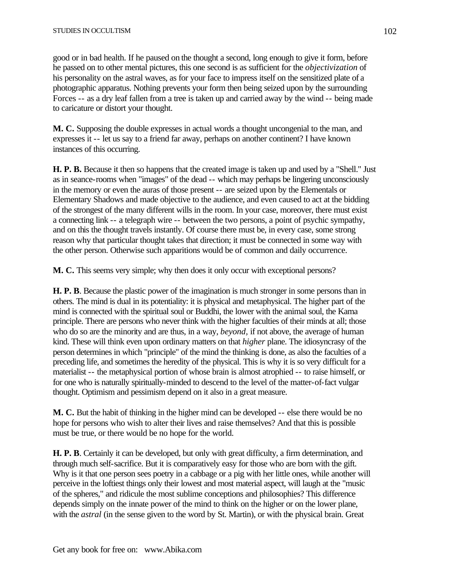good or in bad health. If he paused on the thought a second, long enough to give it form, before he passed on to other mental pictures, this one second is as sufficient for the *objectivization* of his personality on the astral waves, as for your face to impress itself on the sensitized plate of a photographic apparatus. Nothing prevents your form then being seized upon by the surrounding Forces -- as a dry leaf fallen from a tree is taken up and carried away by the wind -- being made to caricature or distort your thought.

**M. C.** Supposing the double expresses in actual words a thought uncongenial to the man, and expresses it -- let us say to a friend far away, perhaps on another continent? I have known instances of this occurring.

**H. P. B.** Because it then so happens that the created image is taken up and used by a "Shell." Just as in seance-rooms when "images" of the dead -- which may perhaps be lingering unconsciously in the memory or even the auras of those present -- are seized upon by the Elementals or Elementary Shadows and made objective to the audience, and even caused to act at the bidding of the strongest of the many different wills in the room. In your case, moreover, there must exist a connecting link -- a telegraph wire -- between the two persons, a point of psychic sympathy, and on this the thought travels instantly. Of course there must be, in every case, some strong reason why that particular thought takes that direction; it must be connected in some way with the other person. Otherwise such apparitions would be of common and daily occurrence.

**M. C.** This seems very simple; why then does it only occur with exceptional persons?

**H. P. B**. Because the plastic power of the imagination is much stronger in some persons than in others. The mind is dual in its potentiality: it is physical and metaphysical. The higher part of the mind is connected with the spiritual soul or Buddhi, the lower with the animal soul, the Kama principle. There are persons who never think with the higher faculties of their minds at all; those who do so are the minority and are thus, in a way, *beyond*, if not above, the average of human kind. These will think even upon ordinary matters on that *higher* plane. The idiosyncrasy of the person determines in which "principle" of the mind the thinking is done, as also the faculties of a preceding life, and sometimes the heredity of the physical. This is why it is so very difficult for a materialist -- the metaphysical portion of whose brain is almost atrophied -- to raise himself, or for one who is naturally spiritually-minded to descend to the level of the matter-of-fact vulgar thought. Optimism and pessimism depend on it also in a great measure.

**M. C.** But the habit of thinking in the higher mind can be developed -- else there would be no hope for persons who wish to alter their lives and raise themselves? And that this is possible must be true, or there would be no hope for the world.

**H. P. B**. Certainly it can be developed, but only with great difficulty, a firm determination, and through much self-sacrifice. But it is comparatively easy for those who are born with the gift. Why is it that one person sees poetry in a cabbage or a pig with her little ones, while another will perceive in the loftiest things only their lowest and most material aspect, will laugh at the "music of the spheres," and ridicule the most sublime conceptions and philosophies? This difference depends simply on the innate power of the mind to think on the higher or on the lower plane, with the *astral* (in the sense given to the word by St. Martin), or with the physical brain. Great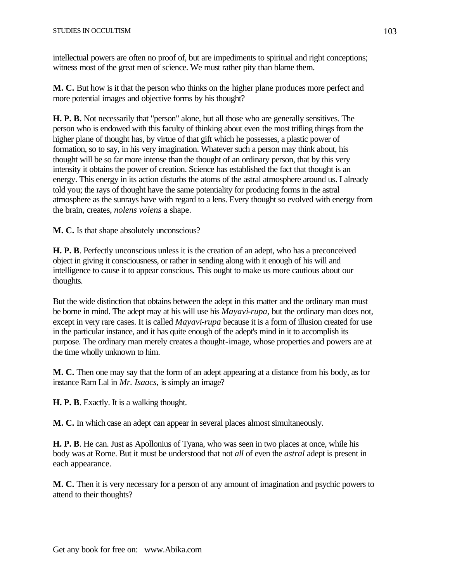intellectual powers are often no proof of, but are impediments to spiritual and right conceptions; witness most of the great men of science. We must rather pity than blame them.

**M. C.** But how is it that the person who thinks on the higher plane produces more perfect and more potential images and objective forms by his thought?

**H. P. B.** Not necessarily that "person" alone, but all those who are generally sensitives. The person who is endowed with this faculty of thinking about even the most trifling things from the higher plane of thought has, by virtue of that gift which he possesses, a plastic power of formation, so to say, in his very imagination. Whatever such a person may think about, his thought will be so far more intense than the thought of an ordinary person, that by this very intensity it obtains the power of creation. Science has established the fact that thought is an energy. This energy in its action disturbs the atoms of the astral atmosphere around us. I already told you; the rays of thought have the same potentiality for producing forms in the astral atmosphere as the sunrays have with regard to a lens. Every thought so evolved with energy from the brain, creates, *nolens volens* a shape.

**M. C.** Is that shape absolutely unconscious?

**H. P. B**. Perfectly unconscious unless it is the creation of an adept, who has a preconceived object in giving it consciousness, or rather in sending along with it enough of his will and intelligence to cause it to appear conscious. This ought to make us more cautious about our thoughts.

But the wide distinction that obtains between the adept in this matter and the ordinary man must be borne in mind. The adept may at his will use his *Mayavi-rupa,* but the ordinary man does not, except in very rare cases. It is called *Mayavi-rupa* because it is a form of illusion created for use in the particular instance, and it has quite enough of the adept's mind in it to accomplish its purpose. The ordinary man merely creates a thought-image, whose properties and powers are at the time wholly unknown to him.

**M. C.** Then one may say that the form of an adept appearing at a distance from his body, as for instance Ram Lal in *Mr. Isaacs,* is simply an image?

**H. P. B**. Exactly. It is a walking thought.

**M. C.** In which case an adept can appear in several places almost simultaneously.

**H. P. B**. He can. Just as Apollonius of Tyana, who was seen in two places at once, while his body was at Rome. But it must be understood that not *all* of even the *astral* adept is present in each appearance.

**M. C.** Then it is very necessary for a person of any amount of imagination and psychic powers to attend to their thoughts?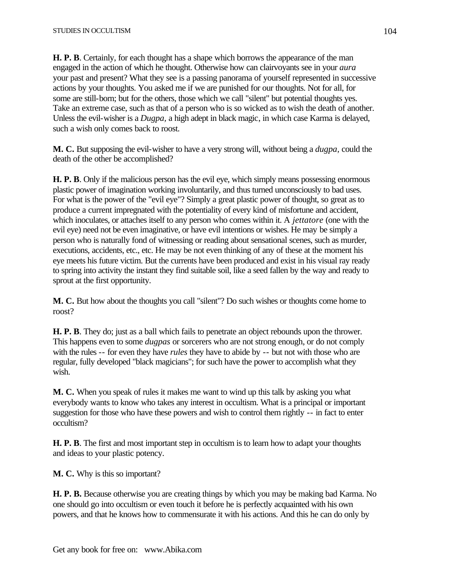**H. P. B**. Certainly, for each thought has a shape which borrows the appearance of the man engaged in the action of which he thought. Otherwise how can clairvoyants see in your *aura* your past and present? What they see is a passing panorama of yourself represented in successive actions by your thoughts. You asked me if we are punished for our thoughts. Not for all, for some are still-born; but for the others, those which we call "silent" but potential thoughts yes. Take an extreme case, such as that of a person who is so wicked as to wish the death of another. Unless the evil-wisher is a *Dugpa,* a high adept in black magic, in which case Karma is delayed, such a wish only comes back to roost.

**M. C.** But supposing the evil-wisher to have a very strong will, without being a *dugpa,* could the death of the other be accomplished?

**H. P. B**. Only if the malicious person has the evil eye, which simply means possessing enormous plastic power of imagination working involuntarily, and thus turned unconsciously to bad uses. For what is the power of the "evil eye"? Simply a great plastic power of thought, so great as to produce a current impregnated with the potentiality of every kind of misfortune and accident, which inoculates, or attaches itself to any person who comes within it. A *jettatore* (one with the evil eye) need not be even imaginative, or have evil intentions or wishes. He may be simply a person who is naturally fond of witnessing or reading about sensational scenes, such as murder, executions, accidents, etc., etc. He may be not even thinking of any of these at the moment his eye meets his future victim. But the currents have been produced and exist in his visual ray ready to spring into activity the instant they find suitable soil, like a seed fallen by the way and ready to sprout at the first opportunity.

**M. C.** But how about the thoughts you call "silent"? Do such wishes or thoughts come home to roost?

**H. P. B**. They do; just as a ball which fails to penetrate an object rebounds upon the thrower. This happens even to some *dugpas* or sorcerers who are not strong enough, or do not comply with the rules -- for even they have *rules* they have to abide by -- but not with those who are regular, fully developed "black magicians"; for such have the power to accomplish what they wish.

**M. C.** When you speak of rules it makes me want to wind up this talk by asking you what everybody wants to know who takes any interest in occultism. What is a principal or important suggestion for those who have these powers and wish to control them rightly -- in fact to enter occultism?

**H. P. B**. The first and most important step in occultism is to learn how to adapt your thoughts and ideas to your plastic potency.

**M. C.** Why is this so important?

**H. P. B.** Because otherwise you are creating things by which you may be making bad Karma. No one should go into occultism or even touch it before he is perfectly acquainted with his own powers, and that he knows how to commensurate it with his actions. And this he can do only by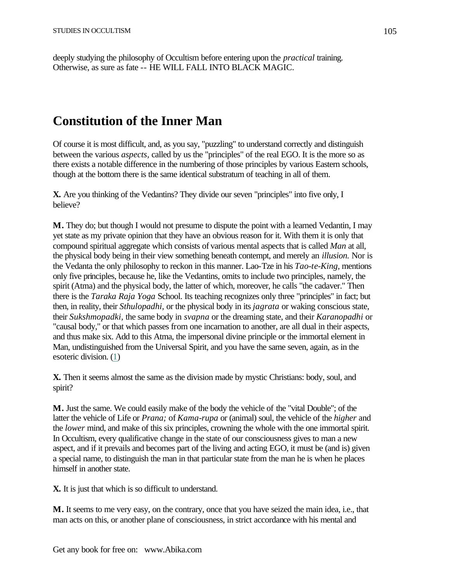deeply studying the philosophy of Occultism before entering upon the *practical* training. Otherwise, as sure as fate -- HE WILL FALL INTO BLACK MAGIC.

# **Constitution of the Inner Man**

Of course it is most difficult, and, as you say, "puzzling" to understand correctly and distinguish between the various *aspects,* called by us the "principles" of the real EGO. It is the more so as there exists a notable difference in the numbering of those principles by various Eastern schools, though at the bottom there is the same identical substratum of teaching in all of them.

**X.** Are you thinking of the Vedantins? They divide our seven "principles" into five only, I believe?

**M.** They do; but though I would not presume to dispute the point with a learned Vedantin, I may yet state as my private opinion that they have an obvious reason for it. With them it is only that compound spiritual aggregate which consists of various mental aspects that is called *Man* at all, the physical body being in their view something beneath contempt, and merely an *illusion.* Nor is the Vedanta the only philosophy to reckon in this manner. Lao-Tze in his *Tao-te-King*, mentions only five principles, because he, like the Vedantins, omits to include two principles, namely, the spirit (Atma) and the physical body, the latter of which, moreover, he calls "the cadaver." Then there is the *Taraka Raja Yoga* School. Its teaching recognizes only three "principles" in fact; but then, in reality, their *Sthulopadhi,* or the physical body in its *jagrata* or waking conscious state, their *Sukshmopadki,* the same body in *svapna* or the dreaming state, and their *Karanopadhi* or "causal body," or that which passes from one incarnation to another, are all dual in their aspects, and thus make six. Add to this Atma, the impersonal divine principle or the immortal element in Man, undistinguished from the Universal Spirit, and you have the same seven, again, as in the esoteric division. (1)

**X.** Then it seems almost the same as the division made by mystic Christians: body, soul, and spirit?

**M.** Just the same. We could easily make of the body the vehicle of the "vital Double"; of the latter the vehicle of Life or *Prana;* of *Kama-rupa* or (animal) soul, the vehicle of the *higher* and the *lower* mind, and make of this six principles, crowning the whole with the one immortal spirit. In Occultism, every qualificative change in the state of our consciousness gives to man a new aspect, and if it prevails and becomes part of the living and acting EGO, it must be (and is) given a special name, to distinguish the man in that particular state from the man he is when he places himself in another state.

**X.** It is just that which is so difficult to understand.

**M.** It seems to me very easy, on the contrary, once that you have seized the main idea, i.e., that man acts on this, or another plane of consciousness, in strict accordance with his mental and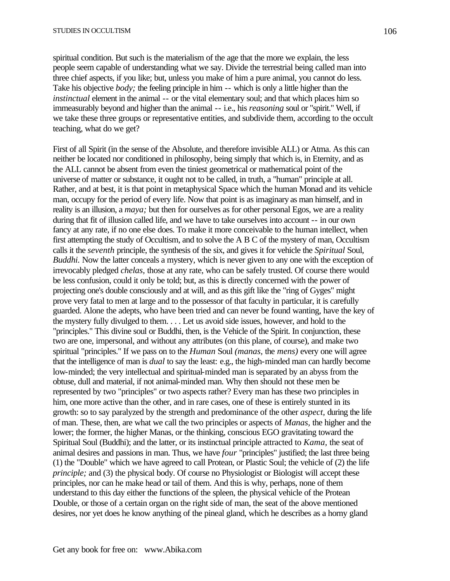spiritual condition. But such is the materialism of the age that the more we explain, the less people seem capable of understanding what we say. Divide the terrestrial being called man into three chief aspects, if you like; but, unless you make of him a pure animal, you cannot do less. Take his objective *body;* the feeling principle in him -- which is only a little higher than the *instinctual* element in the animal -- or the vital elementary soul; and that which places him so immeasurably beyond and higher than the animal -- i.e., his *reasoning* soul or "spirit." Well, if we take these three groups or representative entities, and subdivide them, according to the occult teaching, what do we get?

First of all Spirit (in the sense of the Absolute, and therefore invisible ALL) or Atma. As this can neither be located nor conditioned in philosophy, being simply that which is, in Eternity, and as the ALL cannot be absent from even the tiniest geometrical or mathematical point of the universe of matter or substance, it ought not to be called, in truth, a "human" principle at all. Rather, and at best, it is that point in metaphysical Space which the human Monad and its vehicle man, occupy for the period of every life. Now that point is as imaginary as man himself, and in reality is an illusion, a *maya;* but then for ourselves as for other personal Egos, we are a reality during that fit of illusion called life, and we have to take ourselves into account -- in our own fancy at any rate, if no one else does. To make it more conceivable to the human intellect, when first attempting the study of Occultism, and to solve the A B C of the mystery of man, Occultism calls it the *seventh* principle, the synthesis of the six, and gives it for vehicle the *Spiritual* Soul*, Buddhi.* Now the latter conceals a mystery, which is never given to any one with the exception of irrevocably pledged *chelas,* those at any rate, who can be safely trusted. Of course there would be less confusion, could it only be told; but, as this is directly concerned with the power of projecting one's double consciously and at will, and as this gift like the "ring of Gyges" might prove very fatal to men at large and to the possessor of that faculty in particular, it is carefully guarded. Alone the adepts, who have been tried and can never be found wanting, have the key of the mystery fully divulged to them. . . . Let us avoid side issues, however, and hold to the "principles." This divine soul or Buddhi, then, is the Vehicle of the Spirit. In conjunction, these two are one, impersonal, and without any attributes (on this plane, of course), and make two spiritual "principles." If we pass on to the *Human* Soul *(manas,* the *mens)* every one will agree that the intelligence of man is *dual* to say the least: e.g., the high-minded man can hardly become low-minded; the very intellectual and spiritual-minded man is separated by an abyss from the obtuse, dull and material, if not animal-minded man. Why then should not these men be represented by two "principles" or two aspects rather? Every man has these two principles in him, one more active than the other, and in rare cases, one of these is entirely stunted in its growth: so to say paralyzed by the strength and predominance of the other *aspect,* during the life of man. These, then, are what we call the two principles or aspects of *Manas,* the higher and the lower; the former, the higher Manas, or the thinking, conscious EGO gravitating toward the Spiritual Soul (Buddhi); and the latter, or its instinctual principle attracted to *Kama,* the seat of animal desires and passions in man. Thus, we have *four* "principles" justified; the last three being (1) the "Double" which we have agreed to call Protean, or Plastic Soul; the vehicle of (2) the life *principle;* and (3) the physical body. Of course no Physiologist or Biologist will accept these principles, nor can he make head or tail of them. And this is why, perhaps, none of them understand to this day either the functions of the spleen, the physical vehicle of the Protean Double, or those of a certain organ on the right side of man, the seat of the above mentioned desires, nor yet does he know anything of the pineal gland, which he describes as a horny gland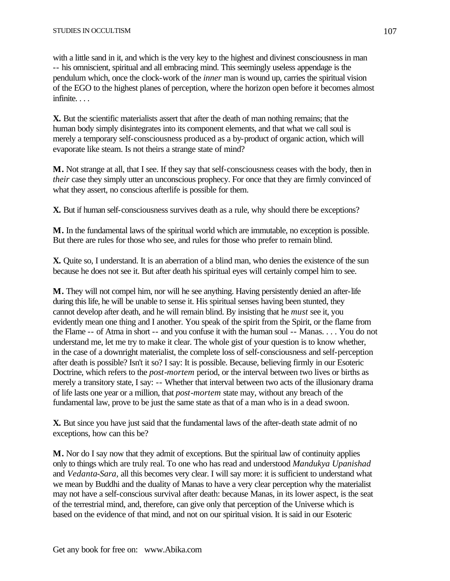with a little sand in it, and which is the very key to the highest and divinest consciousness in man -- his omniscient, spiritual and all embracing mind. This seemingly useless appendage is the pendulum which, once the clock-work of the *inner* man is wound up, carries the spiritual vision of the EGO to the highest planes of perception, where the horizon open before it becomes almost infinite. . . .

**X.** But the scientific materialists assert that after the death of man nothing remains; that the human body simply disintegrates into its component elements, and that what we call soul is merely a temporary self-consciousness produced as a by-product of organic action, which will evaporate like steam. Is not theirs a strange state of mind?

**M.** Not strange at all, that I see. If they say that self-consciousness ceases with the body, then in *their* case they simply utter an unconscious prophecy. For once that they are firmly convinced of what they assert, no conscious afterlife is possible for them.

**X.** But if human self-consciousness survives death as a rule, why should there be exceptions?

**M.** In the fundamental laws of the spiritual world which are immutable, no exception is possible. But there are rules for those who see, and rules for those who prefer to remain blind.

**X.** Quite so, I understand. It is an aberration of a blind man, who denies the existence of the sun because he does not see it. But after death his spiritual eyes will certainly compel him to see.

**M.** They will not compel him, nor will he see anything. Having persistently denied an after-life during this life, he will be unable to sense it. His spiritual senses having been stunted, they cannot develop after death, and he will remain blind. By insisting that he *must* see it, you evidently mean one thing and I another. You speak of the spirit from the Spirit, or the flame from the Flame -- of Atma in short -- and you confuse it with the human soul -- Manas. . . . You do not understand me, let me try to make it clear. The whole gist of your question is to know whether, in the case of a downright materialist, the complete loss of self-consciousness and self-perception after death is possible? Isn't it so? I say: It is possible. Because, believing firmly in our Esoteric Doctrine, which refers to the *post-mortem* period, or the interval between two lives or births as merely a transitory state, I say: -- Whether that interval between two acts of the illusionary drama of life lasts one year or a million, that *post-mortem* state may, without any breach of the fundamental law, prove to be just the same state as that of a man who is in a dead swoon.

**X.** But since you have just said that the fundamental laws of the after-death state admit of no exceptions, how can this be?

**M.** Nor do I say now that they admit of exceptions. But the spiritual law of continuity applies only to things which are truly real. To one who has read and understood *Mandukya Upanishad*  and *Vedanta-Sara,* all this becomes very clear. I will say more: it is sufficient to understand what we mean by Buddhi and the duality of Manas to have a very clear perception why the materialist may not have a self-conscious survival after death: because Manas, in its lower aspect, is the seat of the terrestrial mind, and, therefore, can give only that perception of the Universe which is based on the evidence of that mind, and not on our spiritual vision. It is said in our Esoteric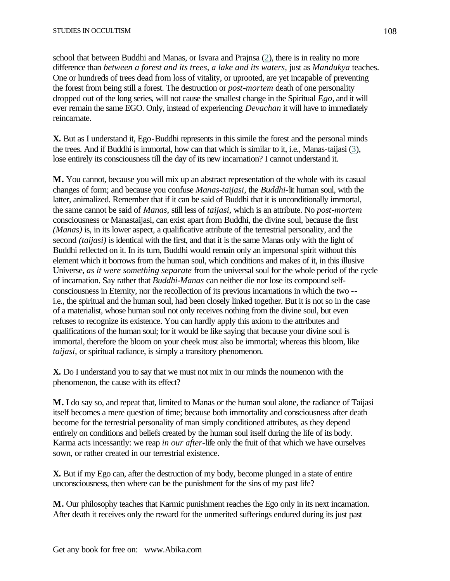school that between Buddhi and Manas, or Isvara and Prajnsa (2), there is in reality no more difference than *between a forest and its trees, a lake and its waters,* just as *Mandukya* teaches. One or hundreds of trees dead from loss of vitality, or uprooted, are yet incapable of preventing the forest from being still a forest. The destruction or *post-mortem* death of one personality dropped out of the long series, will not cause the smallest change in the Spiritual *Ego*, and it will ever remain the same EGO. Only, instead of experiencing *Devachan* it will have to immediately reincarnate.

**X.** But as I understand it, Ego-Buddhi represents in this simile the forest and the personal minds the trees. And if Buddhi is immortal, how can that which is similar to it, i.e., Manas-taijasi (3), lose entirely its consciousness till the day of its new incarnation? I cannot understand it.

**M.** You cannot, because you will mix up an abstract representation of the whole with its casual changes of form; and because you confuse *Manas-taijasi,* the *Buddhi*-lit human soul, with the latter, animalized. Remember that if it can be said of Buddhi that it is unconditionally immortal, the same cannot be said of *Manas,* still less of *taijasi,* which is an attribute. No *post-mortem*  consciousness or Manastaijasi, can exist apart from Buddhi, the divine soul, because the first *(Manas)* is, in its lower aspect, a qualificative attribute of the terrestrial personality, and the second *(taijasi)* is identical with the first, and that it is the same Manas only with the light of Buddhi reflected on it. In its turn, Buddhi would remain only an impersonal spirit without this element which it borrows from the human soul, which conditions and makes of it, in this illusive Universe, *as it were something separate* from the universal soul for the whole period of the cycle of incarnation. Say rather that *Buddhi-Manas* can neither die nor lose its compound selfconsciousness in Eternity, nor the recollection of its previous incarnations in which the two - i.e., the spiritual and the human soul, had been closely linked together. But it is not so in the case of a materialist, whose human soul not only receives nothing from the divine soul, but even refuses to recognize its existence. You can hardly apply this axiom to the attributes and qualifications of the human soul; for it would be like saying that because your divine soul is immortal, therefore the bloom on your cheek must also be immortal; whereas this bloom, like *taijasi,* or spiritual radiance, is simply a transitory phenomenon.

**X.** Do I understand you to say that we must not mix in our minds the noumenon with the phenomenon, the cause with its effect?

**M.** I do say so, and repeat that, limited to Manas or the human soul alone, the radiance of Taijasi itself becomes a mere question of time; because both immortality and consciousness after death become for the terrestrial personality of man simply conditioned attributes, as they depend entirely on conditions and beliefs created by the human soul itself during the life of its body. Karma acts incessantly: we reap *in our after*-life only the fruit of that which we have ourselves sown, or rather created in our terrestrial existence.

**X.** But if my Ego can, after the destruction of my body, become plunged in a state of entire unconsciousness, then where can be the punishment for the sins of my past life?

**M.** Our philosophy teaches that Karmic punishment reaches the Ego only in its next incarnation. After death it receives only the reward for the unmerited sufferings endured during its just past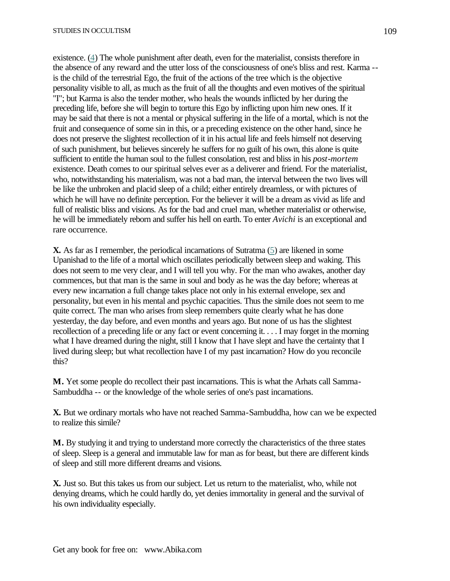existence. (4) The whole punishment after death, even for the materialist, consists therefore in the absence of any reward and the utter loss of the consciousness of one's bliss and rest. Karma - is the child of the terrestrial Ego, the fruit of the actions of the tree which is the objective personality visible to all, as much as the fruit of all the thoughts and even motives of the spiritual "I"; but Karma is also the tender mother, who heals the wounds inflicted by her during the preceding life, before she will begin to torture this Ego by inflicting upon him new ones. If it may be said that there is not a mental or physical suffering in the life of a mortal, which is not the fruit and consequence of some sin in this, or a preceding existence on the other hand, since he does not preserve the slightest recollection of it in his actual life and feels himself not deserving of such punishment, but believes sincerely he suffers for no guilt of his own, this alone is quite sufficient to entitle the human soul to the fullest consolation, rest and bliss in his *post-mortem*  existence. Death comes to our spiritual selves ever as a deliverer and friend. For the materialist, who, notwithstanding his materialism, was not a bad man, the interval between the two lives will be like the unbroken and placid sleep of a child; either entirely dreamless, or with pictures of which he will have no definite perception. For the believer it will be a dream as vivid as life and full of realistic bliss and visions. As for the bad and cruel man, whether materialist or otherwise, he will be immediately reborn and suffer his hell on earth. To enter *Avichi* is an exceptional and rare occurrence.

**X.** As far as I remember, the periodical incarnations of Sutratma (5) are likened in some Upanishad to the life of a mortal which oscillates periodically between sleep and waking. This does not seem to me very clear, and I will tell you why. For the man who awakes, another day commences, but that man is the same in soul and body as he was the day before; whereas at every new incarnation a full change takes place not only in his external envelope, sex and personality, but even in his mental and psychic capacities. Thus the simile does not seem to me quite correct. The man who arises from sleep remembers quite clearly what he has done yesterday, the day before, and even months and years ago. But none of us has the slightest recollection of a preceding life or any fact or event concerning it. . . . I may forget in the morning what I have dreamed during the night, still I know that I have slept and have the certainty that I lived during sleep; but what recollection have I of my past incarnation? How do you reconcile this?

**M.** Yet some people do recollect their past incarnations. This is what the Arhats call Samma-Sambuddha -- or the knowledge of the whole series of one's past incarnations.

**X.** But we ordinary mortals who have not reached Samma-Sambuddha, how can we be expected to realize this simile?

**M.** By studying it and trying to understand more correctly the characteristics of the three states of sleep. Sleep is a general and immutable law for man as for beast, but there are different kinds of sleep and still more different dreams and visions.

**X.** Just so. But this takes us from our subject. Let us return to the materialist, who, while not denying dreams, which he could hardly do, yet denies immortality in general and the survival of his own individuality especially.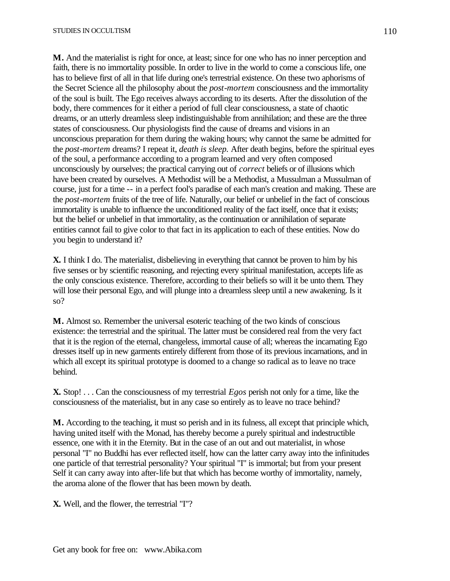**M.** And the materialist is right for once, at least; since for one who has no inner perception and faith, there is no immortality possible. In order to live in the world to come a conscious life, one has to believe first of all in that life during one's terrestrial existence. On these two aphorisms of the Secret Science all the philosophy about the *post-mortem* consciousness and the immortality of the soul is built. The Ego receives always according to its deserts. After the dissolution of the body, there commences for it either a period of full clear consciousness, a state of chaotic dreams, or an utterly dreamless sleep indistinguishable from annihilation; and these are the three states of consciousness. Our physiologists find the cause of dreams and visions in an unconscious preparation for them during the waking hours; why cannot the same be admitted for the *post-mortem* dreams? I repeat it, *death is sleep.* After death begins, before the spiritual eyes of the soul, a performance according to a program learned and very often composed unconsciously by ourselves; the practical carrying out of *correct* beliefs or of illusions which have been created by ourselves. A Methodist will be a Methodist, a Mussulman a Mussulman of course, just for a time -- in a perfect fool's paradise of each man's creation and making. These are the *post-mortem* fruits of the tree of life. Naturally, our belief or unbelief in the fact of conscious immortality is unable to influence the unconditioned reality of the fact itself, once that it exists; but the belief or unbelief in that immortality, as the continuation or annihilation of separate entities cannot fail to give color to that fact in its application to each of these entities. Now do you begin to understand it?

**X.** I think I do. The materialist, disbelieving in everything that cannot be proven to him by his five senses or by scientific reasoning, and rejecting every spiritual manifestation, accepts life as the only conscious existence. Therefore, according to their beliefs so will it be unto them. They will lose their personal Ego, and will plunge into a dreamless sleep until a new awakening. Is it so?

**M.** Almost so. Remember the universal esoteric teaching of the two kinds of conscious existence: the terrestrial and the spiritual. The latter must be considered real from the very fact that it is the region of the eternal, changeless, immortal cause of all; whereas the incarnating Ego dresses itself up in new garments entirely different from those of its previous incarnations, and in which all except its spiritual prototype is doomed to a change so radical as to leave no trace behind.

**X.** Stop! . . . Can the consciousness of my terrestrial *Egos* perish not only for a time, like the consciousness of the materialist, but in any case so entirely as to leave no trace behind?

**M.** According to the teaching, it must so perish and in its fulness, all except that principle which, having united itself with the Monad, has thereby become a purely spiritual and indestructible essence, one with it in the Eternity. But in the case of an out and out materialist, in whose personal "I" no Buddhi has ever reflected itself, how can the latter carry away into the infinitudes one particle of that terrestrial personality? Your spiritual "I" is immortal; but from your present Self it can carry away into after-life but that which has become worthy of immortality, namely, the aroma alone of the flower that has been mown by death.

**X.** Well, and the flower, the terrestrial "I"?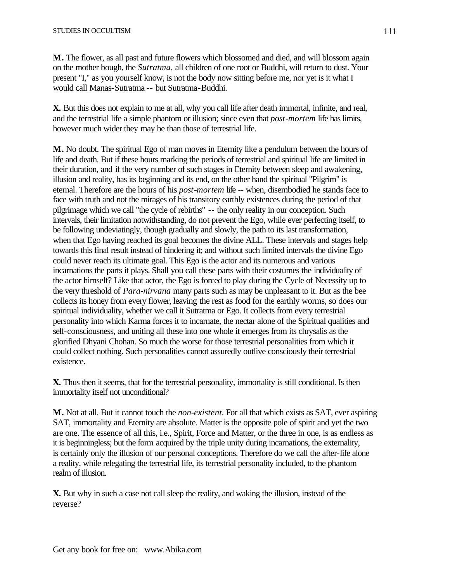**M.** The flower, as all past and future flowers which blossomed and died, and will blossom again on the mother bough, the *Sutratma,* all children of one root or Buddhi, will return to dust. Your present "I," as you yourself know, is not the body now sitting before me, nor yet is it what I would call Manas-Sutratma -- but Sutratma-Buddhi.

**X.** But this does not explain to me at all, why you call life after death immortal, infinite, and real, and the terrestrial life a simple phantom or illusion; since even that *post-mortem* life has limits, however much wider they may be than those of terrestrial life.

**M.** No doubt. The spiritual Ego of man moves in Eternity like a pendulum between the hours of life and death. But if these hours marking the periods of terrestrial and spiritual life are limited in their duration, and if the very number of such stages in Eternity between sleep and awakening, illusion and reality, has its beginning and its end, on the other hand the spiritual "Pilgrim" is eternal. Therefore are the hours of his *post-mortem* life *--* when, disembodied he stands face to face with truth and not the mirages of his transitory earthly existences during the period of that pilgrimage which we call "the cycle of rebirths" -- the only reality in our conception. Such intervals, their limitation notwithstanding, do not prevent the Ego, while ever perfecting itself, to be following undeviatingly, though gradually and slowly, the path to its last transformation, when that Ego having reached its goal becomes the divine ALL. These intervals and stages help towards this final result instead of hindering it; and without such limited intervals the divine Ego could never reach its ultimate goal. This Ego is the actor and its numerous and various incarnations the parts it plays. Shall you call these parts with their costumes the individuality of the actor himself? Like that actor, the Ego is forced to play during the Cycle of Necessity up to the very threshold of *Para-nirvana* many parts such as may be unpleasant to it. But as the bee collects its honey from every flower, leaving the rest as food for the earthly worms, so does our spiritual individuality, whether we call it Sutratma or Ego. It collects from every terrestrial personality into which Karma forces it to incarnate, the nectar alone of the Spiritual qualities and self-consciousness, and uniting all these into one whole it emerges from its chrysalis as the glorified Dhyani Chohan. So much the worse for those terrestrial personalities from which it could collect nothing. Such personalities cannot assuredly outlive consciously their terrestrial existence.

**X.** Thus then it seems, that for the terrestrial personality, immortality is still conditional. Is then immortality itself not unconditional?

**M.** Not at all. But it cannot touch the *non-existent.* For all that which exists as SAT, ever aspiring SAT, immortality and Eternity are absolute. Matter is the opposite pole of spirit and yet the two are one. The essence of all this, i.e., Spirit, Force and Matter, or the three in one, is as endless as it is beginningless; but the form acquired by the triple unity during incarnations, the externality, is certainly only the illusion of our personal conceptions. Therefore do we call the after-life alone a reality, while relegating the terrestrial life, its terrestrial personality included, to the phantom realm of illusion.

**X.** But why in such a case not call sleep the reality, and waking the illusion, instead of the reverse?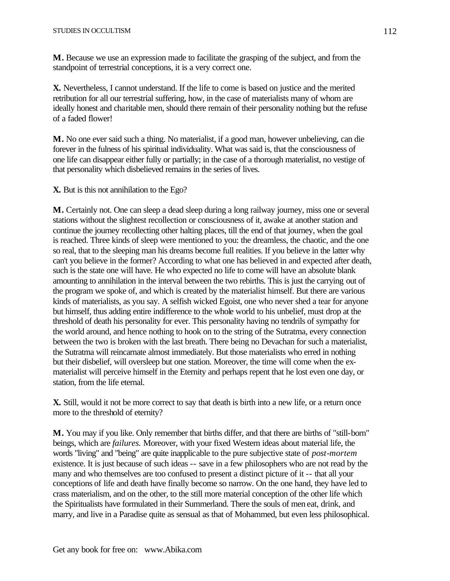**M.** Because we use an expression made to facilitate the grasping of the subject, and from the standpoint of terrestrial conceptions, it is a very correct one.

**X.** Nevertheless, I cannot understand. If the life to come is based on justice and the merited retribution for all our terrestrial suffering, how, in the case of materialists many of whom are ideally honest and charitable men, should there remain of their personality nothing but the refuse of a faded flower!

**M.** No one ever said such a thing. No materialist, if a good man, however unbelieving, can die forever in the fulness of his spiritual individuality. What was said is, that the consciousness of one life can disappear either fully or partially; in the case of a thorough materialist, no vestige of that personality which disbelieved remains in the series of lives.

**X.** But is this not annihilation to the Ego?

**M.** Certainly not. One can sleep a dead sleep during a long railway journey, miss one or several stations without the slightest recollection or consciousness of it, awake at another station and continue the journey recollecting other halting places, till the end of that journey, when the goal is reached. Three kinds of sleep were mentioned to you: the dreamless, the chaotic, and the one so real, that to the sleeping man his dreams become full realities. If you believe in the latter why can't you believe in the former? According to what one has believed in and expected after death, such is the state one will have. He who expected no life to come will have an absolute blank amounting to annihilation in the interval between the two rebirths. This is just the carrying out of the program we spoke of, and which is created by the materialist himself. But there are various kinds of materialists, as you say. A selfish wicked Egoist, one who never shed a tear for anyone but himself, thus adding entire indifference to the whole world to his unbelief, must drop at the threshold of death his personality for ever. This personality having no tendrils of sympathy for the world around, and hence nothing to hook on to the string of the Sutratma, every connection between the two is broken with the last breath. There being no Devachan for such a materialist, the Sutratma will reincarnate almost immediately. But those materialists who erred in nothing but their disbelief, will oversleep but one station. Moreover, the time will come when the exmaterialist will perceive himself in the Eternity and perhaps repent that he lost even one day, or station, from the life eternal.

**X.** Still, would it not be more correct to say that death is birth into a new life, or a return once more to the threshold of eternity?

**M.** You may if you like. Only remember that births differ, and that there are births of "still-born" beings, which are *failures.* Moreover, with your fixed Western ideas about material life, the words "living" and "being" are quite inapplicable to the pure subjective state of *post-mortem*  existence. It is just because of such ideas -- save in a few philosophers who are not read by the many and who themselves are too confused to present a distinct picture of it -- that all your conceptions of life and death have finally become so narrow. On the one hand, they have led to crass materialism, and on the other, to the still more material conception of the other life which the Spiritualists have formulated in their Summerland. There the souls of men eat, drink, and marry, and live in a Paradise quite as sensual as that of Mohammed, but even less philosophical.